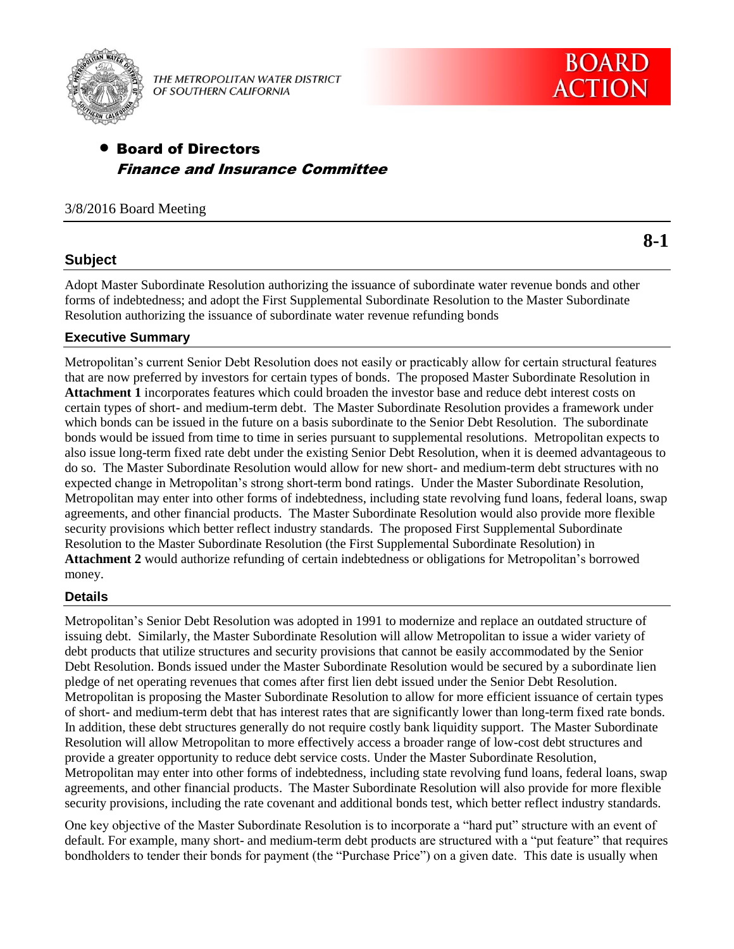

THE METROPOLITAN WATER DISTRICT OF SOUTHERN CALIFORNIA

# Board of Directors Finance and Insurance Committee

# 3/8/2016 Board Meeting

# **Subject**

Adopt Master Subordinate Resolution authorizing the issuance of subordinate water revenue bonds and other forms of indebtedness; and adopt the First Supplemental Subordinate Resolution to the Master Subordinate Resolution authorizing the issuance of subordinate water revenue refunding bonds

# **Executive Summary**

Metropolitan's current Senior Debt Resolution does not easily or practicably allow for certain structural features that are now preferred by investors for certain types of bonds. The proposed Master Subordinate Resolution in **Attachment 1** incorporates features which could broaden the investor base and reduce debt interest costs on certain types of short- and medium-term debt. The Master Subordinate Resolution provides a framework under which bonds can be issued in the future on a basis subordinate to the Senior Debt Resolution. The subordinate bonds would be issued from time to time in series pursuant to supplemental resolutions. Metropolitan expects to also issue long-term fixed rate debt under the existing Senior Debt Resolution, when it is deemed advantageous to do so. The Master Subordinate Resolution would allow for new short- and medium-term debt structures with no expected change in Metropolitan's strong short-term bond ratings. Under the Master Subordinate Resolution, Metropolitan may enter into other forms of indebtedness, including state revolving fund loans, federal loans, swap agreements, and other financial products. The Master Subordinate Resolution would also provide more flexible security provisions which better reflect industry standards. The proposed First Supplemental Subordinate Resolution to the Master Subordinate Resolution (the First Supplemental Subordinate Resolution) in **Attachment 2** would authorize refunding of certain indebtedness or obligations for Metropolitan's borrowed money.

# **Details**

Metropolitan's Senior Debt Resolution was adopted in 1991 to modernize and replace an outdated structure of issuing debt. Similarly, the Master Subordinate Resolution will allow Metropolitan to issue a wider variety of debt products that utilize structures and security provisions that cannot be easily accommodated by the Senior Debt Resolution. Bonds issued under the Master Subordinate Resolution would be secured by a subordinate lien pledge of net operating revenues that comes after first lien debt issued under the Senior Debt Resolution. Metropolitan is proposing the Master Subordinate Resolution to allow for more efficient issuance of certain types of short- and medium-term debt that has interest rates that are significantly lower than long-term fixed rate bonds. In addition, these debt structures generally do not require costly bank liquidity support. The Master Subordinate Resolution will allow Metropolitan to more effectively access a broader range of low-cost debt structures and provide a greater opportunity to reduce debt service costs. Under the Master Subordinate Resolution, Metropolitan may enter into other forms of indebtedness, including state revolving fund loans, federal loans, swap agreements, and other financial products. The Master Subordinate Resolution will also provide for more flexible security provisions, including the rate covenant and additional bonds test, which better reflect industry standards.

One key objective of the Master Subordinate Resolution is to incorporate a "hard put" structure with an event of default. For example, many short- and medium-term debt products are structured with a "put feature" that requires bondholders to tender their bonds for payment (the "Purchase Price") on a given date. This date is usually when

**8-1**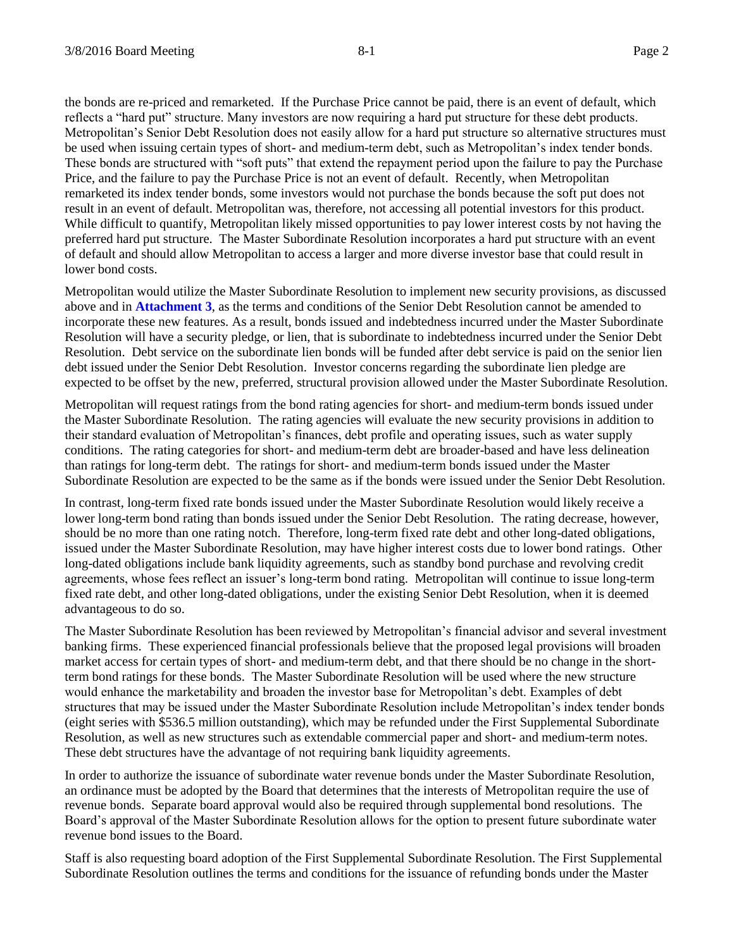the bonds are re-priced and remarketed. If the Purchase Price cannot be paid, there is an event of default, which reflects a "hard put" structure. Many investors are now requiring a hard put structure for these debt products. Metropolitan's Senior Debt Resolution does not easily allow for a hard put structure so alternative structures must be used when issuing certain types of short- and medium-term debt, such as Metropolitan's index tender bonds. These bonds are structured with "soft puts" that extend the repayment period upon the failure to pay the Purchase Price, and the failure to pay the Purchase Price is not an event of default. Recently, when Metropolitan remarketed its index tender bonds, some investors would not purchase the bonds because the soft put does not result in an event of default. Metropolitan was, therefore, not accessing all potential investors for this product. While difficult to quantify, Metropolitan likely missed opportunities to pay lower interest costs by not having the preferred hard put structure. The Master Subordinate Resolution incorporates a hard put structure with an event of default and should allow Metropolitan to access a larger and more diverse investor base that could result in lower bond costs.

Metropolitan would utilize the Master Subordinate Resolution to implement new security provisions, as discussed above and in **Attachment 3**, as the terms and conditions of the Senior Debt Resolution cannot be amended to incorporate these new features. As a result, bonds issued and indebtedness incurred under the Master Subordinate Resolution will have a security pledge, or lien, that is subordinate to indebtedness incurred under the Senior Debt Resolution. Debt service on the subordinate lien bonds will be funded after debt service is paid on the senior lien debt issued under the Senior Debt Resolution. Investor concerns regarding the subordinate lien pledge are expected to be offset by the new, preferred, structural provision allowed under the Master Subordinate Resolution.

Metropolitan will request ratings from the bond rating agencies for short- and medium-term bonds issued under the Master Subordinate Resolution. The rating agencies will evaluate the new security provisions in addition to their standard evaluation of Metropolitan's finances, debt profile and operating issues, such as water supply conditions. The rating categories for short- and medium-term debt are broader-based and have less delineation than ratings for long-term debt. The ratings for short- and medium-term bonds issued under the Master Subordinate Resolution are expected to be the same as if the bonds were issued under the Senior Debt Resolution.

In contrast, long-term fixed rate bonds issued under the Master Subordinate Resolution would likely receive a lower long-term bond rating than bonds issued under the Senior Debt Resolution. The rating decrease, however, should be no more than one rating notch. Therefore, long-term fixed rate debt and other long-dated obligations, issued under the Master Subordinate Resolution, may have higher interest costs due to lower bond ratings. Other long-dated obligations include bank liquidity agreements, such as standby bond purchase and revolving credit agreements, whose fees reflect an issuer's long-term bond rating. Metropolitan will continue to issue long-term fixed rate debt, and other long-dated obligations, under the existing Senior Debt Resolution, when it is deemed advantageous to do so.

The Master Subordinate Resolution has been reviewed by Metropolitan's financial advisor and several investment banking firms. These experienced financial professionals believe that the proposed legal provisions will broaden market access for certain types of short- and medium-term debt, and that there should be no change in the shortterm bond ratings for these bonds. The Master Subordinate Resolution will be used where the new structure would enhance the marketability and broaden the investor base for Metropolitan's debt. Examples of debt structures that may be issued under the Master Subordinate Resolution include Metropolitan's index tender bonds (eight series with \$536.5 million outstanding), which may be refunded under the First Supplemental Subordinate Resolution, as well as new structures such as extendable commercial paper and short- and medium-term notes. These debt structures have the advantage of not requiring bank liquidity agreements.

In order to authorize the issuance of subordinate water revenue bonds under the Master Subordinate Resolution, an ordinance must be adopted by the Board that determines that the interests of Metropolitan require the use of revenue bonds. Separate board approval would also be required through supplemental bond resolutions. The Board's approval of the Master Subordinate Resolution allows for the option to present future subordinate water revenue bond issues to the Board.

Staff is also requesting board adoption of the First Supplemental Subordinate Resolution. The First Supplemental Subordinate Resolution outlines the terms and conditions for the issuance of refunding bonds under the Master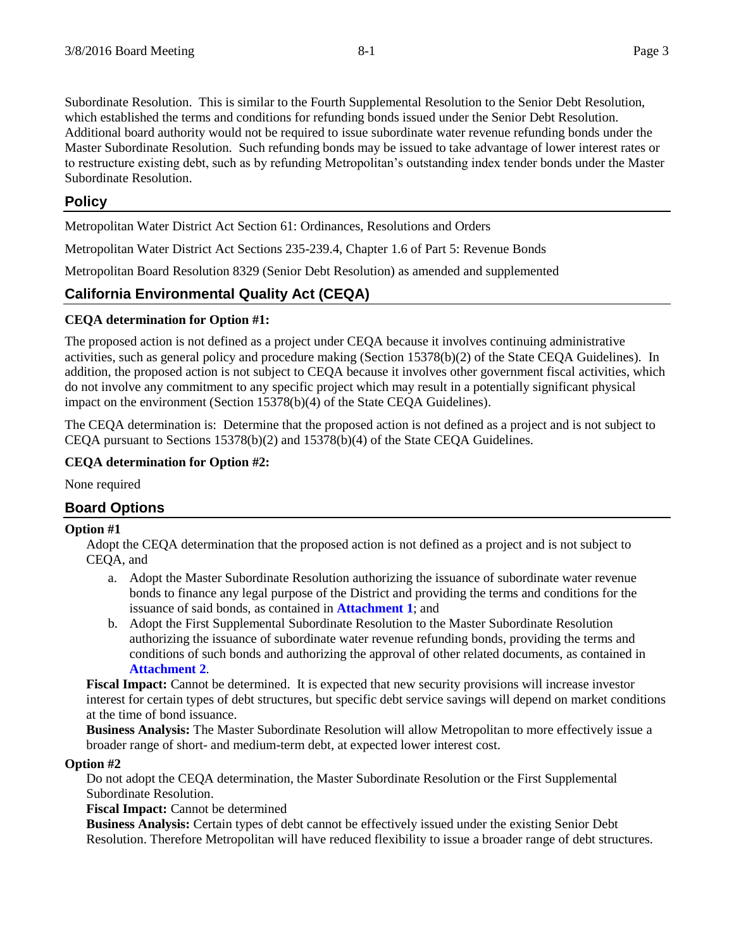Subordinate Resolution. This is similar to the Fourth Supplemental Resolution to the Senior Debt Resolution, which established the terms and conditions for refunding bonds issued under the Senior Debt Resolution. Additional board authority would not be required to issue subordinate water revenue refunding bonds under the Master Subordinate Resolution. Such refunding bonds may be issued to take advantage of lower interest rates or to restructure existing debt, such as by refunding Metropolitan's outstanding index tender bonds under the Master Subordinate Resolution.

# **Policy**

Metropolitan Water District Act Section 61: Ordinances, Resolutions and Orders

Metropolitan Water District Act Sections 235-239.4, Chapter 1.6 of Part 5: Revenue Bonds

Metropolitan Board Resolution 8329 (Senior Debt Resolution) as amended and supplemented

# **California Environmental Quality Act (CEQA)**

# **CEQA determination for Option #1:**

The proposed action is not defined as a project under CEQA because it involves continuing administrative activities, such as general policy and procedure making (Section 15378(b)(2) of the State CEQA Guidelines). In addition, the proposed action is not subject to CEQA because it involves other government fiscal activities, which do not involve any commitment to any specific project which may result in a potentially significant physical impact on the environment (Section 15378(b)(4) of the State CEQA Guidelines).

The CEQA determination is: Determine that the proposed action is not defined as a project and is not subject to CEQA pursuant to Sections 15378(b)(2) and 15378(b)(4) of the State CEQA Guidelines.

# **CEQA determination for Option #2:**

None required

# **Board Options**

### **Option #1**

Adopt the CEQA determination that the proposed action is not defined as a project and is not subject to CEQA, and

- a. Adopt the Master Subordinate Resolution authorizing the issuance of subordinate water revenue bonds to finance any legal purpose of the District and providing the terms and conditions for the issuance of said bonds, as contained in **Attachment 1**; and
- b. Adopt the First Supplemental Subordinate Resolution to the Master Subordinate Resolution authorizing the issuance of subordinate water revenue refunding bonds, providing the terms and conditions of such bonds and authorizing the approval of other related documents, as contained in **Attachment 2**.

**Fiscal Impact:** Cannot be determined. It is expected that new security provisions will increase investor interest for certain types of debt structures, but specific debt service savings will depend on market conditions at the time of bond issuance.

**Business Analysis:** The Master Subordinate Resolution will allow Metropolitan to more effectively issue a broader range of short- and medium-term debt, at expected lower interest cost.

# **Option #2**

Do not adopt the CEQA determination, the Master Subordinate Resolution or the First Supplemental Subordinate Resolution.

**Fiscal Impact:** Cannot be determined

**Business Analysis:** Certain types of debt cannot be effectively issued under the existing Senior Debt Resolution. Therefore Metropolitan will have reduced flexibility to issue a broader range of debt structures.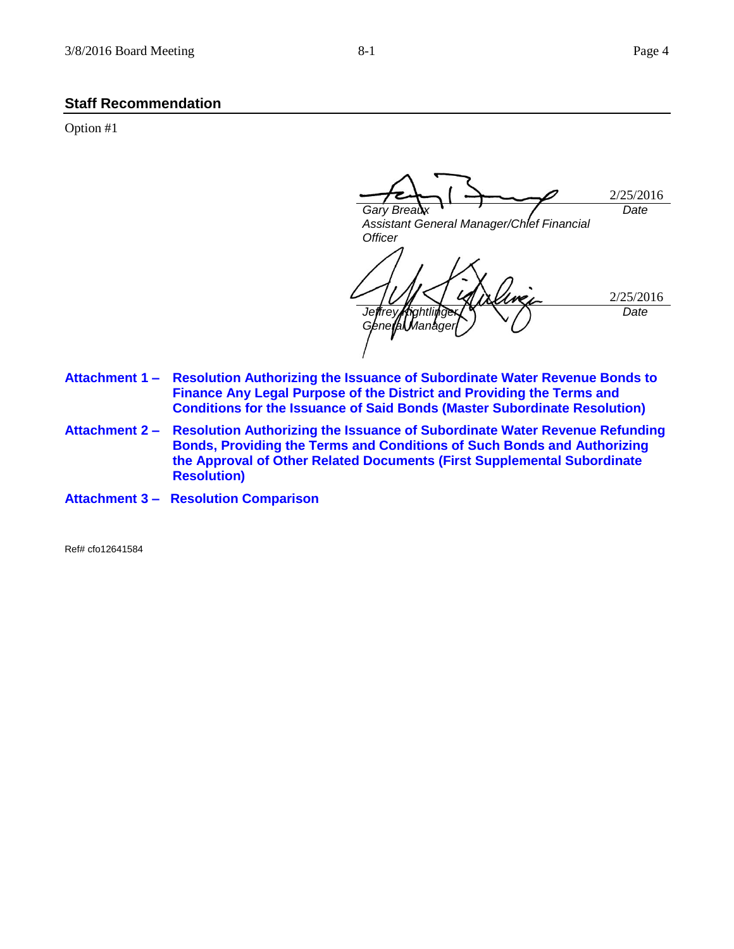**Staff Recommendation**

Option #1

2/25/2016 *Gary Breaux Assistant General Manager/Chief Financial Officer Date* 2/25/2016 Jeffrey**/Kightli** *General Manager Date*

- **Attachment 1 – Resolution Authorizing the Issuance of Subordinate Water Revenue Bonds to Finance Any Legal Purpose of the District and Providing the Terms and Conditions for the Issuance of Said Bonds (Master Subordinate Resolution)**
- **Attachment 2 – Resolution Authorizing the Issuance of Subordinate Water Revenue Refunding Bonds, Providing the Terms and Conditions of Such Bonds and Authorizing the Approval of Other Related Documents (First Supplemental Subordinate Resolution)**
- **Attachment 3 Resolution Comparison**

Ref# cfo12641584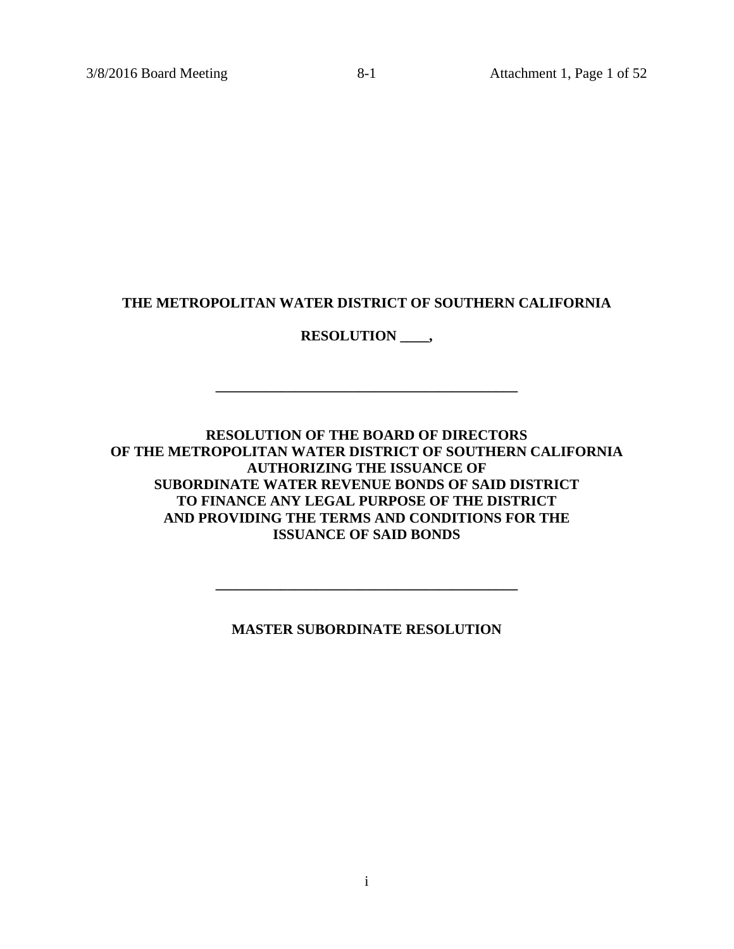# **THE METROPOLITAN WATER DISTRICT OF SOUTHERN CALIFORNIA**

# **RESOLUTION \_\_\_\_,**

**\_\_\_\_\_\_\_\_\_\_\_\_\_\_\_\_\_\_\_\_\_\_\_\_\_\_\_\_\_\_\_\_\_\_\_\_\_\_\_\_\_\_** 

# **RESOLUTION OF THE BOARD OF DIRECTORS OF THE METROPOLITAN WATER DISTRICT OF SOUTHERN CALIFORNIA AUTHORIZING THE ISSUANCE OF SUBORDINATE WATER REVENUE BONDS OF SAID DISTRICT TO FINANCE ANY LEGAL PURPOSE OF THE DISTRICT AND PROVIDING THE TERMS AND CONDITIONS FOR THE ISSUANCE OF SAID BONDS**

**MASTER SUBORDINATE RESOLUTION** 

**\_\_\_\_\_\_\_\_\_\_\_\_\_\_\_\_\_\_\_\_\_\_\_\_\_\_\_\_\_\_\_\_\_\_\_\_\_\_\_\_\_\_**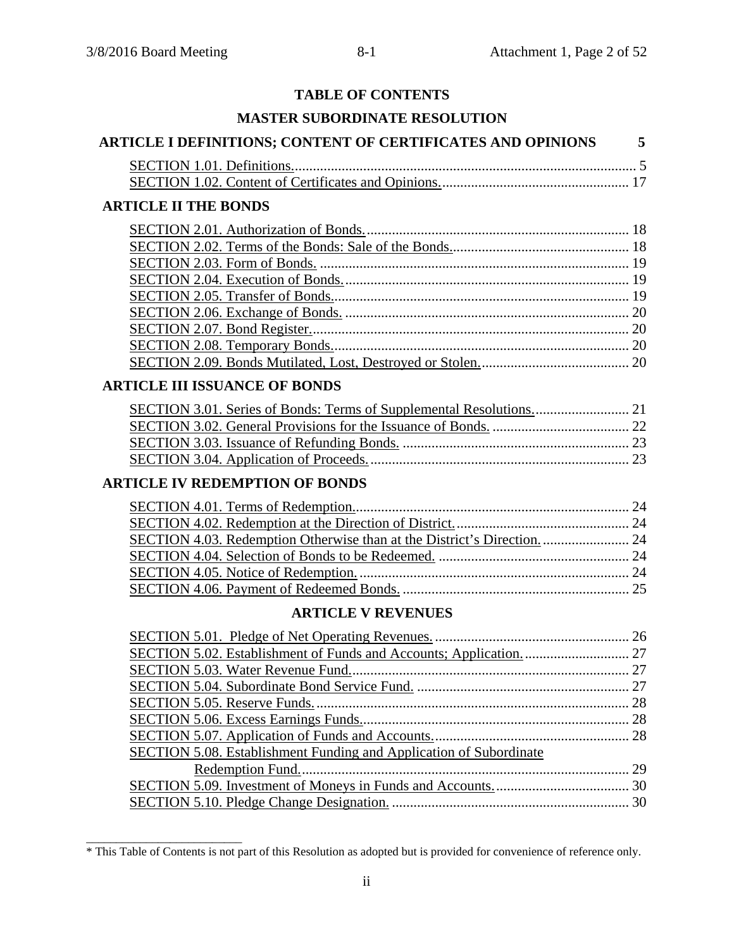# **TABLE OF CONTENTS**

# **MASTER SUBORDINATE RESOLUTION**

# **ARTICLE I DEFINITIONS; CONTENT OF CERTIFICATES AND OPINIONS 5** SECTION 1.01. Definitions. ............................................................................................... 5 SECTION 1.02. Content of Certificates and Opinions. .................................................... 17 **ARTICLE II THE BONDS**  SECTION 2.01. Authorization of Bonds. ......................................................................... 18 SECTION 2.02. Terms of the Bonds: Sale of the Bonds. ................................................. 18 SECTION 2.03. Form of Bonds. ...................................................................................... 19 SECTION 2.04. Execution of Bonds. ............................................................................... 19 SECTION 2.05. Transfer of Bonds. .................................................................................. 19 SECTION 2.06. Exchange of Bonds. ............................................................................... 20 SECTION 2.07. Bond Register. ........................................................................................ 20 SECTION 2.08. Temporary Bonds. .................................................................................. 20 SECTION 2.09. Bonds Mutilated, Lost, Destroyed or Stolen. ......................................... 20 **ARTICLE III ISSUANCE OF BONDS**

# **ARTICLE IV REDEMPTION OF BONDS**

\_\_\_\_\_\_\_\_\_\_\_\_\_\_\_\_\_\_\_\_\_\_\_\_\_\_

# **ARTICLE V REVENUES**

| SECTION 5.08. Establishment Funding and Application of Subordinate |  |
|--------------------------------------------------------------------|--|
|                                                                    |  |
|                                                                    |  |
|                                                                    |  |

<sup>\*</sup> This Table of Contents is not part of this Resolution as adopted but is provided for convenience of reference only.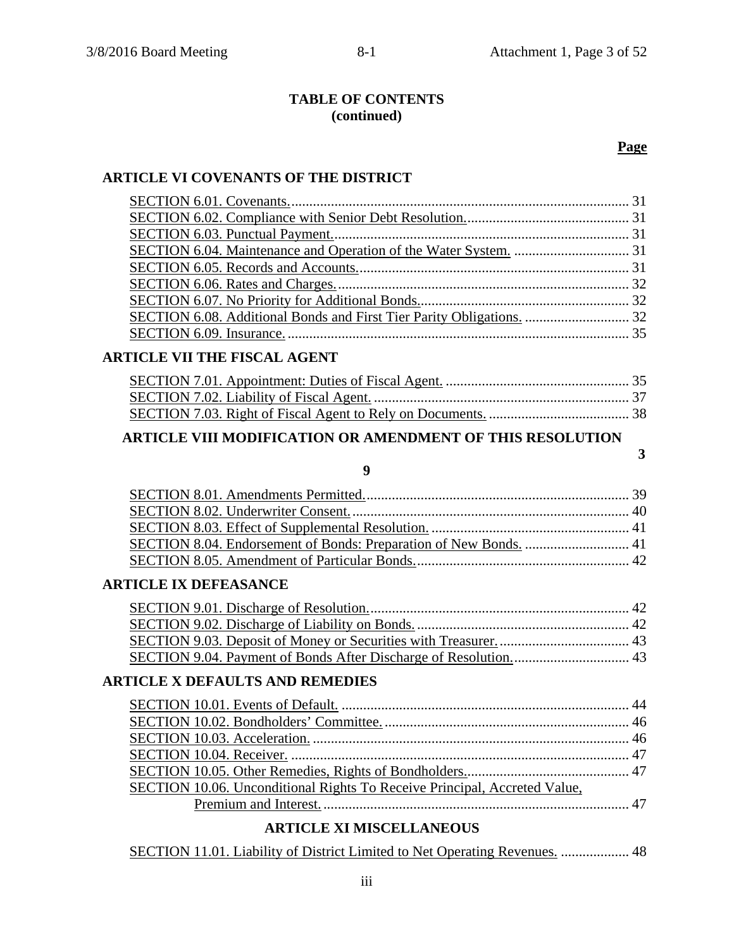# **TABLE OF CONTENTS (continued)**

# **Page**

### **ARTICLE VI COVENANTS OF THE DISTRICT**

# **ARTICLE VII THE FISCAL AGENT**

# **ARTICLE VIII MODIFICATION OR AMENDMENT OF THIS RESOLUTION**

# **3**

# **9**

# **ARTICLE IX DEFEASANCE**

# **ARTICLE X DEFAULTS AND REMEDIES**

| SECTION 10.06. Unconditional Rights To Receive Principal, Accreted Value, |  |
|---------------------------------------------------------------------------|--|
|                                                                           |  |

# **ARTICLE XI MISCELLANEOUS**

| SECTION 11.01. Liability of District Limited to Net Operating Revenues.  48 |
|-----------------------------------------------------------------------------|
|-----------------------------------------------------------------------------|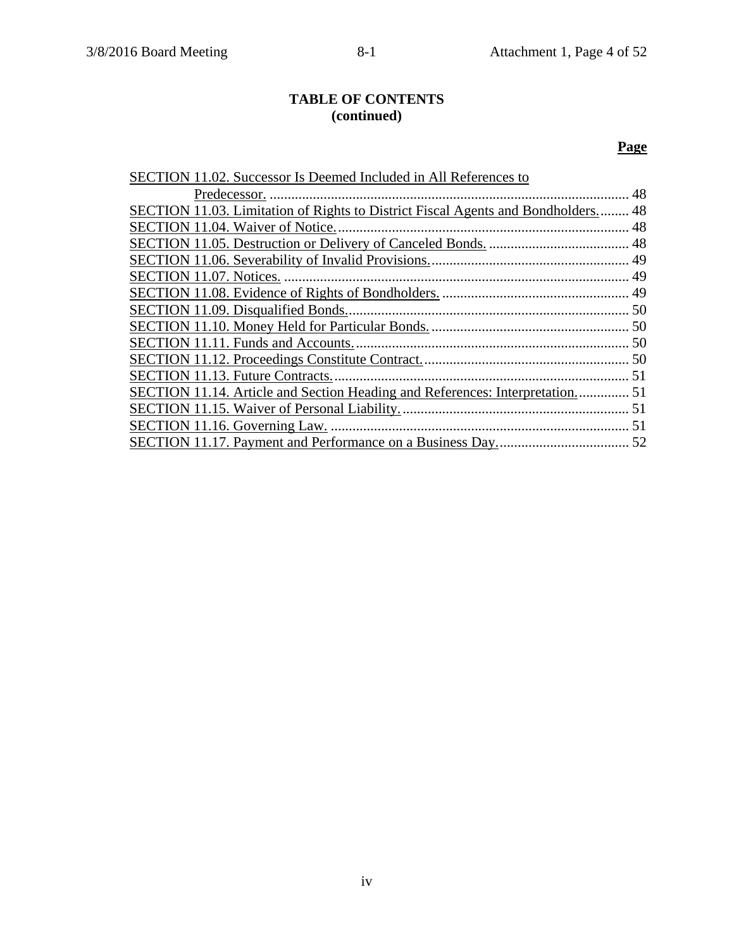# **TABLE OF CONTENTS (continued)**

# **Page**

| SECTION 11.02. Successor Is Deemed Included in All References to                        |    |
|-----------------------------------------------------------------------------------------|----|
|                                                                                         | 48 |
| <b>SECTION 11.03. Limitation of Rights to District Fiscal Agents and Bondholders 48</b> |    |
| SECTION 11.04. Waiver of Notice.                                                        |    |
|                                                                                         |    |
|                                                                                         |    |
|                                                                                         |    |
|                                                                                         |    |
|                                                                                         |    |
|                                                                                         |    |
|                                                                                         |    |
|                                                                                         |    |
| SECTION 11.13. Future Contracts                                                         |    |
| SECTION 11.14. Article and Section Heading and References: Interpretation 51            |    |
|                                                                                         |    |
|                                                                                         |    |
|                                                                                         |    |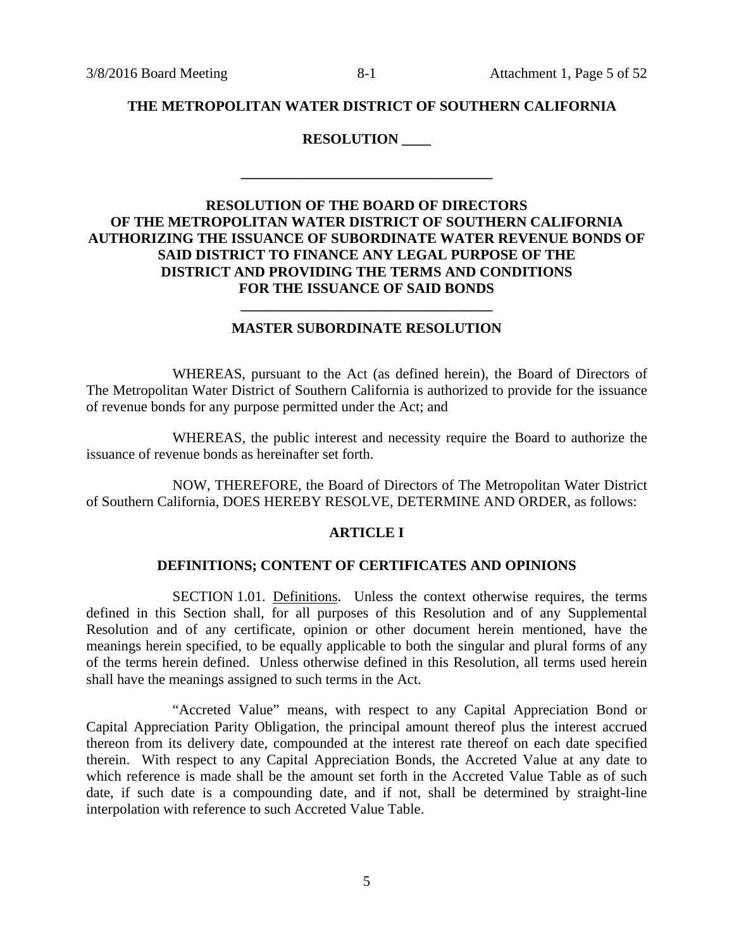### **THE METROPOLITAN WATER DISTRICT OF SOUTHERN CALIFORNIA**

### **RESOLUTION \_\_\_\_**

**\_\_\_\_\_\_\_\_\_\_\_\_\_\_\_\_\_\_\_\_\_\_\_\_\_\_\_\_\_\_\_\_\_\_\_** 

# **RESOLUTION OF THE BOARD OF DIRECTORS OF THE METROPOLITAN WATER DISTRICT OF SOUTHERN CALIFORNIA AUTHORIZING THE ISSUANCE OF SUBORDINATE WATER REVENUE BONDS OF SAID DISTRICT TO FINANCE ANY LEGAL PURPOSE OF THE DISTRICT AND PROVIDING THE TERMS AND CONDITIONS FOR THE ISSUANCE OF SAID BONDS**

### **MASTER SUBORDINATE RESOLUTION**

**\_\_\_\_\_\_\_\_\_\_\_\_\_\_\_\_\_\_\_\_\_\_\_\_\_\_\_\_\_\_\_\_\_\_\_** 

WHEREAS, pursuant to the Act (as defined herein), the Board of Directors of The Metropolitan Water District of Southern California is authorized to provide for the issuance of revenue bonds for any purpose permitted under the Act; and

WHEREAS, the public interest and necessity require the Board to authorize the issuance of revenue bonds as hereinafter set forth.

NOW, THEREFORE, the Board of Directors of The Metropolitan Water District of Southern California, DOES HEREBY RESOLVE, DETERMINE AND ORDER, as follows:

#### **ARTICLE I**

#### **DEFINITIONS; CONTENT OF CERTIFICATES AND OPINIONS**

SECTION 1.01. Definitions. Unless the context otherwise requires, the terms defined in this Section shall, for all purposes of this Resolution and of any Supplemental Resolution and of any certificate, opinion or other document herein mentioned, have the meanings herein specified, to be equally applicable to both the singular and plural forms of any of the terms herein defined. Unless otherwise defined in this Resolution, all terms used herein shall have the meanings assigned to such terms in the Act.

"Accreted Value" means, with respect to any Capital Appreciation Bond or Capital Appreciation Parity Obligation, the principal amount thereof plus the interest accrued thereon from its delivery date, compounded at the interest rate thereof on each date specified therein. With respect to any Capital Appreciation Bonds, the Accreted Value at any date to which reference is made shall be the amount set forth in the Accreted Value Table as of such date, if such date is a compounding date, and if not, shall be determined by straight-line interpolation with reference to such Accreted Value Table.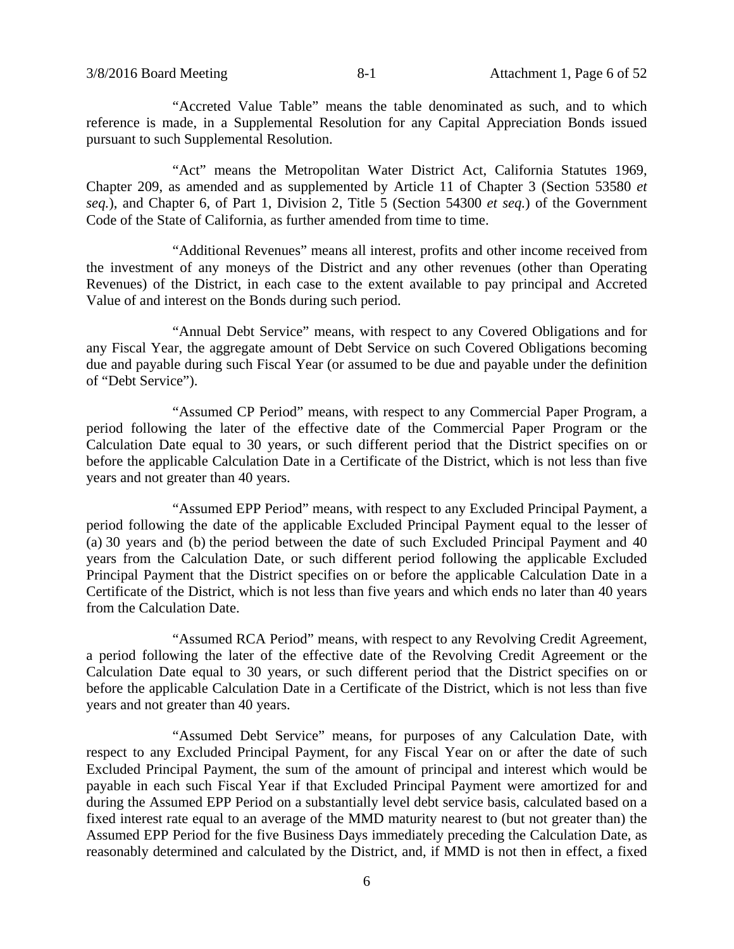"Accreted Value Table" means the table denominated as such, and to which reference is made, in a Supplemental Resolution for any Capital Appreciation Bonds issued pursuant to such Supplemental Resolution.

"Act" means the Metropolitan Water District Act, California Statutes 1969, Chapter 209, as amended and as supplemented by Article 11 of Chapter 3 (Section 53580 *et seq.*), and Chapter 6, of Part 1, Division 2, Title 5 (Section 54300 *et seq.*) of the Government Code of the State of California, as further amended from time to time.

"Additional Revenues" means all interest, profits and other income received from the investment of any moneys of the District and any other revenues (other than Operating Revenues) of the District, in each case to the extent available to pay principal and Accreted Value of and interest on the Bonds during such period.

"Annual Debt Service" means, with respect to any Covered Obligations and for any Fiscal Year, the aggregate amount of Debt Service on such Covered Obligations becoming due and payable during such Fiscal Year (or assumed to be due and payable under the definition of "Debt Service").

"Assumed CP Period" means, with respect to any Commercial Paper Program, a period following the later of the effective date of the Commercial Paper Program or the Calculation Date equal to 30 years, or such different period that the District specifies on or before the applicable Calculation Date in a Certificate of the District, which is not less than five years and not greater than 40 years.

"Assumed EPP Period" means, with respect to any Excluded Principal Payment, a period following the date of the applicable Excluded Principal Payment equal to the lesser of (a) 30 years and (b) the period between the date of such Excluded Principal Payment and 40 years from the Calculation Date, or such different period following the applicable Excluded Principal Payment that the District specifies on or before the applicable Calculation Date in a Certificate of the District, which is not less than five years and which ends no later than 40 years from the Calculation Date.

"Assumed RCA Period" means, with respect to any Revolving Credit Agreement, a period following the later of the effective date of the Revolving Credit Agreement or the Calculation Date equal to 30 years, or such different period that the District specifies on or before the applicable Calculation Date in a Certificate of the District, which is not less than five years and not greater than 40 years.

"Assumed Debt Service" means, for purposes of any Calculation Date, with respect to any Excluded Principal Payment, for any Fiscal Year on or after the date of such Excluded Principal Payment, the sum of the amount of principal and interest which would be payable in each such Fiscal Year if that Excluded Principal Payment were amortized for and during the Assumed EPP Period on a substantially level debt service basis, calculated based on a fixed interest rate equal to an average of the MMD maturity nearest to (but not greater than) the Assumed EPP Period for the five Business Days immediately preceding the Calculation Date, as reasonably determined and calculated by the District, and, if MMD is not then in effect, a fixed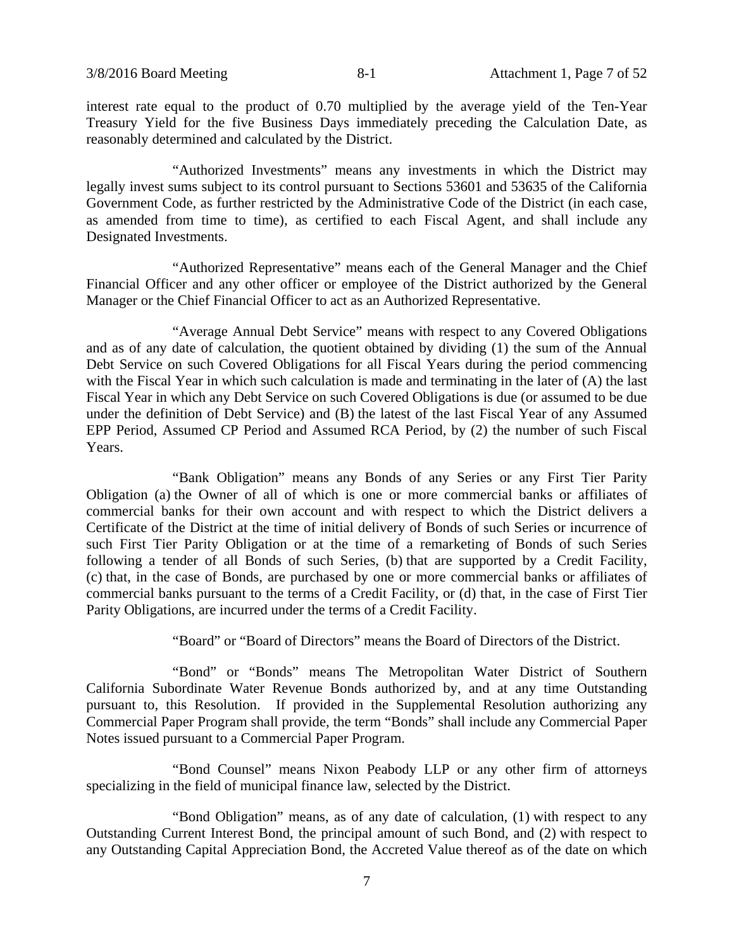interest rate equal to the product of 0.70 multiplied by the average yield of the Ten-Year Treasury Yield for the five Business Days immediately preceding the Calculation Date, as reasonably determined and calculated by the District.

"Authorized Investments" means any investments in which the District may legally invest sums subject to its control pursuant to Sections 53601 and 53635 of the California Government Code, as further restricted by the Administrative Code of the District (in each case, as amended from time to time), as certified to each Fiscal Agent, and shall include any Designated Investments.

"Authorized Representative" means each of the General Manager and the Chief Financial Officer and any other officer or employee of the District authorized by the General Manager or the Chief Financial Officer to act as an Authorized Representative.

"Average Annual Debt Service" means with respect to any Covered Obligations and as of any date of calculation, the quotient obtained by dividing (1) the sum of the Annual Debt Service on such Covered Obligations for all Fiscal Years during the period commencing with the Fiscal Year in which such calculation is made and terminating in the later of (A) the last Fiscal Year in which any Debt Service on such Covered Obligations is due (or assumed to be due under the definition of Debt Service) and (B) the latest of the last Fiscal Year of any Assumed EPP Period, Assumed CP Period and Assumed RCA Period, by (2) the number of such Fiscal Years.

"Bank Obligation" means any Bonds of any Series or any First Tier Parity Obligation (a) the Owner of all of which is one or more commercial banks or affiliates of commercial banks for their own account and with respect to which the District delivers a Certificate of the District at the time of initial delivery of Bonds of such Series or incurrence of such First Tier Parity Obligation or at the time of a remarketing of Bonds of such Series following a tender of all Bonds of such Series, (b) that are supported by a Credit Facility, (c) that, in the case of Bonds, are purchased by one or more commercial banks or affiliates of commercial banks pursuant to the terms of a Credit Facility, or (d) that, in the case of First Tier Parity Obligations, are incurred under the terms of a Credit Facility.

"Board" or "Board of Directors" means the Board of Directors of the District.

"Bond" or "Bonds" means The Metropolitan Water District of Southern California Subordinate Water Revenue Bonds authorized by, and at any time Outstanding pursuant to, this Resolution. If provided in the Supplemental Resolution authorizing any Commercial Paper Program shall provide, the term "Bonds" shall include any Commercial Paper Notes issued pursuant to a Commercial Paper Program.

"Bond Counsel" means Nixon Peabody LLP or any other firm of attorneys specializing in the field of municipal finance law, selected by the District.

"Bond Obligation" means, as of any date of calculation, (1) with respect to any Outstanding Current Interest Bond, the principal amount of such Bond, and (2) with respect to any Outstanding Capital Appreciation Bond, the Accreted Value thereof as of the date on which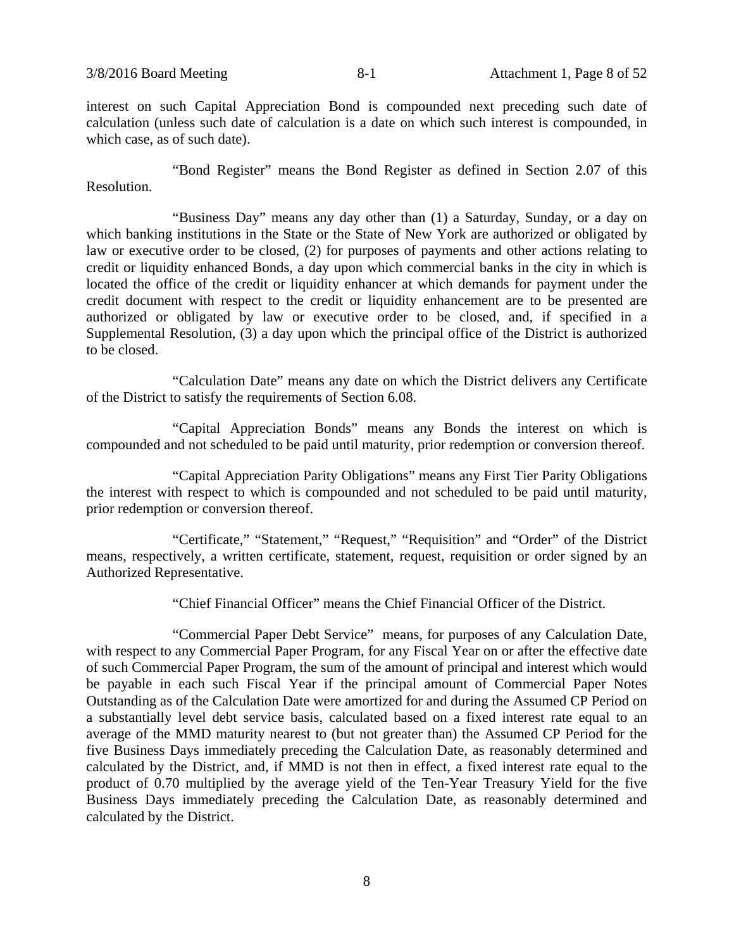interest on such Capital Appreciation Bond is compounded next preceding such date of calculation (unless such date of calculation is a date on which such interest is compounded, in which case, as of such date).

"Bond Register" means the Bond Register as defined in Section 2.07 of this Resolution.

"Business Day" means any day other than (1) a Saturday, Sunday, or a day on which banking institutions in the State or the State of New York are authorized or obligated by law or executive order to be closed, (2) for purposes of payments and other actions relating to credit or liquidity enhanced Bonds, a day upon which commercial banks in the city in which is located the office of the credit or liquidity enhancer at which demands for payment under the credit document with respect to the credit or liquidity enhancement are to be presented are authorized or obligated by law or executive order to be closed, and, if specified in a Supplemental Resolution, (3) a day upon which the principal office of the District is authorized to be closed.

"Calculation Date" means any date on which the District delivers any Certificate of the District to satisfy the requirements of Section 6.08.

"Capital Appreciation Bonds" means any Bonds the interest on which is compounded and not scheduled to be paid until maturity, prior redemption or conversion thereof.

"Capital Appreciation Parity Obligations" means any First Tier Parity Obligations the interest with respect to which is compounded and not scheduled to be paid until maturity, prior redemption or conversion thereof.

"Certificate," "Statement," "Request," "Requisition" and "Order" of the District means, respectively, a written certificate, statement, request, requisition or order signed by an Authorized Representative.

"Chief Financial Officer" means the Chief Financial Officer of the District.

"Commercial Paper Debt Service" means, for purposes of any Calculation Date, with respect to any Commercial Paper Program, for any Fiscal Year on or after the effective date of such Commercial Paper Program, the sum of the amount of principal and interest which would be payable in each such Fiscal Year if the principal amount of Commercial Paper Notes Outstanding as of the Calculation Date were amortized for and during the Assumed CP Period on a substantially level debt service basis, calculated based on a fixed interest rate equal to an average of the MMD maturity nearest to (but not greater than) the Assumed CP Period for the five Business Days immediately preceding the Calculation Date, as reasonably determined and calculated by the District, and, if MMD is not then in effect, a fixed interest rate equal to the product of 0.70 multiplied by the average yield of the Ten-Year Treasury Yield for the five Business Days immediately preceding the Calculation Date, as reasonably determined and calculated by the District.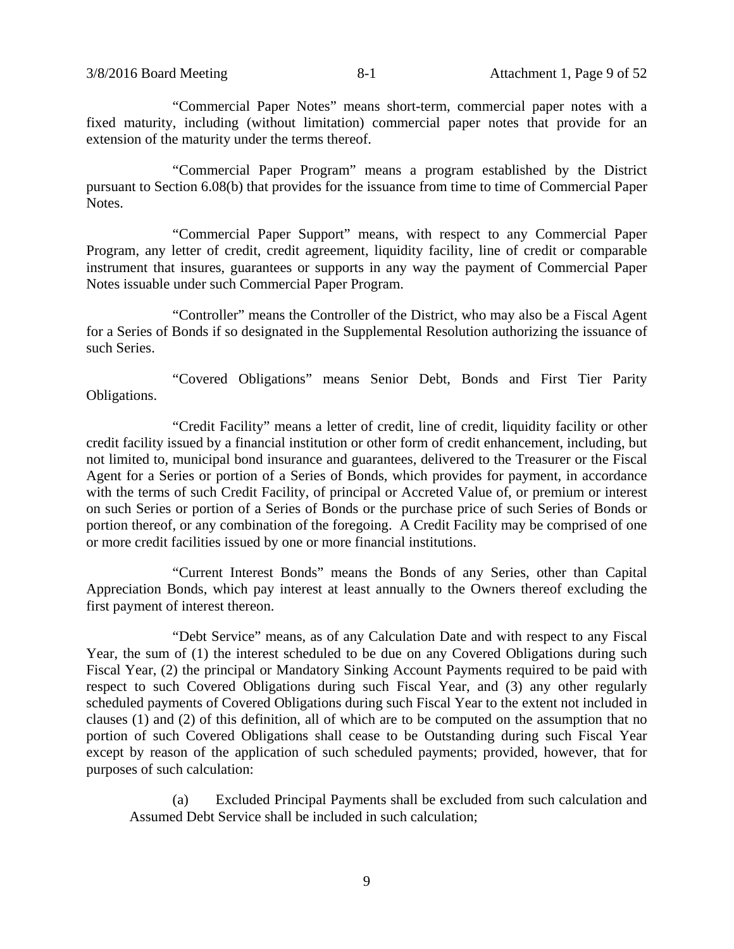"Commercial Paper Notes" means short-term, commercial paper notes with a fixed maturity, including (without limitation) commercial paper notes that provide for an extension of the maturity under the terms thereof.

"Commercial Paper Program" means a program established by the District pursuant to Section 6.08(b) that provides for the issuance from time to time of Commercial Paper Notes.

"Commercial Paper Support" means, with respect to any Commercial Paper Program, any letter of credit, credit agreement, liquidity facility, line of credit or comparable instrument that insures, guarantees or supports in any way the payment of Commercial Paper Notes issuable under such Commercial Paper Program.

"Controller" means the Controller of the District, who may also be a Fiscal Agent for a Series of Bonds if so designated in the Supplemental Resolution authorizing the issuance of such Series.

"Covered Obligations" means Senior Debt, Bonds and First Tier Parity Obligations.

"Credit Facility" means a letter of credit, line of credit, liquidity facility or other credit facility issued by a financial institution or other form of credit enhancement, including, but not limited to, municipal bond insurance and guarantees, delivered to the Treasurer or the Fiscal Agent for a Series or portion of a Series of Bonds, which provides for payment, in accordance with the terms of such Credit Facility, of principal or Accreted Value of, or premium or interest on such Series or portion of a Series of Bonds or the purchase price of such Series of Bonds or portion thereof, or any combination of the foregoing. A Credit Facility may be comprised of one or more credit facilities issued by one or more financial institutions.

"Current Interest Bonds" means the Bonds of any Series, other than Capital Appreciation Bonds, which pay interest at least annually to the Owners thereof excluding the first payment of interest thereon.

"Debt Service" means, as of any Calculation Date and with respect to any Fiscal Year, the sum of (1) the interest scheduled to be due on any Covered Obligations during such Fiscal Year, (2) the principal or Mandatory Sinking Account Payments required to be paid with respect to such Covered Obligations during such Fiscal Year, and (3) any other regularly scheduled payments of Covered Obligations during such Fiscal Year to the extent not included in clauses (1) and (2) of this definition, all of which are to be computed on the assumption that no portion of such Covered Obligations shall cease to be Outstanding during such Fiscal Year except by reason of the application of such scheduled payments; provided, however, that for purposes of such calculation:

(a) Excluded Principal Payments shall be excluded from such calculation and Assumed Debt Service shall be included in such calculation;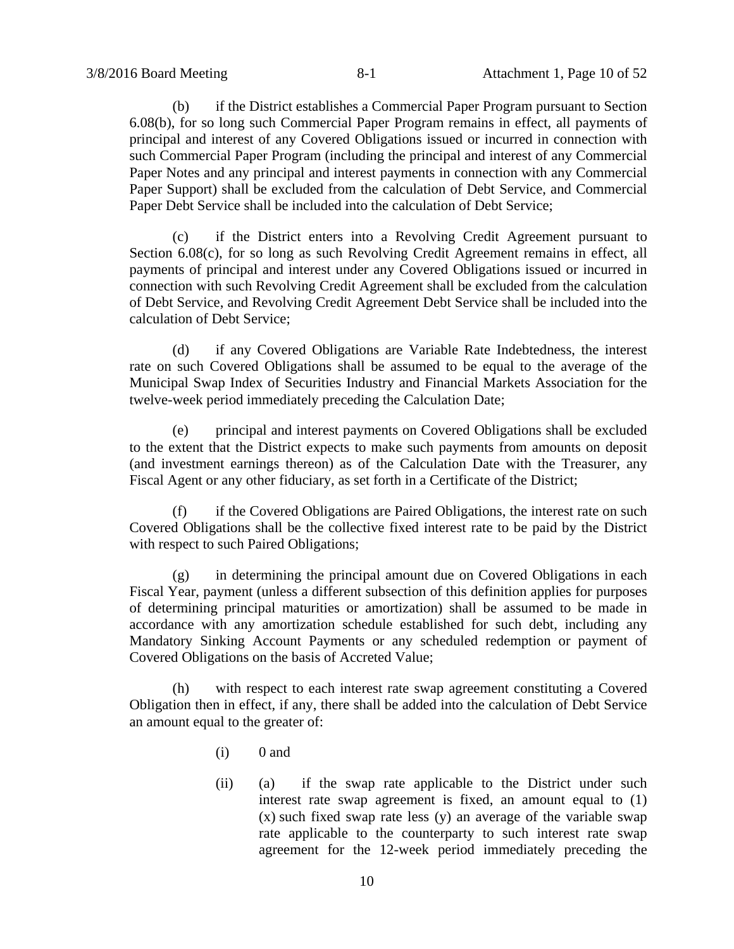(b) if the District establishes a Commercial Paper Program pursuant to Section 6.08(b), for so long such Commercial Paper Program remains in effect, all payments of principal and interest of any Covered Obligations issued or incurred in connection with such Commercial Paper Program (including the principal and interest of any Commercial Paper Notes and any principal and interest payments in connection with any Commercial Paper Support) shall be excluded from the calculation of Debt Service, and Commercial Paper Debt Service shall be included into the calculation of Debt Service;

(c) if the District enters into a Revolving Credit Agreement pursuant to Section 6.08(c), for so long as such Revolving Credit Agreement remains in effect, all payments of principal and interest under any Covered Obligations issued or incurred in connection with such Revolving Credit Agreement shall be excluded from the calculation of Debt Service, and Revolving Credit Agreement Debt Service shall be included into the calculation of Debt Service;

(d) if any Covered Obligations are Variable Rate Indebtedness, the interest rate on such Covered Obligations shall be assumed to be equal to the average of the Municipal Swap Index of Securities Industry and Financial Markets Association for the twelve-week period immediately preceding the Calculation Date;

(e) principal and interest payments on Covered Obligations shall be excluded to the extent that the District expects to make such payments from amounts on deposit (and investment earnings thereon) as of the Calculation Date with the Treasurer, any Fiscal Agent or any other fiduciary, as set forth in a Certificate of the District;

(f) if the Covered Obligations are Paired Obligations, the interest rate on such Covered Obligations shall be the collective fixed interest rate to be paid by the District with respect to such Paired Obligations;

(g) in determining the principal amount due on Covered Obligations in each Fiscal Year, payment (unless a different subsection of this definition applies for purposes of determining principal maturities or amortization) shall be assumed to be made in accordance with any amortization schedule established for such debt, including any Mandatory Sinking Account Payments or any scheduled redemption or payment of Covered Obligations on the basis of Accreted Value;

(h) with respect to each interest rate swap agreement constituting a Covered Obligation then in effect, if any, there shall be added into the calculation of Debt Service an amount equal to the greater of:

- $(i)$  0 and
- (ii) (a) if the swap rate applicable to the District under such interest rate swap agreement is fixed, an amount equal to (1) (x) such fixed swap rate less (y) an average of the variable swap rate applicable to the counterparty to such interest rate swap agreement for the 12-week period immediately preceding the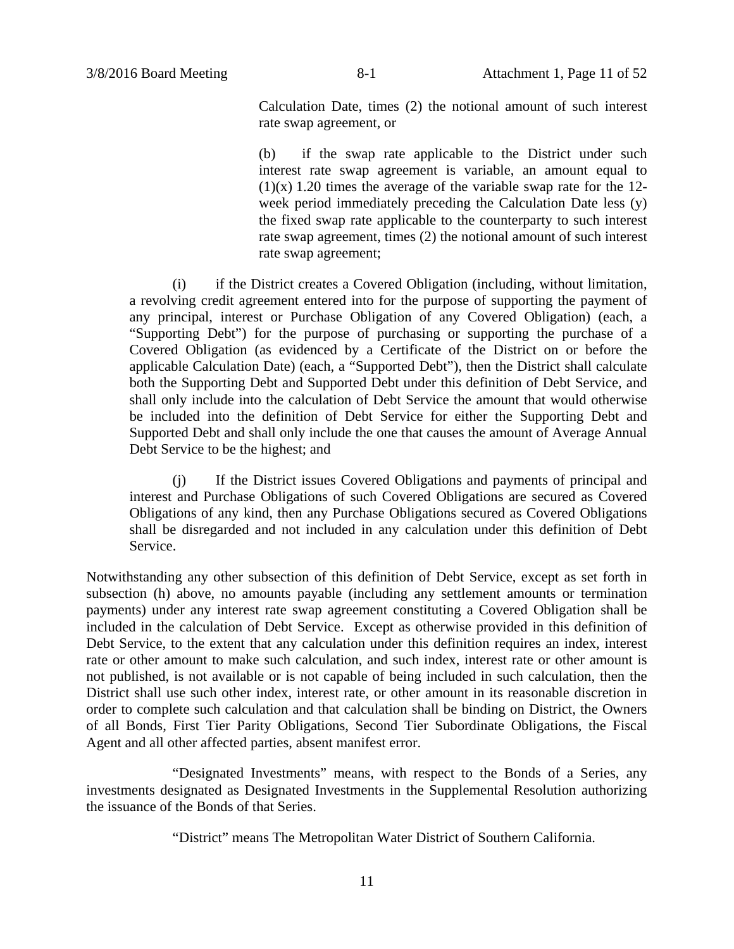Calculation Date, times (2) the notional amount of such interest rate swap agreement, or

(b) if the swap rate applicable to the District under such interest rate swap agreement is variable, an amount equal to  $(1)(x)$  1.20 times the average of the variable swap rate for the 12week period immediately preceding the Calculation Date less (y) the fixed swap rate applicable to the counterparty to such interest rate swap agreement, times (2) the notional amount of such interest rate swap agreement;

(i) if the District creates a Covered Obligation (including, without limitation, a revolving credit agreement entered into for the purpose of supporting the payment of any principal, interest or Purchase Obligation of any Covered Obligation) (each, a "Supporting Debt") for the purpose of purchasing or supporting the purchase of a Covered Obligation (as evidenced by a Certificate of the District on or before the applicable Calculation Date) (each, a "Supported Debt"), then the District shall calculate both the Supporting Debt and Supported Debt under this definition of Debt Service, and shall only include into the calculation of Debt Service the amount that would otherwise be included into the definition of Debt Service for either the Supporting Debt and Supported Debt and shall only include the one that causes the amount of Average Annual Debt Service to be the highest; and

(j) If the District issues Covered Obligations and payments of principal and interest and Purchase Obligations of such Covered Obligations are secured as Covered Obligations of any kind, then any Purchase Obligations secured as Covered Obligations shall be disregarded and not included in any calculation under this definition of Debt Service.

Notwithstanding any other subsection of this definition of Debt Service, except as set forth in subsection (h) above, no amounts payable (including any settlement amounts or termination payments) under any interest rate swap agreement constituting a Covered Obligation shall be included in the calculation of Debt Service. Except as otherwise provided in this definition of Debt Service, to the extent that any calculation under this definition requires an index, interest rate or other amount to make such calculation, and such index, interest rate or other amount is not published, is not available or is not capable of being included in such calculation, then the District shall use such other index, interest rate, or other amount in its reasonable discretion in order to complete such calculation and that calculation shall be binding on District, the Owners of all Bonds, First Tier Parity Obligations, Second Tier Subordinate Obligations, the Fiscal Agent and all other affected parties, absent manifest error.

"Designated Investments" means, with respect to the Bonds of a Series, any investments designated as Designated Investments in the Supplemental Resolution authorizing the issuance of the Bonds of that Series.

"District" means The Metropolitan Water District of Southern California.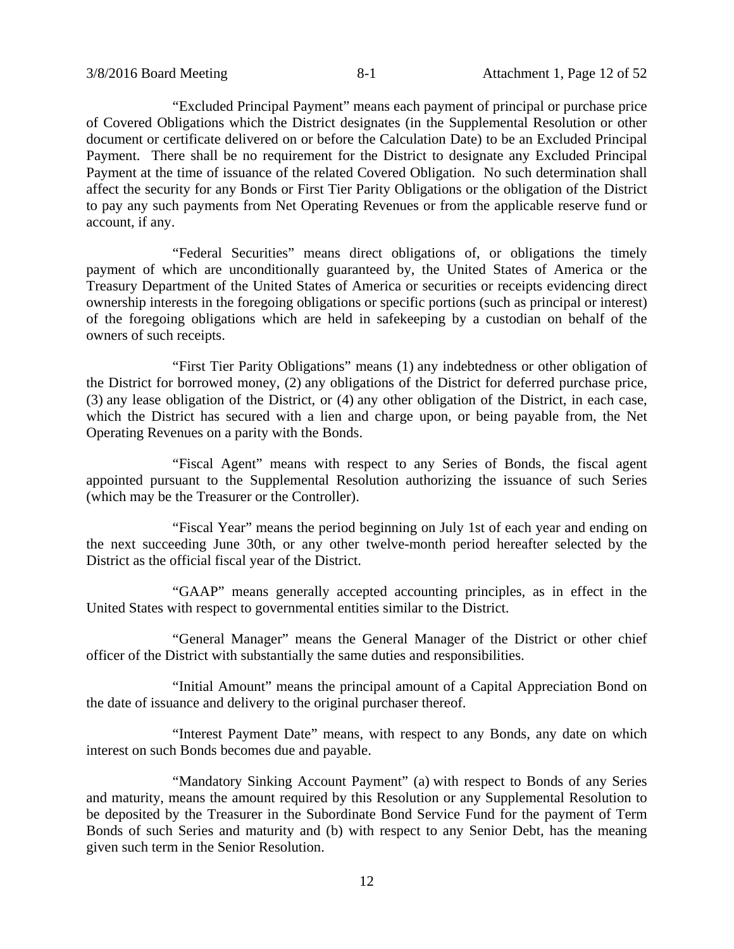"Excluded Principal Payment" means each payment of principal or purchase price of Covered Obligations which the District designates (in the Supplemental Resolution or other document or certificate delivered on or before the Calculation Date) to be an Excluded Principal Payment. There shall be no requirement for the District to designate any Excluded Principal Payment at the time of issuance of the related Covered Obligation. No such determination shall affect the security for any Bonds or First Tier Parity Obligations or the obligation of the District to pay any such payments from Net Operating Revenues or from the applicable reserve fund or account, if any.

"Federal Securities" means direct obligations of, or obligations the timely payment of which are unconditionally guaranteed by, the United States of America or the Treasury Department of the United States of America or securities or receipts evidencing direct ownership interests in the foregoing obligations or specific portions (such as principal or interest) of the foregoing obligations which are held in safekeeping by a custodian on behalf of the owners of such receipts.

"First Tier Parity Obligations" means (1) any indebtedness or other obligation of the District for borrowed money, (2) any obligations of the District for deferred purchase price, (3) any lease obligation of the District, or (4) any other obligation of the District, in each case, which the District has secured with a lien and charge upon, or being payable from, the Net Operating Revenues on a parity with the Bonds.

"Fiscal Agent" means with respect to any Series of Bonds, the fiscal agent appointed pursuant to the Supplemental Resolution authorizing the issuance of such Series (which may be the Treasurer or the Controller).

"Fiscal Year" means the period beginning on July 1st of each year and ending on the next succeeding June 30th, or any other twelve-month period hereafter selected by the District as the official fiscal year of the District.

"GAAP" means generally accepted accounting principles, as in effect in the United States with respect to governmental entities similar to the District.

"General Manager" means the General Manager of the District or other chief officer of the District with substantially the same duties and responsibilities.

"Initial Amount" means the principal amount of a Capital Appreciation Bond on the date of issuance and delivery to the original purchaser thereof.

"Interest Payment Date" means, with respect to any Bonds, any date on which interest on such Bonds becomes due and payable.

"Mandatory Sinking Account Payment" (a) with respect to Bonds of any Series and maturity, means the amount required by this Resolution or any Supplemental Resolution to be deposited by the Treasurer in the Subordinate Bond Service Fund for the payment of Term Bonds of such Series and maturity and (b) with respect to any Senior Debt, has the meaning given such term in the Senior Resolution.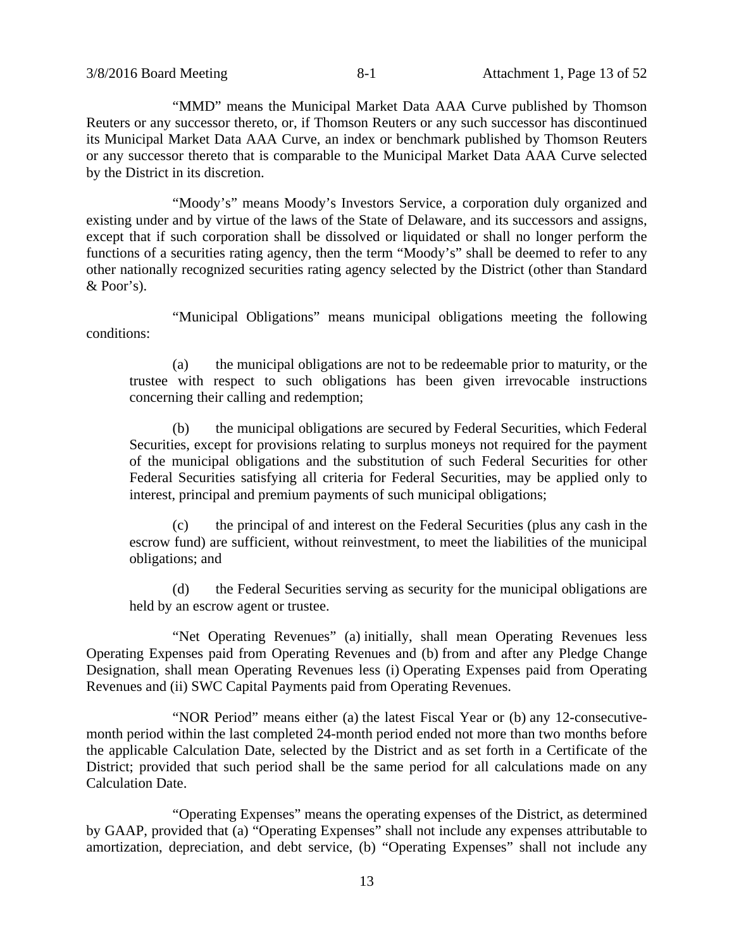"MMD" means the Municipal Market Data AAA Curve published by Thomson Reuters or any successor thereto, or, if Thomson Reuters or any such successor has discontinued its Municipal Market Data AAA Curve, an index or benchmark published by Thomson Reuters or any successor thereto that is comparable to the Municipal Market Data AAA Curve selected by the District in its discretion.

"Moody's" means Moody's Investors Service, a corporation duly organized and existing under and by virtue of the laws of the State of Delaware, and its successors and assigns, except that if such corporation shall be dissolved or liquidated or shall no longer perform the functions of a securities rating agency, then the term "Moody's" shall be deemed to refer to any other nationally recognized securities rating agency selected by the District (other than Standard & Poor's).

"Municipal Obligations" means municipal obligations meeting the following conditions:

(a) the municipal obligations are not to be redeemable prior to maturity, or the trustee with respect to such obligations has been given irrevocable instructions concerning their calling and redemption;

(b) the municipal obligations are secured by Federal Securities, which Federal Securities, except for provisions relating to surplus moneys not required for the payment of the municipal obligations and the substitution of such Federal Securities for other Federal Securities satisfying all criteria for Federal Securities, may be applied only to interest, principal and premium payments of such municipal obligations;

(c) the principal of and interest on the Federal Securities (plus any cash in the escrow fund) are sufficient, without reinvestment, to meet the liabilities of the municipal obligations; and

(d) the Federal Securities serving as security for the municipal obligations are held by an escrow agent or trustee.

"Net Operating Revenues" (a) initially, shall mean Operating Revenues less Operating Expenses paid from Operating Revenues and (b) from and after any Pledge Change Designation, shall mean Operating Revenues less (i) Operating Expenses paid from Operating Revenues and (ii) SWC Capital Payments paid from Operating Revenues.

"NOR Period" means either (a) the latest Fiscal Year or (b) any 12-consecutivemonth period within the last completed 24-month period ended not more than two months before the applicable Calculation Date, selected by the District and as set forth in a Certificate of the District; provided that such period shall be the same period for all calculations made on any Calculation Date.

"Operating Expenses" means the operating expenses of the District, as determined by GAAP, provided that (a) "Operating Expenses" shall not include any expenses attributable to amortization, depreciation, and debt service, (b) "Operating Expenses" shall not include any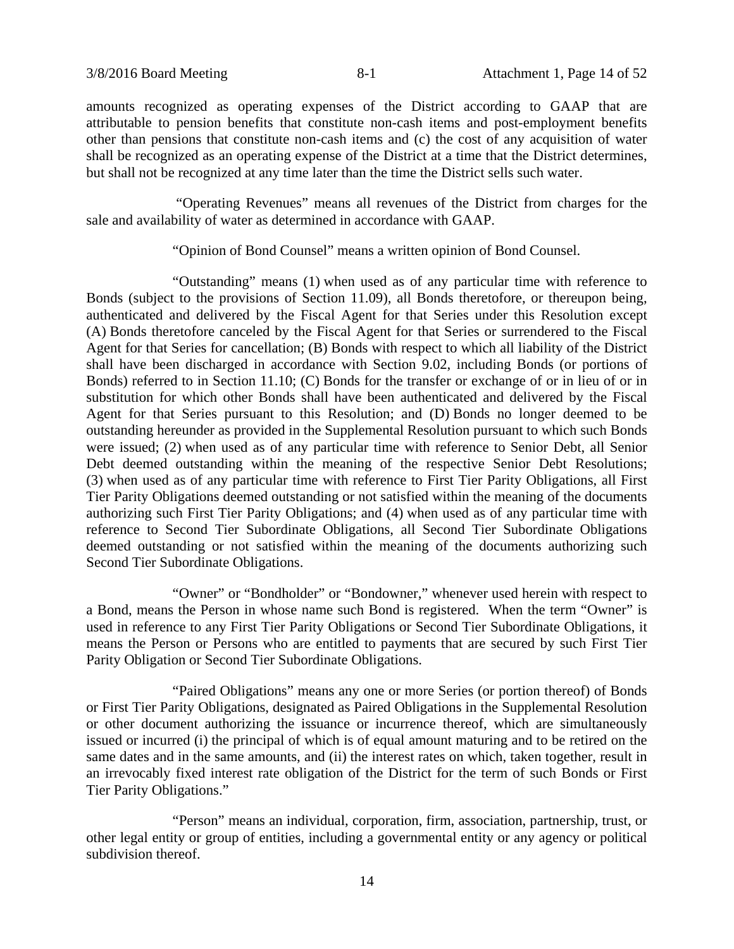amounts recognized as operating expenses of the District according to GAAP that are attributable to pension benefits that constitute non-cash items and post-employment benefits other than pensions that constitute non-cash items and (c) the cost of any acquisition of water shall be recognized as an operating expense of the District at a time that the District determines, but shall not be recognized at any time later than the time the District sells such water.

 "Operating Revenues" means all revenues of the District from charges for the sale and availability of water as determined in accordance with GAAP.

"Opinion of Bond Counsel" means a written opinion of Bond Counsel.

"Outstanding" means (1) when used as of any particular time with reference to Bonds (subject to the provisions of Section 11.09), all Bonds theretofore, or thereupon being, authenticated and delivered by the Fiscal Agent for that Series under this Resolution except (A) Bonds theretofore canceled by the Fiscal Agent for that Series or surrendered to the Fiscal Agent for that Series for cancellation; (B) Bonds with respect to which all liability of the District shall have been discharged in accordance with Section 9.02, including Bonds (or portions of Bonds) referred to in Section 11.10; (C) Bonds for the transfer or exchange of or in lieu of or in substitution for which other Bonds shall have been authenticated and delivered by the Fiscal Agent for that Series pursuant to this Resolution; and (D) Bonds no longer deemed to be outstanding hereunder as provided in the Supplemental Resolution pursuant to which such Bonds were issued; (2) when used as of any particular time with reference to Senior Debt, all Senior Debt deemed outstanding within the meaning of the respective Senior Debt Resolutions; (3) when used as of any particular time with reference to First Tier Parity Obligations, all First Tier Parity Obligations deemed outstanding or not satisfied within the meaning of the documents authorizing such First Tier Parity Obligations; and (4) when used as of any particular time with reference to Second Tier Subordinate Obligations, all Second Tier Subordinate Obligations deemed outstanding or not satisfied within the meaning of the documents authorizing such Second Tier Subordinate Obligations.

"Owner" or "Bondholder" or "Bondowner," whenever used herein with respect to a Bond, means the Person in whose name such Bond is registered. When the term "Owner" is used in reference to any First Tier Parity Obligations or Second Tier Subordinate Obligations, it means the Person or Persons who are entitled to payments that are secured by such First Tier Parity Obligation or Second Tier Subordinate Obligations.

"Paired Obligations" means any one or more Series (or portion thereof) of Bonds or First Tier Parity Obligations, designated as Paired Obligations in the Supplemental Resolution or other document authorizing the issuance or incurrence thereof, which are simultaneously issued or incurred (i) the principal of which is of equal amount maturing and to be retired on the same dates and in the same amounts, and (ii) the interest rates on which, taken together, result in an irrevocably fixed interest rate obligation of the District for the term of such Bonds or First Tier Parity Obligations."

"Person" means an individual, corporation, firm, association, partnership, trust, or other legal entity or group of entities, including a governmental entity or any agency or political subdivision thereof.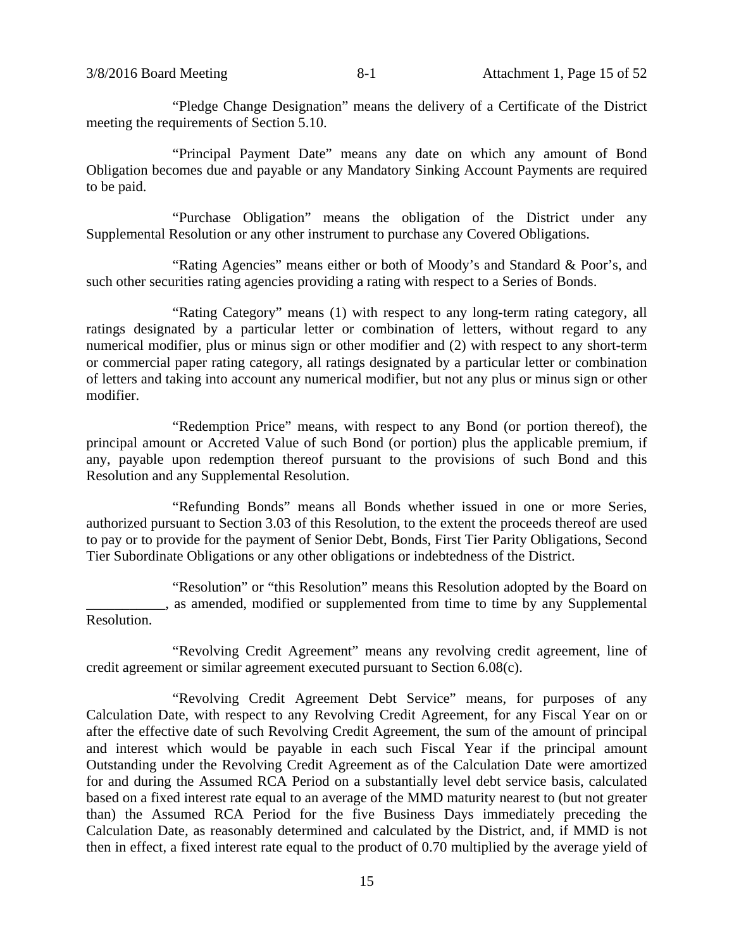"Pledge Change Designation" means the delivery of a Certificate of the District meeting the requirements of Section 5.10.

"Principal Payment Date" means any date on which any amount of Bond Obligation becomes due and payable or any Mandatory Sinking Account Payments are required to be paid.

"Purchase Obligation" means the obligation of the District under any Supplemental Resolution or any other instrument to purchase any Covered Obligations.

"Rating Agencies" means either or both of Moody's and Standard & Poor's, and such other securities rating agencies providing a rating with respect to a Series of Bonds.

"Rating Category" means (1) with respect to any long-term rating category, all ratings designated by a particular letter or combination of letters, without regard to any numerical modifier, plus or minus sign or other modifier and (2) with respect to any short-term or commercial paper rating category, all ratings designated by a particular letter or combination of letters and taking into account any numerical modifier, but not any plus or minus sign or other modifier.

"Redemption Price" means, with respect to any Bond (or portion thereof), the principal amount or Accreted Value of such Bond (or portion) plus the applicable premium, if any, payable upon redemption thereof pursuant to the provisions of such Bond and this Resolution and any Supplemental Resolution.

"Refunding Bonds" means all Bonds whether issued in one or more Series, authorized pursuant to Section 3.03 of this Resolution, to the extent the proceeds thereof are used to pay or to provide for the payment of Senior Debt, Bonds, First Tier Parity Obligations, Second Tier Subordinate Obligations or any other obligations or indebtedness of the District.

"Resolution" or "this Resolution" means this Resolution adopted by the Board on  $\Box$ , as amended, modified or supplemented from time to time by any Supplemental Resolution.

"Revolving Credit Agreement" means any revolving credit agreement, line of credit agreement or similar agreement executed pursuant to Section 6.08(c).

"Revolving Credit Agreement Debt Service" means, for purposes of any Calculation Date, with respect to any Revolving Credit Agreement, for any Fiscal Year on or after the effective date of such Revolving Credit Agreement, the sum of the amount of principal and interest which would be payable in each such Fiscal Year if the principal amount Outstanding under the Revolving Credit Agreement as of the Calculation Date were amortized for and during the Assumed RCA Period on a substantially level debt service basis, calculated based on a fixed interest rate equal to an average of the MMD maturity nearest to (but not greater than) the Assumed RCA Period for the five Business Days immediately preceding the Calculation Date, as reasonably determined and calculated by the District, and, if MMD is not then in effect, a fixed interest rate equal to the product of 0.70 multiplied by the average yield of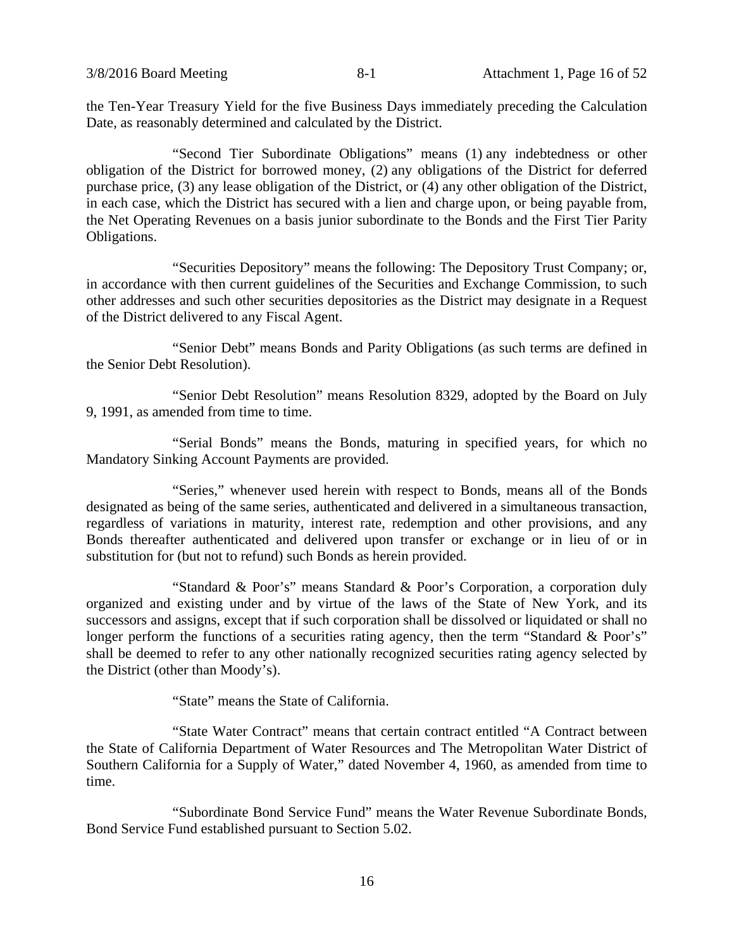the Ten-Year Treasury Yield for the five Business Days immediately preceding the Calculation Date, as reasonably determined and calculated by the District.

"Second Tier Subordinate Obligations" means (1) any indebtedness or other obligation of the District for borrowed money, (2) any obligations of the District for deferred purchase price, (3) any lease obligation of the District, or (4) any other obligation of the District, in each case, which the District has secured with a lien and charge upon, or being payable from, the Net Operating Revenues on a basis junior subordinate to the Bonds and the First Tier Parity Obligations.

"Securities Depository" means the following: The Depository Trust Company; or, in accordance with then current guidelines of the Securities and Exchange Commission, to such other addresses and such other securities depositories as the District may designate in a Request of the District delivered to any Fiscal Agent.

"Senior Debt" means Bonds and Parity Obligations (as such terms are defined in the Senior Debt Resolution).

"Senior Debt Resolution" means Resolution 8329, adopted by the Board on July 9, 1991, as amended from time to time.

"Serial Bonds" means the Bonds, maturing in specified years, for which no Mandatory Sinking Account Payments are provided.

"Series," whenever used herein with respect to Bonds, means all of the Bonds designated as being of the same series, authenticated and delivered in a simultaneous transaction, regardless of variations in maturity, interest rate, redemption and other provisions, and any Bonds thereafter authenticated and delivered upon transfer or exchange or in lieu of or in substitution for (but not to refund) such Bonds as herein provided.

"Standard & Poor's" means Standard & Poor's Corporation, a corporation duly organized and existing under and by virtue of the laws of the State of New York, and its successors and assigns, except that if such corporation shall be dissolved or liquidated or shall no longer perform the functions of a securities rating agency, then the term "Standard & Poor's" shall be deemed to refer to any other nationally recognized securities rating agency selected by the District (other than Moody's).

"State" means the State of California.

"State Water Contract" means that certain contract entitled "A Contract between the State of California Department of Water Resources and The Metropolitan Water District of Southern California for a Supply of Water," dated November 4, 1960, as amended from time to time.

"Subordinate Bond Service Fund" means the Water Revenue Subordinate Bonds, Bond Service Fund established pursuant to Section 5.02.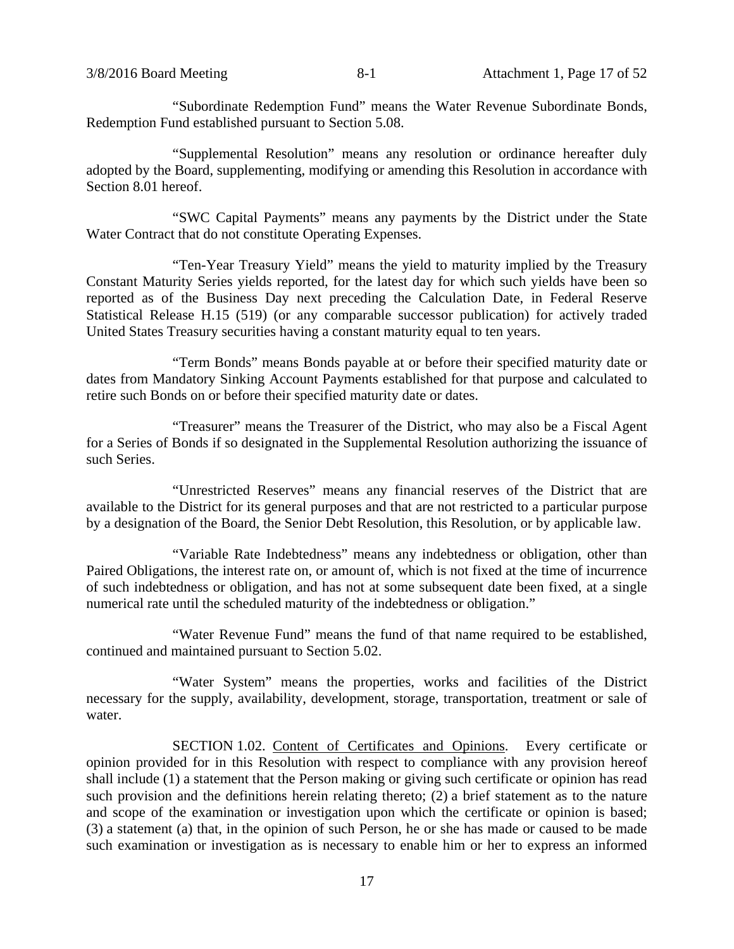"Subordinate Redemption Fund" means the Water Revenue Subordinate Bonds, Redemption Fund established pursuant to Section 5.08.

"Supplemental Resolution" means any resolution or ordinance hereafter duly adopted by the Board, supplementing, modifying or amending this Resolution in accordance with Section 8.01 hereof.

"SWC Capital Payments" means any payments by the District under the State Water Contract that do not constitute Operating Expenses.

"Ten-Year Treasury Yield" means the yield to maturity implied by the Treasury Constant Maturity Series yields reported, for the latest day for which such yields have been so reported as of the Business Day next preceding the Calculation Date, in Federal Reserve Statistical Release H.15 (519) (or any comparable successor publication) for actively traded United States Treasury securities having a constant maturity equal to ten years.

"Term Bonds" means Bonds payable at or before their specified maturity date or dates from Mandatory Sinking Account Payments established for that purpose and calculated to retire such Bonds on or before their specified maturity date or dates.

"Treasurer" means the Treasurer of the District, who may also be a Fiscal Agent for a Series of Bonds if so designated in the Supplemental Resolution authorizing the issuance of such Series.

"Unrestricted Reserves" means any financial reserves of the District that are available to the District for its general purposes and that are not restricted to a particular purpose by a designation of the Board, the Senior Debt Resolution, this Resolution, or by applicable law.

"Variable Rate Indebtedness" means any indebtedness or obligation, other than Paired Obligations, the interest rate on, or amount of, which is not fixed at the time of incurrence of such indebtedness or obligation, and has not at some subsequent date been fixed, at a single numerical rate until the scheduled maturity of the indebtedness or obligation."

"Water Revenue Fund" means the fund of that name required to be established, continued and maintained pursuant to Section 5.02.

"Water System" means the properties, works and facilities of the District necessary for the supply, availability, development, storage, transportation, treatment or sale of water.

SECTION 1.02. Content of Certificates and Opinions. Every certificate or opinion provided for in this Resolution with respect to compliance with any provision hereof shall include (1) a statement that the Person making or giving such certificate or opinion has read such provision and the definitions herein relating thereto; (2) a brief statement as to the nature and scope of the examination or investigation upon which the certificate or opinion is based; (3) a statement (a) that, in the opinion of such Person, he or she has made or caused to be made such examination or investigation as is necessary to enable him or her to express an informed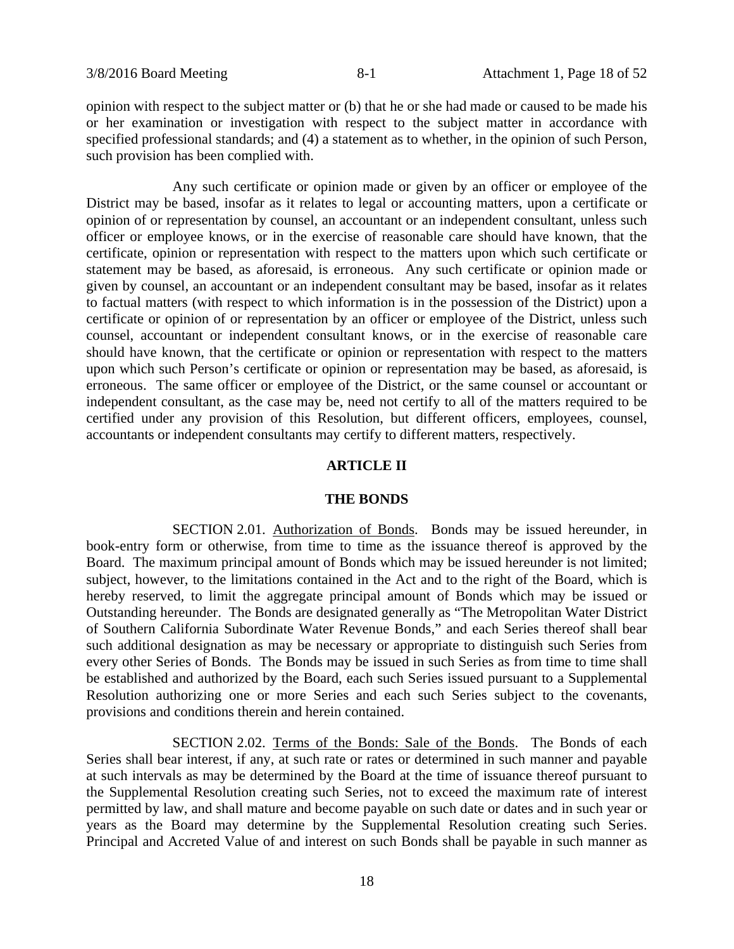opinion with respect to the subject matter or (b) that he or she had made or caused to be made his or her examination or investigation with respect to the subject matter in accordance with specified professional standards; and (4) a statement as to whether, in the opinion of such Person, such provision has been complied with.

Any such certificate or opinion made or given by an officer or employee of the District may be based, insofar as it relates to legal or accounting matters, upon a certificate or opinion of or representation by counsel, an accountant or an independent consultant, unless such officer or employee knows, or in the exercise of reasonable care should have known, that the certificate, opinion or representation with respect to the matters upon which such certificate or statement may be based, as aforesaid, is erroneous. Any such certificate or opinion made or given by counsel, an accountant or an independent consultant may be based, insofar as it relates to factual matters (with respect to which information is in the possession of the District) upon a certificate or opinion of or representation by an officer or employee of the District, unless such counsel, accountant or independent consultant knows, or in the exercise of reasonable care should have known, that the certificate or opinion or representation with respect to the matters upon which such Person's certificate or opinion or representation may be based, as aforesaid, is erroneous. The same officer or employee of the District, or the same counsel or accountant or independent consultant, as the case may be, need not certify to all of the matters required to be certified under any provision of this Resolution, but different officers, employees, counsel, accountants or independent consultants may certify to different matters, respectively.

### **ARTICLE II**

#### **THE BONDS**

SECTION 2.01. Authorization of Bonds. Bonds may be issued hereunder, in book-entry form or otherwise, from time to time as the issuance thereof is approved by the Board. The maximum principal amount of Bonds which may be issued hereunder is not limited; subject, however, to the limitations contained in the Act and to the right of the Board, which is hereby reserved, to limit the aggregate principal amount of Bonds which may be issued or Outstanding hereunder. The Bonds are designated generally as "The Metropolitan Water District of Southern California Subordinate Water Revenue Bonds," and each Series thereof shall bear such additional designation as may be necessary or appropriate to distinguish such Series from every other Series of Bonds. The Bonds may be issued in such Series as from time to time shall be established and authorized by the Board, each such Series issued pursuant to a Supplemental Resolution authorizing one or more Series and each such Series subject to the covenants, provisions and conditions therein and herein contained.

SECTION 2.02. Terms of the Bonds: Sale of the Bonds. The Bonds of each Series shall bear interest, if any, at such rate or rates or determined in such manner and payable at such intervals as may be determined by the Board at the time of issuance thereof pursuant to the Supplemental Resolution creating such Series, not to exceed the maximum rate of interest permitted by law, and shall mature and become payable on such date or dates and in such year or years as the Board may determine by the Supplemental Resolution creating such Series. Principal and Accreted Value of and interest on such Bonds shall be payable in such manner as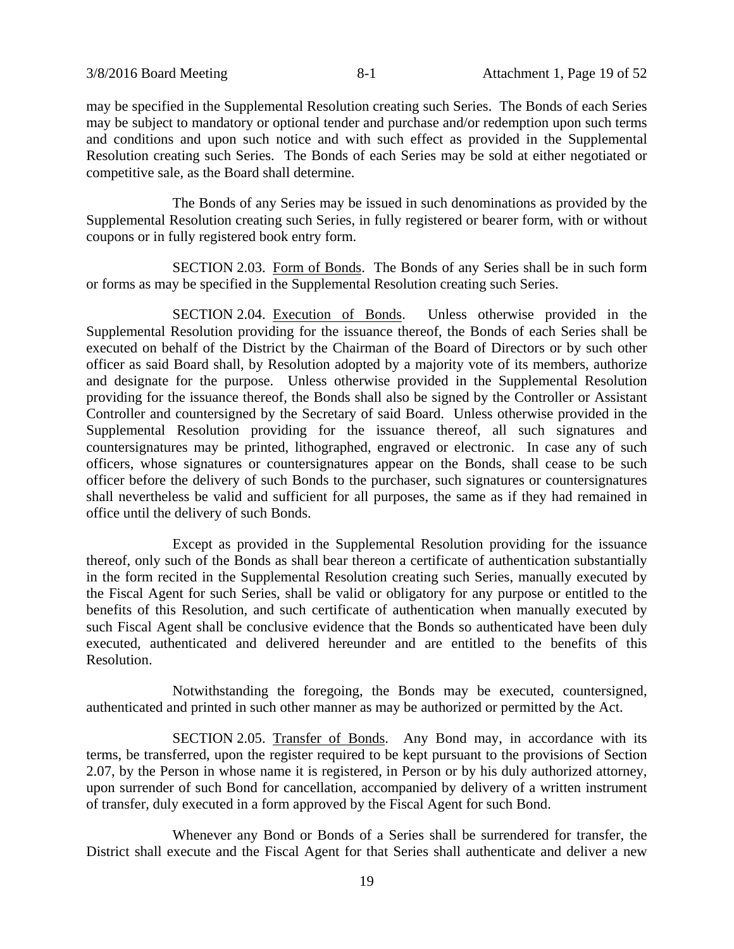may be specified in the Supplemental Resolution creating such Series. The Bonds of each Series may be subject to mandatory or optional tender and purchase and/or redemption upon such terms and conditions and upon such notice and with such effect as provided in the Supplemental Resolution creating such Series. The Bonds of each Series may be sold at either negotiated or competitive sale, as the Board shall determine.

The Bonds of any Series may be issued in such denominations as provided by the Supplemental Resolution creating such Series, in fully registered or bearer form, with or without coupons or in fully registered book entry form.

SECTION 2.03. Form of Bonds. The Bonds of any Series shall be in such form or forms as may be specified in the Supplemental Resolution creating such Series.

SECTION 2.04. Execution of Bonds. Unless otherwise provided in the Supplemental Resolution providing for the issuance thereof, the Bonds of each Series shall be executed on behalf of the District by the Chairman of the Board of Directors or by such other officer as said Board shall, by Resolution adopted by a majority vote of its members, authorize and designate for the purpose. Unless otherwise provided in the Supplemental Resolution providing for the issuance thereof, the Bonds shall also be signed by the Controller or Assistant Controller and countersigned by the Secretary of said Board. Unless otherwise provided in the Supplemental Resolution providing for the issuance thereof, all such signatures and countersignatures may be printed, lithographed, engraved or electronic. In case any of such officers, whose signatures or countersignatures appear on the Bonds, shall cease to be such officer before the delivery of such Bonds to the purchaser, such signatures or countersignatures shall nevertheless be valid and sufficient for all purposes, the same as if they had remained in office until the delivery of such Bonds.

Except as provided in the Supplemental Resolution providing for the issuance thereof, only such of the Bonds as shall bear thereon a certificate of authentication substantially in the form recited in the Supplemental Resolution creating such Series, manually executed by the Fiscal Agent for such Series, shall be valid or obligatory for any purpose or entitled to the benefits of this Resolution, and such certificate of authentication when manually executed by such Fiscal Agent shall be conclusive evidence that the Bonds so authenticated have been duly executed, authenticated and delivered hereunder and are entitled to the benefits of this Resolution.

Notwithstanding the foregoing, the Bonds may be executed, countersigned, authenticated and printed in such other manner as may be authorized or permitted by the Act.

SECTION 2.05. Transfer of Bonds. Any Bond may, in accordance with its terms, be transferred, upon the register required to be kept pursuant to the provisions of Section 2.07, by the Person in whose name it is registered, in Person or by his duly authorized attorney, upon surrender of such Bond for cancellation, accompanied by delivery of a written instrument of transfer, duly executed in a form approved by the Fiscal Agent for such Bond.

Whenever any Bond or Bonds of a Series shall be surrendered for transfer, the District shall execute and the Fiscal Agent for that Series shall authenticate and deliver a new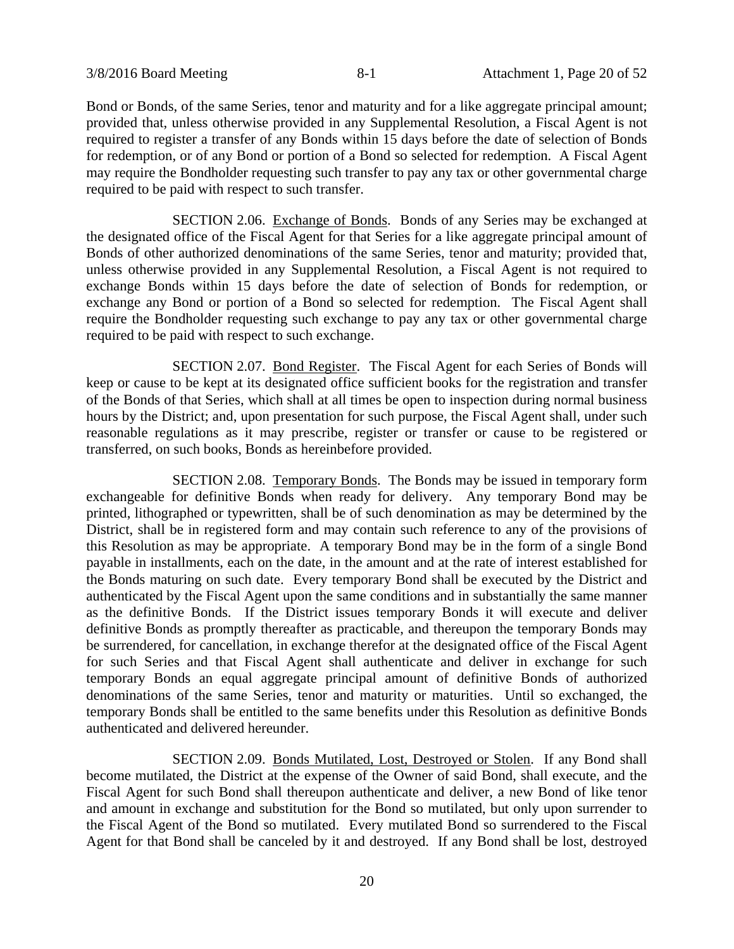Bond or Bonds, of the same Series, tenor and maturity and for a like aggregate principal amount; provided that, unless otherwise provided in any Supplemental Resolution, a Fiscal Agent is not required to register a transfer of any Bonds within 15 days before the date of selection of Bonds for redemption, or of any Bond or portion of a Bond so selected for redemption. A Fiscal Agent may require the Bondholder requesting such transfer to pay any tax or other governmental charge required to be paid with respect to such transfer.

SECTION 2.06. Exchange of Bonds. Bonds of any Series may be exchanged at the designated office of the Fiscal Agent for that Series for a like aggregate principal amount of Bonds of other authorized denominations of the same Series, tenor and maturity; provided that, unless otherwise provided in any Supplemental Resolution, a Fiscal Agent is not required to exchange Bonds within 15 days before the date of selection of Bonds for redemption, or exchange any Bond or portion of a Bond so selected for redemption. The Fiscal Agent shall require the Bondholder requesting such exchange to pay any tax or other governmental charge required to be paid with respect to such exchange.

SECTION 2.07. Bond Register. The Fiscal Agent for each Series of Bonds will keep or cause to be kept at its designated office sufficient books for the registration and transfer of the Bonds of that Series, which shall at all times be open to inspection during normal business hours by the District; and, upon presentation for such purpose, the Fiscal Agent shall, under such reasonable regulations as it may prescribe, register or transfer or cause to be registered or transferred, on such books, Bonds as hereinbefore provided.

SECTION 2.08. Temporary Bonds. The Bonds may be issued in temporary form exchangeable for definitive Bonds when ready for delivery. Any temporary Bond may be printed, lithographed or typewritten, shall be of such denomination as may be determined by the District, shall be in registered form and may contain such reference to any of the provisions of this Resolution as may be appropriate. A temporary Bond may be in the form of a single Bond payable in installments, each on the date, in the amount and at the rate of interest established for the Bonds maturing on such date. Every temporary Bond shall be executed by the District and authenticated by the Fiscal Agent upon the same conditions and in substantially the same manner as the definitive Bonds. If the District issues temporary Bonds it will execute and deliver definitive Bonds as promptly thereafter as practicable, and thereupon the temporary Bonds may be surrendered, for cancellation, in exchange therefor at the designated office of the Fiscal Agent for such Series and that Fiscal Agent shall authenticate and deliver in exchange for such temporary Bonds an equal aggregate principal amount of definitive Bonds of authorized denominations of the same Series, tenor and maturity or maturities. Until so exchanged, the temporary Bonds shall be entitled to the same benefits under this Resolution as definitive Bonds authenticated and delivered hereunder.

SECTION 2.09. Bonds Mutilated, Lost, Destroyed or Stolen. If any Bond shall become mutilated, the District at the expense of the Owner of said Bond, shall execute, and the Fiscal Agent for such Bond shall thereupon authenticate and deliver, a new Bond of like tenor and amount in exchange and substitution for the Bond so mutilated, but only upon surrender to the Fiscal Agent of the Bond so mutilated. Every mutilated Bond so surrendered to the Fiscal Agent for that Bond shall be canceled by it and destroyed. If any Bond shall be lost, destroyed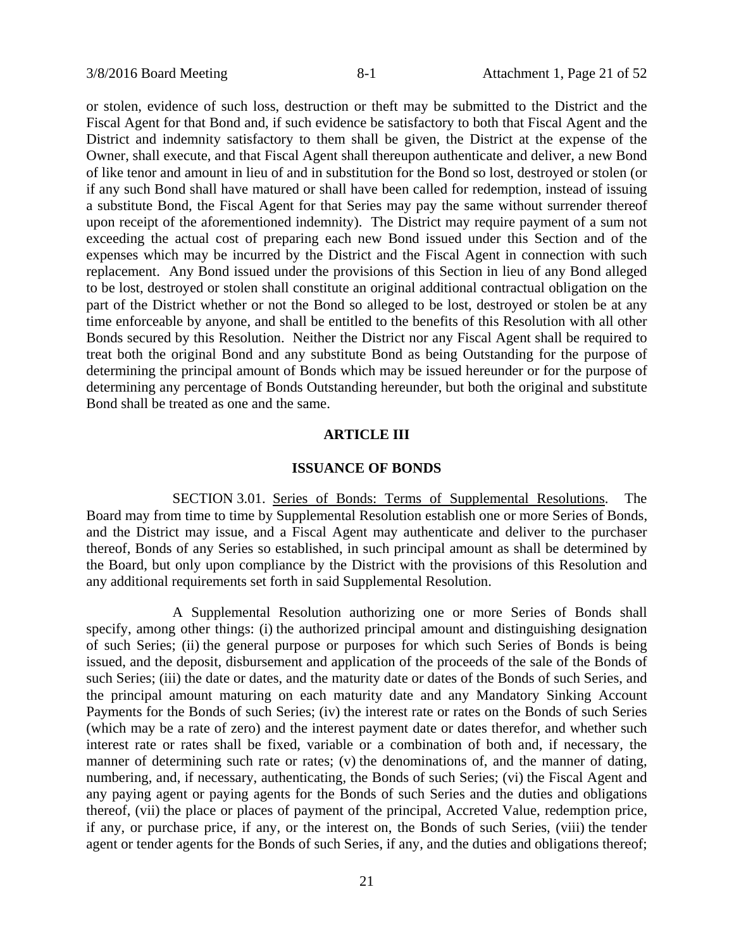or stolen, evidence of such loss, destruction or theft may be submitted to the District and the Fiscal Agent for that Bond and, if such evidence be satisfactory to both that Fiscal Agent and the District and indemnity satisfactory to them shall be given, the District at the expense of the Owner, shall execute, and that Fiscal Agent shall thereupon authenticate and deliver, a new Bond of like tenor and amount in lieu of and in substitution for the Bond so lost, destroyed or stolen (or if any such Bond shall have matured or shall have been called for redemption, instead of issuing a substitute Bond, the Fiscal Agent for that Series may pay the same without surrender thereof upon receipt of the aforementioned indemnity). The District may require payment of a sum not exceeding the actual cost of preparing each new Bond issued under this Section and of the expenses which may be incurred by the District and the Fiscal Agent in connection with such replacement. Any Bond issued under the provisions of this Section in lieu of any Bond alleged to be lost, destroyed or stolen shall constitute an original additional contractual obligation on the part of the District whether or not the Bond so alleged to be lost, destroyed or stolen be at any time enforceable by anyone, and shall be entitled to the benefits of this Resolution with all other Bonds secured by this Resolution. Neither the District nor any Fiscal Agent shall be required to treat both the original Bond and any substitute Bond as being Outstanding for the purpose of determining the principal amount of Bonds which may be issued hereunder or for the purpose of determining any percentage of Bonds Outstanding hereunder, but both the original and substitute Bond shall be treated as one and the same.

# **ARTICLE III**

### **ISSUANCE OF BONDS**

SECTION 3.01. Series of Bonds: Terms of Supplemental Resolutions. The Board may from time to time by Supplemental Resolution establish one or more Series of Bonds, and the District may issue, and a Fiscal Agent may authenticate and deliver to the purchaser thereof, Bonds of any Series so established, in such principal amount as shall be determined by the Board, but only upon compliance by the District with the provisions of this Resolution and any additional requirements set forth in said Supplemental Resolution.

A Supplemental Resolution authorizing one or more Series of Bonds shall specify, among other things: (i) the authorized principal amount and distinguishing designation of such Series; (ii) the general purpose or purposes for which such Series of Bonds is being issued, and the deposit, disbursement and application of the proceeds of the sale of the Bonds of such Series; (iii) the date or dates, and the maturity date or dates of the Bonds of such Series, and the principal amount maturing on each maturity date and any Mandatory Sinking Account Payments for the Bonds of such Series; (iv) the interest rate or rates on the Bonds of such Series (which may be a rate of zero) and the interest payment date or dates therefor, and whether such interest rate or rates shall be fixed, variable or a combination of both and, if necessary, the manner of determining such rate or rates; (v) the denominations of, and the manner of dating, numbering, and, if necessary, authenticating, the Bonds of such Series; (vi) the Fiscal Agent and any paying agent or paying agents for the Bonds of such Series and the duties and obligations thereof, (vii) the place or places of payment of the principal, Accreted Value, redemption price, if any, or purchase price, if any, or the interest on, the Bonds of such Series, (viii) the tender agent or tender agents for the Bonds of such Series, if any, and the duties and obligations thereof;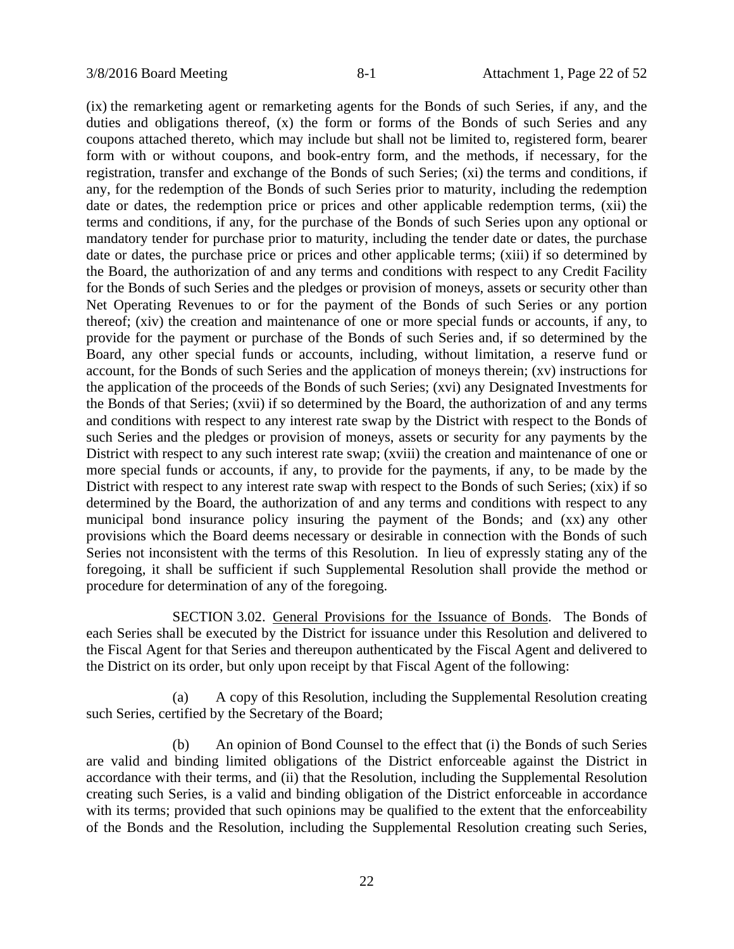(ix) the remarketing agent or remarketing agents for the Bonds of such Series, if any, and the duties and obligations thereof, (x) the form or forms of the Bonds of such Series and any coupons attached thereto, which may include but shall not be limited to, registered form, bearer form with or without coupons, and book-entry form, and the methods, if necessary, for the registration, transfer and exchange of the Bonds of such Series; (xi) the terms and conditions, if any, for the redemption of the Bonds of such Series prior to maturity, including the redemption date or dates, the redemption price or prices and other applicable redemption terms, (xii) the terms and conditions, if any, for the purchase of the Bonds of such Series upon any optional or mandatory tender for purchase prior to maturity, including the tender date or dates, the purchase date or dates, the purchase price or prices and other applicable terms; (xiii) if so determined by the Board, the authorization of and any terms and conditions with respect to any Credit Facility for the Bonds of such Series and the pledges or provision of moneys, assets or security other than Net Operating Revenues to or for the payment of the Bonds of such Series or any portion thereof; (xiv) the creation and maintenance of one or more special funds or accounts, if any, to provide for the payment or purchase of the Bonds of such Series and, if so determined by the Board, any other special funds or accounts, including, without limitation, a reserve fund or account, for the Bonds of such Series and the application of moneys therein; (xv) instructions for the application of the proceeds of the Bonds of such Series; (xvi) any Designated Investments for the Bonds of that Series; (xvii) if so determined by the Board, the authorization of and any terms and conditions with respect to any interest rate swap by the District with respect to the Bonds of such Series and the pledges or provision of moneys, assets or security for any payments by the District with respect to any such interest rate swap; (xviii) the creation and maintenance of one or more special funds or accounts, if any, to provide for the payments, if any, to be made by the District with respect to any interest rate swap with respect to the Bonds of such Series; (xix) if so determined by the Board, the authorization of and any terms and conditions with respect to any municipal bond insurance policy insuring the payment of the Bonds; and (xx) any other provisions which the Board deems necessary or desirable in connection with the Bonds of such Series not inconsistent with the terms of this Resolution. In lieu of expressly stating any of the foregoing, it shall be sufficient if such Supplemental Resolution shall provide the method or procedure for determination of any of the foregoing.

SECTION 3.02. General Provisions for the Issuance of Bonds. The Bonds of each Series shall be executed by the District for issuance under this Resolution and delivered to the Fiscal Agent for that Series and thereupon authenticated by the Fiscal Agent and delivered to the District on its order, but only upon receipt by that Fiscal Agent of the following:

(a) A copy of this Resolution, including the Supplemental Resolution creating such Series, certified by the Secretary of the Board;

(b) An opinion of Bond Counsel to the effect that (i) the Bonds of such Series are valid and binding limited obligations of the District enforceable against the District in accordance with their terms, and (ii) that the Resolution, including the Supplemental Resolution creating such Series, is a valid and binding obligation of the District enforceable in accordance with its terms; provided that such opinions may be qualified to the extent that the enforceability of the Bonds and the Resolution, including the Supplemental Resolution creating such Series,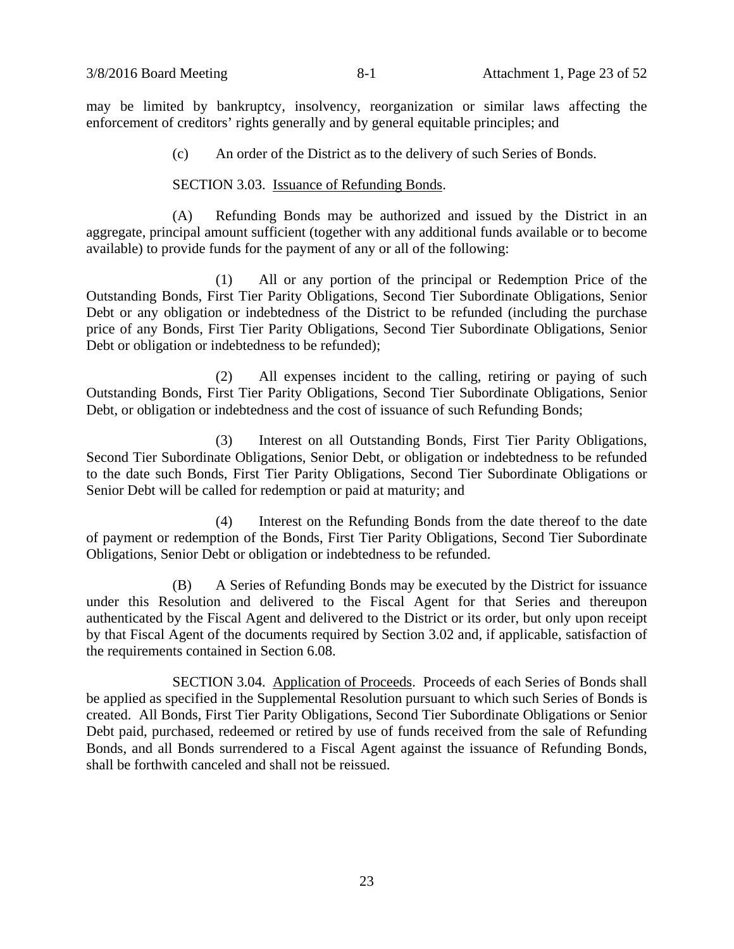may be limited by bankruptcy, insolvency, reorganization or similar laws affecting the enforcement of creditors' rights generally and by general equitable principles; and

(c) An order of the District as to the delivery of such Series of Bonds.

### SECTION 3.03. Issuance of Refunding Bonds.

(A) Refunding Bonds may be authorized and issued by the District in an aggregate, principal amount sufficient (together with any additional funds available or to become available) to provide funds for the payment of any or all of the following:

(1) All or any portion of the principal or Redemption Price of the Outstanding Bonds, First Tier Parity Obligations, Second Tier Subordinate Obligations, Senior Debt or any obligation or indebtedness of the District to be refunded (including the purchase price of any Bonds, First Tier Parity Obligations, Second Tier Subordinate Obligations, Senior Debt or obligation or indebtedness to be refunded);

(2) All expenses incident to the calling, retiring or paying of such Outstanding Bonds, First Tier Parity Obligations, Second Tier Subordinate Obligations, Senior Debt, or obligation or indebtedness and the cost of issuance of such Refunding Bonds;

(3) Interest on all Outstanding Bonds, First Tier Parity Obligations, Second Tier Subordinate Obligations, Senior Debt, or obligation or indebtedness to be refunded to the date such Bonds, First Tier Parity Obligations, Second Tier Subordinate Obligations or Senior Debt will be called for redemption or paid at maturity; and

(4) Interest on the Refunding Bonds from the date thereof to the date of payment or redemption of the Bonds, First Tier Parity Obligations, Second Tier Subordinate Obligations, Senior Debt or obligation or indebtedness to be refunded.

(B) A Series of Refunding Bonds may be executed by the District for issuance under this Resolution and delivered to the Fiscal Agent for that Series and thereupon authenticated by the Fiscal Agent and delivered to the District or its order, but only upon receipt by that Fiscal Agent of the documents required by Section 3.02 and, if applicable, satisfaction of the requirements contained in Section 6.08.

SECTION 3.04. Application of Proceeds. Proceeds of each Series of Bonds shall be applied as specified in the Supplemental Resolution pursuant to which such Series of Bonds is created. All Bonds, First Tier Parity Obligations, Second Tier Subordinate Obligations or Senior Debt paid, purchased, redeemed or retired by use of funds received from the sale of Refunding Bonds, and all Bonds surrendered to a Fiscal Agent against the issuance of Refunding Bonds, shall be forthwith canceled and shall not be reissued.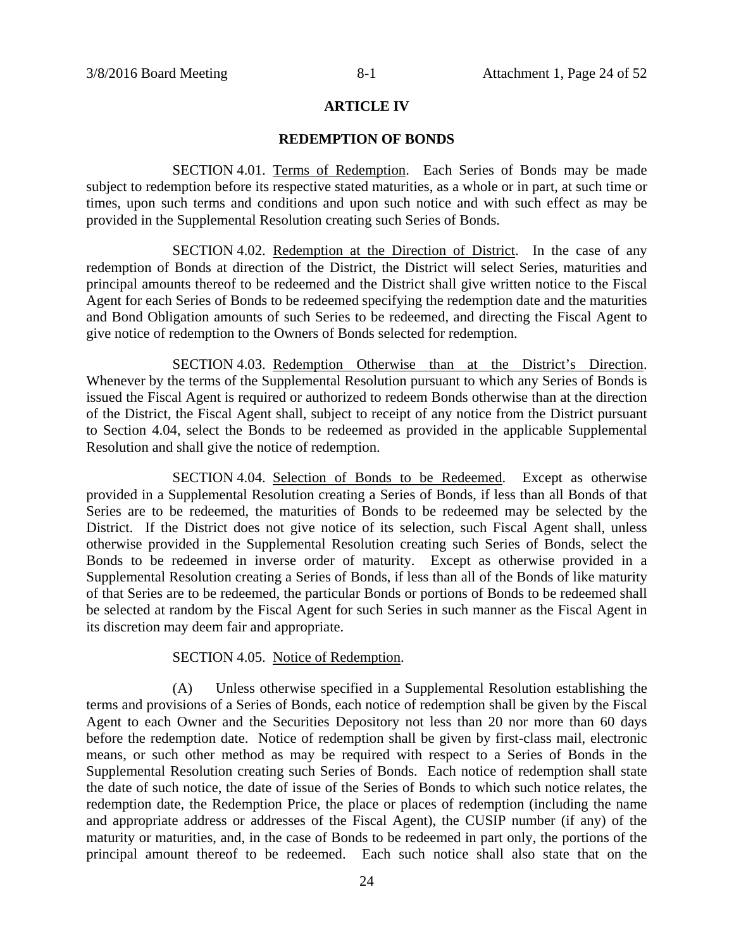### **ARTICLE IV**

### **REDEMPTION OF BONDS**

SECTION 4.01. Terms of Redemption. Each Series of Bonds may be made subject to redemption before its respective stated maturities, as a whole or in part, at such time or times, upon such terms and conditions and upon such notice and with such effect as may be provided in the Supplemental Resolution creating such Series of Bonds.

SECTION 4.02. Redemption at the Direction of District. In the case of any redemption of Bonds at direction of the District, the District will select Series, maturities and principal amounts thereof to be redeemed and the District shall give written notice to the Fiscal Agent for each Series of Bonds to be redeemed specifying the redemption date and the maturities and Bond Obligation amounts of such Series to be redeemed, and directing the Fiscal Agent to give notice of redemption to the Owners of Bonds selected for redemption.

SECTION 4.03. Redemption Otherwise than at the District's Direction. Whenever by the terms of the Supplemental Resolution pursuant to which any Series of Bonds is issued the Fiscal Agent is required or authorized to redeem Bonds otherwise than at the direction of the District, the Fiscal Agent shall, subject to receipt of any notice from the District pursuant to Section 4.04, select the Bonds to be redeemed as provided in the applicable Supplemental Resolution and shall give the notice of redemption.

SECTION 4.04. Selection of Bonds to be Redeemed. Except as otherwise provided in a Supplemental Resolution creating a Series of Bonds, if less than all Bonds of that Series are to be redeemed, the maturities of Bonds to be redeemed may be selected by the District. If the District does not give notice of its selection, such Fiscal Agent shall, unless otherwise provided in the Supplemental Resolution creating such Series of Bonds, select the Bonds to be redeemed in inverse order of maturity. Except as otherwise provided in a Supplemental Resolution creating a Series of Bonds, if less than all of the Bonds of like maturity of that Series are to be redeemed, the particular Bonds or portions of Bonds to be redeemed shall be selected at random by the Fiscal Agent for such Series in such manner as the Fiscal Agent in its discretion may deem fair and appropriate.

### SECTION 4.05. Notice of Redemption.

(A) Unless otherwise specified in a Supplemental Resolution establishing the terms and provisions of a Series of Bonds, each notice of redemption shall be given by the Fiscal Agent to each Owner and the Securities Depository not less than 20 nor more than 60 days before the redemption date. Notice of redemption shall be given by first-class mail, electronic means, or such other method as may be required with respect to a Series of Bonds in the Supplemental Resolution creating such Series of Bonds. Each notice of redemption shall state the date of such notice, the date of issue of the Series of Bonds to which such notice relates, the redemption date, the Redemption Price, the place or places of redemption (including the name and appropriate address or addresses of the Fiscal Agent), the CUSIP number (if any) of the maturity or maturities, and, in the case of Bonds to be redeemed in part only, the portions of the principal amount thereof to be redeemed. Each such notice shall also state that on the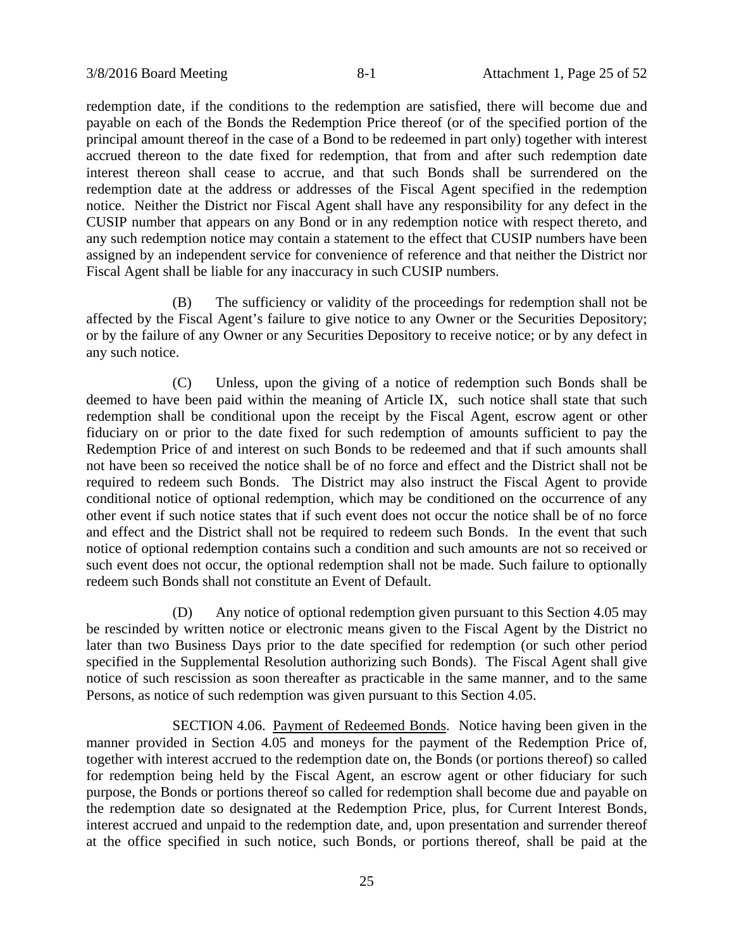redemption date, if the conditions to the redemption are satisfied, there will become due and payable on each of the Bonds the Redemption Price thereof (or of the specified portion of the principal amount thereof in the case of a Bond to be redeemed in part only) together with interest accrued thereon to the date fixed for redemption, that from and after such redemption date interest thereon shall cease to accrue, and that such Bonds shall be surrendered on the redemption date at the address or addresses of the Fiscal Agent specified in the redemption notice. Neither the District nor Fiscal Agent shall have any responsibility for any defect in the CUSIP number that appears on any Bond or in any redemption notice with respect thereto, and any such redemption notice may contain a statement to the effect that CUSIP numbers have been assigned by an independent service for convenience of reference and that neither the District nor Fiscal Agent shall be liable for any inaccuracy in such CUSIP numbers.

(B) The sufficiency or validity of the proceedings for redemption shall not be affected by the Fiscal Agent's failure to give notice to any Owner or the Securities Depository; or by the failure of any Owner or any Securities Depository to receive notice; or by any defect in any such notice.

(C) Unless, upon the giving of a notice of redemption such Bonds shall be deemed to have been paid within the meaning of Article IX, such notice shall state that such redemption shall be conditional upon the receipt by the Fiscal Agent, escrow agent or other fiduciary on or prior to the date fixed for such redemption of amounts sufficient to pay the Redemption Price of and interest on such Bonds to be redeemed and that if such amounts shall not have been so received the notice shall be of no force and effect and the District shall not be required to redeem such Bonds. The District may also instruct the Fiscal Agent to provide conditional notice of optional redemption, which may be conditioned on the occurrence of any other event if such notice states that if such event does not occur the notice shall be of no force and effect and the District shall not be required to redeem such Bonds. In the event that such notice of optional redemption contains such a condition and such amounts are not so received or such event does not occur, the optional redemption shall not be made. Such failure to optionally redeem such Bonds shall not constitute an Event of Default.

(D) Any notice of optional redemption given pursuant to this Section 4.05 may be rescinded by written notice or electronic means given to the Fiscal Agent by the District no later than two Business Days prior to the date specified for redemption (or such other period specified in the Supplemental Resolution authorizing such Bonds). The Fiscal Agent shall give notice of such rescission as soon thereafter as practicable in the same manner, and to the same Persons, as notice of such redemption was given pursuant to this Section 4.05.

SECTION 4.06. Payment of Redeemed Bonds. Notice having been given in the manner provided in Section 4.05 and moneys for the payment of the Redemption Price of, together with interest accrued to the redemption date on, the Bonds (or portions thereof) so called for redemption being held by the Fiscal Agent, an escrow agent or other fiduciary for such purpose, the Bonds or portions thereof so called for redemption shall become due and payable on the redemption date so designated at the Redemption Price, plus, for Current Interest Bonds, interest accrued and unpaid to the redemption date, and, upon presentation and surrender thereof at the office specified in such notice, such Bonds, or portions thereof, shall be paid at the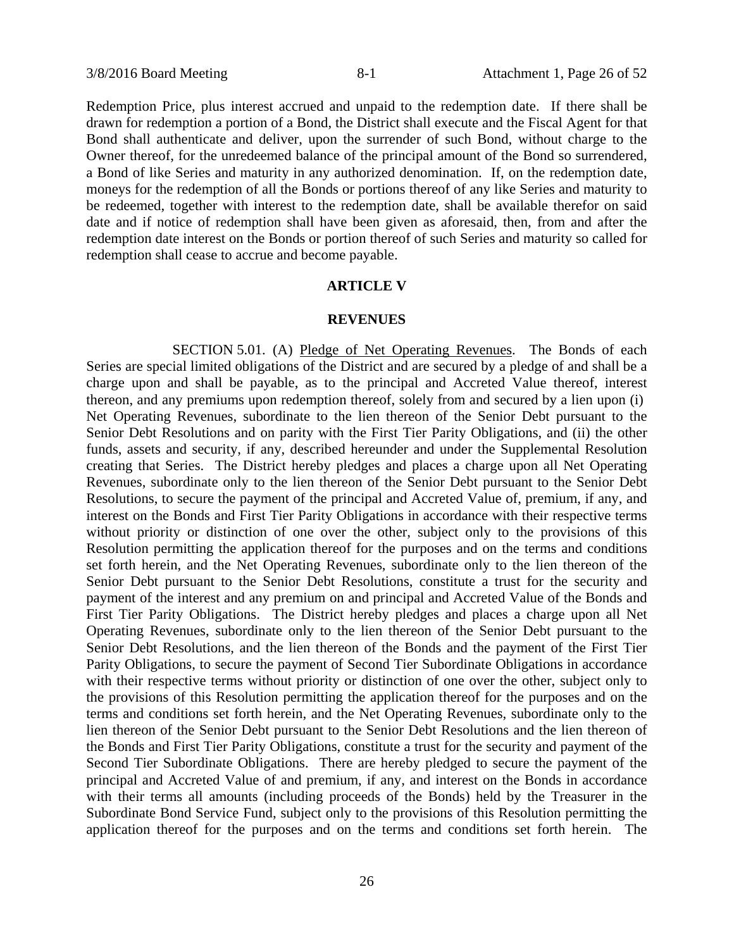Redemption Price, plus interest accrued and unpaid to the redemption date. If there shall be drawn for redemption a portion of a Bond, the District shall execute and the Fiscal Agent for that Bond shall authenticate and deliver, upon the surrender of such Bond, without charge to the Owner thereof, for the unredeemed balance of the principal amount of the Bond so surrendered, a Bond of like Series and maturity in any authorized denomination. If, on the redemption date, moneys for the redemption of all the Bonds or portions thereof of any like Series and maturity to be redeemed, together with interest to the redemption date, shall be available therefor on said date and if notice of redemption shall have been given as aforesaid, then, from and after the redemption date interest on the Bonds or portion thereof of such Series and maturity so called for redemption shall cease to accrue and become payable.

### **ARTICLE V**

### **REVENUES**

SECTION 5.01. (A) Pledge of Net Operating Revenues. The Bonds of each Series are special limited obligations of the District and are secured by a pledge of and shall be a charge upon and shall be payable, as to the principal and Accreted Value thereof, interest thereon, and any premiums upon redemption thereof, solely from and secured by a lien upon (i) Net Operating Revenues, subordinate to the lien thereon of the Senior Debt pursuant to the Senior Debt Resolutions and on parity with the First Tier Parity Obligations, and (ii) the other funds, assets and security, if any, described hereunder and under the Supplemental Resolution creating that Series. The District hereby pledges and places a charge upon all Net Operating Revenues, subordinate only to the lien thereon of the Senior Debt pursuant to the Senior Debt Resolutions, to secure the payment of the principal and Accreted Value of, premium, if any, and interest on the Bonds and First Tier Parity Obligations in accordance with their respective terms without priority or distinction of one over the other, subject only to the provisions of this Resolution permitting the application thereof for the purposes and on the terms and conditions set forth herein, and the Net Operating Revenues, subordinate only to the lien thereon of the Senior Debt pursuant to the Senior Debt Resolutions, constitute a trust for the security and payment of the interest and any premium on and principal and Accreted Value of the Bonds and First Tier Parity Obligations. The District hereby pledges and places a charge upon all Net Operating Revenues, subordinate only to the lien thereon of the Senior Debt pursuant to the Senior Debt Resolutions, and the lien thereon of the Bonds and the payment of the First Tier Parity Obligations, to secure the payment of Second Tier Subordinate Obligations in accordance with their respective terms without priority or distinction of one over the other, subject only to the provisions of this Resolution permitting the application thereof for the purposes and on the terms and conditions set forth herein, and the Net Operating Revenues, subordinate only to the lien thereon of the Senior Debt pursuant to the Senior Debt Resolutions and the lien thereon of the Bonds and First Tier Parity Obligations, constitute a trust for the security and payment of the Second Tier Subordinate Obligations. There are hereby pledged to secure the payment of the principal and Accreted Value of and premium, if any, and interest on the Bonds in accordance with their terms all amounts (including proceeds of the Bonds) held by the Treasurer in the Subordinate Bond Service Fund, subject only to the provisions of this Resolution permitting the application thereof for the purposes and on the terms and conditions set forth herein. The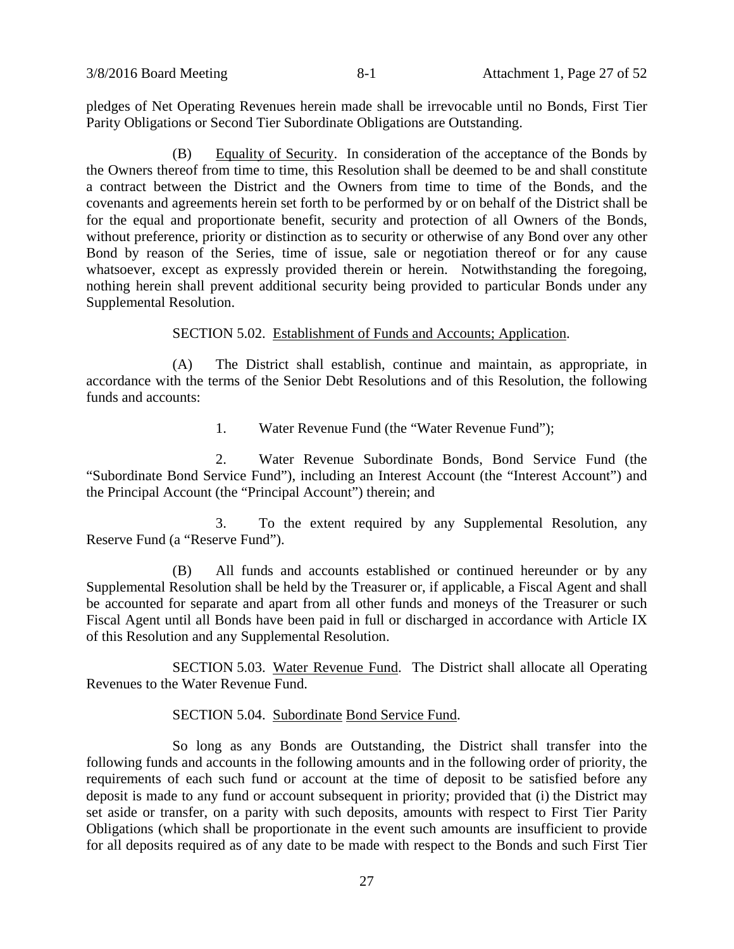pledges of Net Operating Revenues herein made shall be irrevocable until no Bonds, First Tier Parity Obligations or Second Tier Subordinate Obligations are Outstanding.

(B) Equality of Security. In consideration of the acceptance of the Bonds by the Owners thereof from time to time, this Resolution shall be deemed to be and shall constitute a contract between the District and the Owners from time to time of the Bonds, and the covenants and agreements herein set forth to be performed by or on behalf of the District shall be for the equal and proportionate benefit, security and protection of all Owners of the Bonds, without preference, priority or distinction as to security or otherwise of any Bond over any other Bond by reason of the Series, time of issue, sale or negotiation thereof or for any cause whatsoever, except as expressly provided therein or herein. Notwithstanding the foregoing, nothing herein shall prevent additional security being provided to particular Bonds under any Supplemental Resolution.

SECTION 5.02. Establishment of Funds and Accounts; Application.

(A) The District shall establish, continue and maintain, as appropriate, in accordance with the terms of the Senior Debt Resolutions and of this Resolution, the following funds and accounts:

1. Water Revenue Fund (the "Water Revenue Fund");

2. Water Revenue Subordinate Bonds, Bond Service Fund (the "Subordinate Bond Service Fund"), including an Interest Account (the "Interest Account") and the Principal Account (the "Principal Account") therein; and

3. To the extent required by any Supplemental Resolution, any Reserve Fund (a "Reserve Fund").

(B) All funds and accounts established or continued hereunder or by any Supplemental Resolution shall be held by the Treasurer or, if applicable, a Fiscal Agent and shall be accounted for separate and apart from all other funds and moneys of the Treasurer or such Fiscal Agent until all Bonds have been paid in full or discharged in accordance with Article IX of this Resolution and any Supplemental Resolution.

SECTION 5.03. Water Revenue Fund. The District shall allocate all Operating Revenues to the Water Revenue Fund.

### SECTION 5.04. Subordinate Bond Service Fund.

So long as any Bonds are Outstanding, the District shall transfer into the following funds and accounts in the following amounts and in the following order of priority, the requirements of each such fund or account at the time of deposit to be satisfied before any deposit is made to any fund or account subsequent in priority; provided that (i) the District may set aside or transfer, on a parity with such deposits, amounts with respect to First Tier Parity Obligations (which shall be proportionate in the event such amounts are insufficient to provide for all deposits required as of any date to be made with respect to the Bonds and such First Tier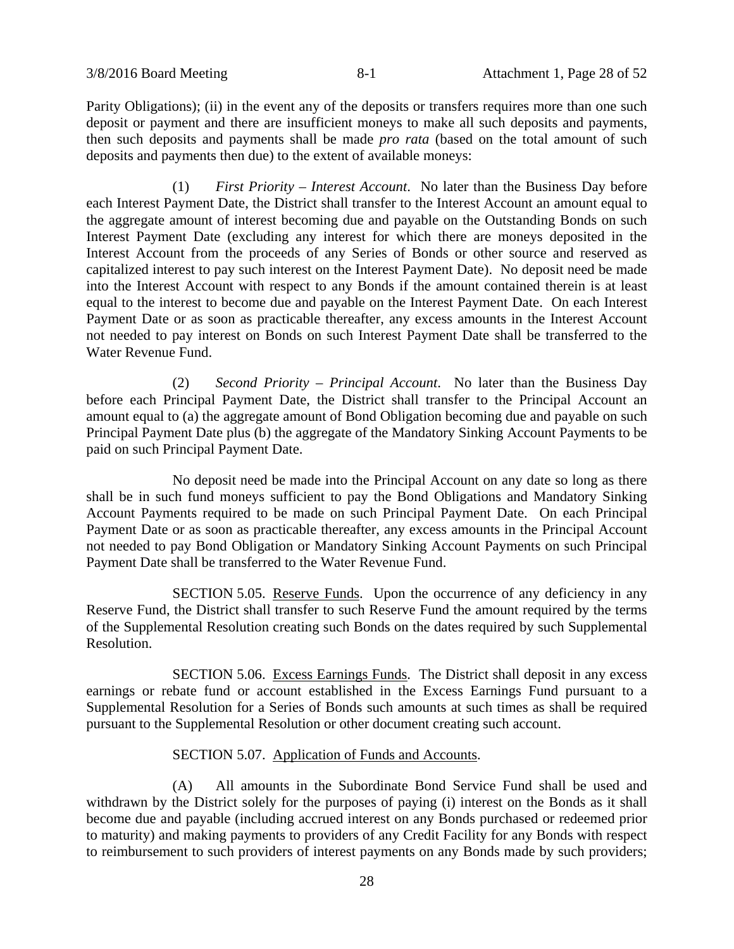Parity Obligations); (ii) in the event any of the deposits or transfers requires more than one such deposit or payment and there are insufficient moneys to make all such deposits and payments, then such deposits and payments shall be made *pro rata* (based on the total amount of such deposits and payments then due) to the extent of available moneys:

(1) *First Priority – Interest Account*. No later than the Business Day before each Interest Payment Date, the District shall transfer to the Interest Account an amount equal to the aggregate amount of interest becoming due and payable on the Outstanding Bonds on such Interest Payment Date (excluding any interest for which there are moneys deposited in the Interest Account from the proceeds of any Series of Bonds or other source and reserved as capitalized interest to pay such interest on the Interest Payment Date). No deposit need be made into the Interest Account with respect to any Bonds if the amount contained therein is at least equal to the interest to become due and payable on the Interest Payment Date. On each Interest Payment Date or as soon as practicable thereafter, any excess amounts in the Interest Account not needed to pay interest on Bonds on such Interest Payment Date shall be transferred to the Water Revenue Fund.

(2) *Second Priority – Principal Account*. No later than the Business Day before each Principal Payment Date, the District shall transfer to the Principal Account an amount equal to (a) the aggregate amount of Bond Obligation becoming due and payable on such Principal Payment Date plus (b) the aggregate of the Mandatory Sinking Account Payments to be paid on such Principal Payment Date.

No deposit need be made into the Principal Account on any date so long as there shall be in such fund moneys sufficient to pay the Bond Obligations and Mandatory Sinking Account Payments required to be made on such Principal Payment Date. On each Principal Payment Date or as soon as practicable thereafter, any excess amounts in the Principal Account not needed to pay Bond Obligation or Mandatory Sinking Account Payments on such Principal Payment Date shall be transferred to the Water Revenue Fund.

SECTION 5.05. Reserve Funds. Upon the occurrence of any deficiency in any Reserve Fund, the District shall transfer to such Reserve Fund the amount required by the terms of the Supplemental Resolution creating such Bonds on the dates required by such Supplemental Resolution.

SECTION 5.06. Excess Earnings Funds. The District shall deposit in any excess earnings or rebate fund or account established in the Excess Earnings Fund pursuant to a Supplemental Resolution for a Series of Bonds such amounts at such times as shall be required pursuant to the Supplemental Resolution or other document creating such account.

# SECTION 5.07. Application of Funds and Accounts.

(A) All amounts in the Subordinate Bond Service Fund shall be used and withdrawn by the District solely for the purposes of paying (i) interest on the Bonds as it shall become due and payable (including accrued interest on any Bonds purchased or redeemed prior to maturity) and making payments to providers of any Credit Facility for any Bonds with respect to reimbursement to such providers of interest payments on any Bonds made by such providers;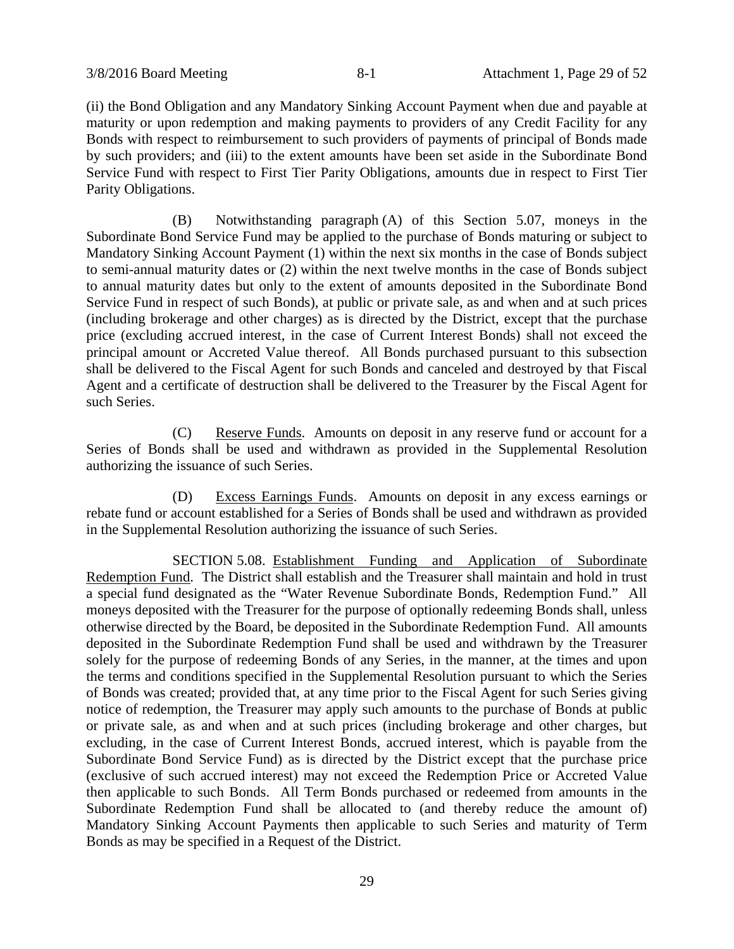(ii) the Bond Obligation and any Mandatory Sinking Account Payment when due and payable at maturity or upon redemption and making payments to providers of any Credit Facility for any Bonds with respect to reimbursement to such providers of payments of principal of Bonds made by such providers; and (iii) to the extent amounts have been set aside in the Subordinate Bond Service Fund with respect to First Tier Parity Obligations, amounts due in respect to First Tier Parity Obligations.

(B) Notwithstanding paragraph (A) of this Section 5.07, moneys in the Subordinate Bond Service Fund may be applied to the purchase of Bonds maturing or subject to Mandatory Sinking Account Payment (1) within the next six months in the case of Bonds subject to semi-annual maturity dates or (2) within the next twelve months in the case of Bonds subject to annual maturity dates but only to the extent of amounts deposited in the Subordinate Bond Service Fund in respect of such Bonds), at public or private sale, as and when and at such prices (including brokerage and other charges) as is directed by the District, except that the purchase price (excluding accrued interest, in the case of Current Interest Bonds) shall not exceed the principal amount or Accreted Value thereof. All Bonds purchased pursuant to this subsection shall be delivered to the Fiscal Agent for such Bonds and canceled and destroyed by that Fiscal Agent and a certificate of destruction shall be delivered to the Treasurer by the Fiscal Agent for such Series.

(C) Reserve Funds. Amounts on deposit in any reserve fund or account for a Series of Bonds shall be used and withdrawn as provided in the Supplemental Resolution authorizing the issuance of such Series.

(D) Excess Earnings Funds. Amounts on deposit in any excess earnings or rebate fund or account established for a Series of Bonds shall be used and withdrawn as provided in the Supplemental Resolution authorizing the issuance of such Series.

SECTION 5.08. Establishment Funding and Application of Subordinate Redemption Fund. The District shall establish and the Treasurer shall maintain and hold in trust a special fund designated as the "Water Revenue Subordinate Bonds, Redemption Fund." All moneys deposited with the Treasurer for the purpose of optionally redeeming Bonds shall, unless otherwise directed by the Board, be deposited in the Subordinate Redemption Fund. All amounts deposited in the Subordinate Redemption Fund shall be used and withdrawn by the Treasurer solely for the purpose of redeeming Bonds of any Series, in the manner, at the times and upon the terms and conditions specified in the Supplemental Resolution pursuant to which the Series of Bonds was created; provided that, at any time prior to the Fiscal Agent for such Series giving notice of redemption, the Treasurer may apply such amounts to the purchase of Bonds at public or private sale, as and when and at such prices (including brokerage and other charges, but excluding, in the case of Current Interest Bonds, accrued interest, which is payable from the Subordinate Bond Service Fund) as is directed by the District except that the purchase price (exclusive of such accrued interest) may not exceed the Redemption Price or Accreted Value then applicable to such Bonds. All Term Bonds purchased or redeemed from amounts in the Subordinate Redemption Fund shall be allocated to (and thereby reduce the amount of) Mandatory Sinking Account Payments then applicable to such Series and maturity of Term Bonds as may be specified in a Request of the District.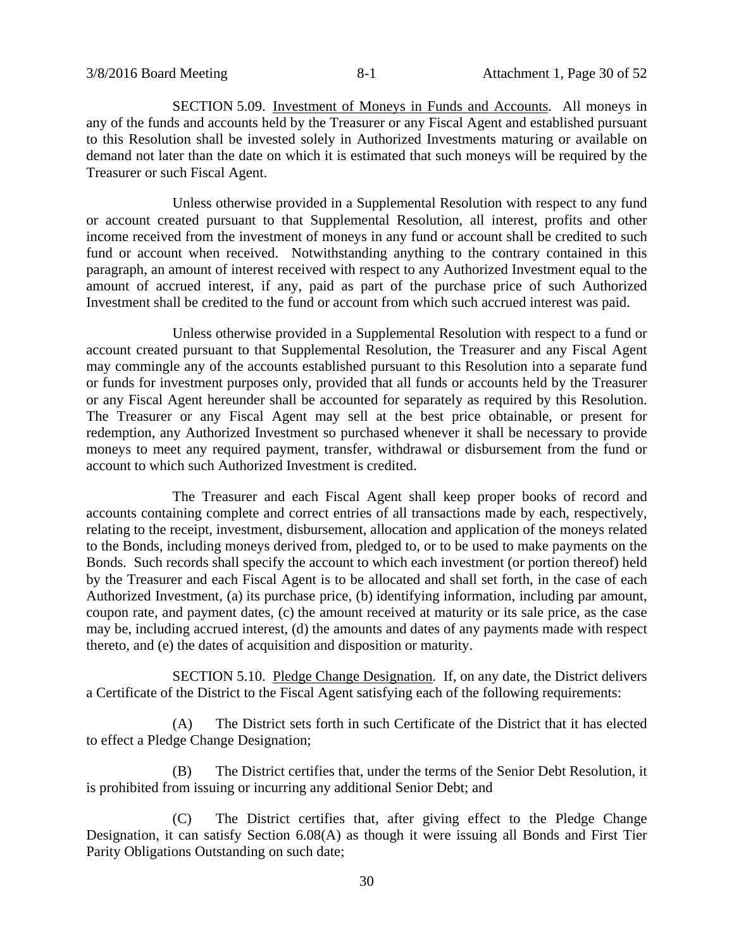SECTION 5.09. Investment of Moneys in Funds and Accounts. All moneys in any of the funds and accounts held by the Treasurer or any Fiscal Agent and established pursuant to this Resolution shall be invested solely in Authorized Investments maturing or available on demand not later than the date on which it is estimated that such moneys will be required by the Treasurer or such Fiscal Agent.

Unless otherwise provided in a Supplemental Resolution with respect to any fund or account created pursuant to that Supplemental Resolution, all interest, profits and other income received from the investment of moneys in any fund or account shall be credited to such fund or account when received. Notwithstanding anything to the contrary contained in this paragraph, an amount of interest received with respect to any Authorized Investment equal to the amount of accrued interest, if any, paid as part of the purchase price of such Authorized Investment shall be credited to the fund or account from which such accrued interest was paid.

Unless otherwise provided in a Supplemental Resolution with respect to a fund or account created pursuant to that Supplemental Resolution, the Treasurer and any Fiscal Agent may commingle any of the accounts established pursuant to this Resolution into a separate fund or funds for investment purposes only, provided that all funds or accounts held by the Treasurer or any Fiscal Agent hereunder shall be accounted for separately as required by this Resolution. The Treasurer or any Fiscal Agent may sell at the best price obtainable, or present for redemption, any Authorized Investment so purchased whenever it shall be necessary to provide moneys to meet any required payment, transfer, withdrawal or disbursement from the fund or account to which such Authorized Investment is credited.

The Treasurer and each Fiscal Agent shall keep proper books of record and accounts containing complete and correct entries of all transactions made by each, respectively, relating to the receipt, investment, disbursement, allocation and application of the moneys related to the Bonds, including moneys derived from, pledged to, or to be used to make payments on the Bonds. Such records shall specify the account to which each investment (or portion thereof) held by the Treasurer and each Fiscal Agent is to be allocated and shall set forth, in the case of each Authorized Investment, (a) its purchase price, (b) identifying information, including par amount, coupon rate, and payment dates, (c) the amount received at maturity or its sale price, as the case may be, including accrued interest, (d) the amounts and dates of any payments made with respect thereto, and (e) the dates of acquisition and disposition or maturity.

SECTION 5.10. Pledge Change Designation. If, on any date, the District delivers a Certificate of the District to the Fiscal Agent satisfying each of the following requirements:

(A) The District sets forth in such Certificate of the District that it has elected to effect a Pledge Change Designation;

(B) The District certifies that, under the terms of the Senior Debt Resolution, it is prohibited from issuing or incurring any additional Senior Debt; and

(C) The District certifies that, after giving effect to the Pledge Change Designation, it can satisfy Section 6.08(A) as though it were issuing all Bonds and First Tier Parity Obligations Outstanding on such date;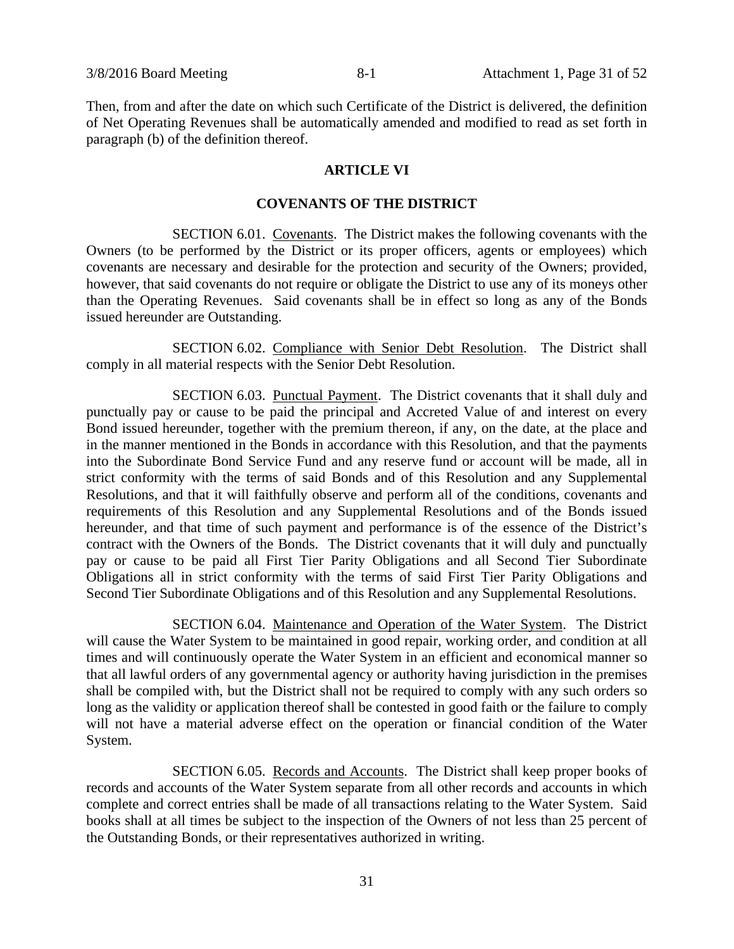Then, from and after the date on which such Certificate of the District is delivered, the definition of Net Operating Revenues shall be automatically amended and modified to read as set forth in paragraph (b) of the definition thereof.

### **ARTICLE VI**

### **COVENANTS OF THE DISTRICT**

SECTION 6.01. Covenants. The District makes the following covenants with the Owners (to be performed by the District or its proper officers, agents or employees) which covenants are necessary and desirable for the protection and security of the Owners; provided, however, that said covenants do not require or obligate the District to use any of its moneys other than the Operating Revenues. Said covenants shall be in effect so long as any of the Bonds issued hereunder are Outstanding.

SECTION 6.02. Compliance with Senior Debt Resolution. The District shall comply in all material respects with the Senior Debt Resolution.

SECTION 6.03. Punctual Payment. The District covenants that it shall duly and punctually pay or cause to be paid the principal and Accreted Value of and interest on every Bond issued hereunder, together with the premium thereon, if any, on the date, at the place and in the manner mentioned in the Bonds in accordance with this Resolution, and that the payments into the Subordinate Bond Service Fund and any reserve fund or account will be made, all in strict conformity with the terms of said Bonds and of this Resolution and any Supplemental Resolutions, and that it will faithfully observe and perform all of the conditions, covenants and requirements of this Resolution and any Supplemental Resolutions and of the Bonds issued hereunder, and that time of such payment and performance is of the essence of the District's contract with the Owners of the Bonds. The District covenants that it will duly and punctually pay or cause to be paid all First Tier Parity Obligations and all Second Tier Subordinate Obligations all in strict conformity with the terms of said First Tier Parity Obligations and Second Tier Subordinate Obligations and of this Resolution and any Supplemental Resolutions.

SECTION 6.04. Maintenance and Operation of the Water System. The District will cause the Water System to be maintained in good repair, working order, and condition at all times and will continuously operate the Water System in an efficient and economical manner so that all lawful orders of any governmental agency or authority having jurisdiction in the premises shall be compiled with, but the District shall not be required to comply with any such orders so long as the validity or application thereof shall be contested in good faith or the failure to comply will not have a material adverse effect on the operation or financial condition of the Water System.

SECTION 6.05. Records and Accounts. The District shall keep proper books of records and accounts of the Water System separate from all other records and accounts in which complete and correct entries shall be made of all transactions relating to the Water System. Said books shall at all times be subject to the inspection of the Owners of not less than 25 percent of the Outstanding Bonds, or their representatives authorized in writing.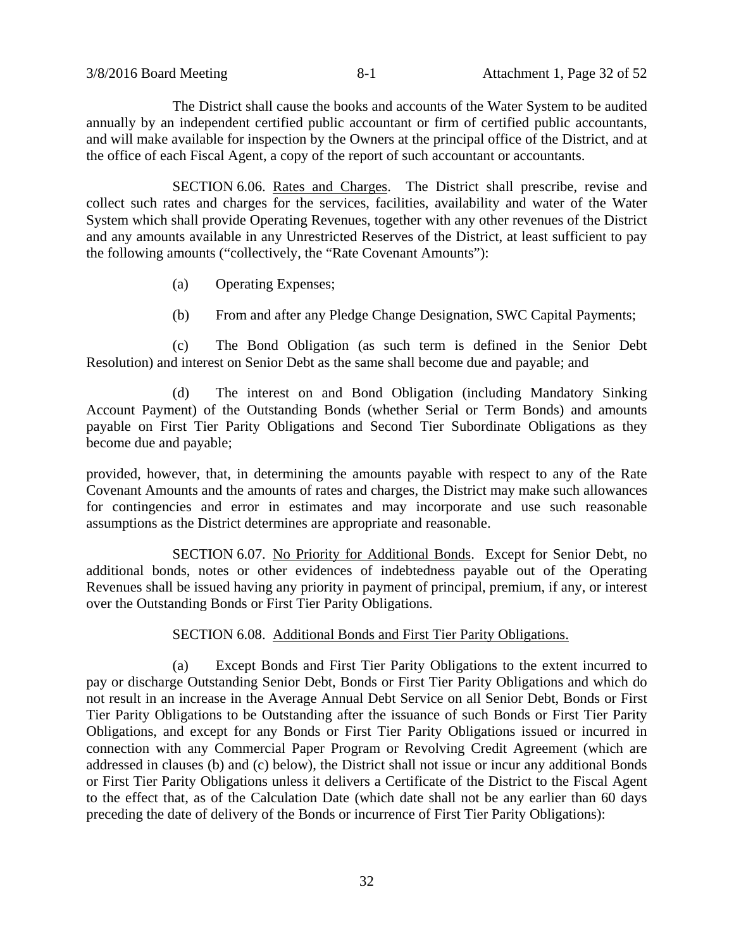The District shall cause the books and accounts of the Water System to be audited annually by an independent certified public accountant or firm of certified public accountants, and will make available for inspection by the Owners at the principal office of the District, and at the office of each Fiscal Agent, a copy of the report of such accountant or accountants.

SECTION 6.06. Rates and Charges. The District shall prescribe, revise and collect such rates and charges for the services, facilities, availability and water of the Water System which shall provide Operating Revenues, together with any other revenues of the District and any amounts available in any Unrestricted Reserves of the District, at least sufficient to pay the following amounts ("collectively, the "Rate Covenant Amounts"):

- (a) Operating Expenses;
- (b) From and after any Pledge Change Designation, SWC Capital Payments;

(c) The Bond Obligation (as such term is defined in the Senior Debt Resolution) and interest on Senior Debt as the same shall become due and payable; and

(d) The interest on and Bond Obligation (including Mandatory Sinking Account Payment) of the Outstanding Bonds (whether Serial or Term Bonds) and amounts payable on First Tier Parity Obligations and Second Tier Subordinate Obligations as they become due and payable;

provided, however, that, in determining the amounts payable with respect to any of the Rate Covenant Amounts and the amounts of rates and charges, the District may make such allowances for contingencies and error in estimates and may incorporate and use such reasonable assumptions as the District determines are appropriate and reasonable.

SECTION 6.07. No Priority for Additional Bonds. Except for Senior Debt, no additional bonds, notes or other evidences of indebtedness payable out of the Operating Revenues shall be issued having any priority in payment of principal, premium, if any, or interest over the Outstanding Bonds or First Tier Parity Obligations.

### SECTION 6.08. Additional Bonds and First Tier Parity Obligations.

(a) Except Bonds and First Tier Parity Obligations to the extent incurred to pay or discharge Outstanding Senior Debt, Bonds or First Tier Parity Obligations and which do not result in an increase in the Average Annual Debt Service on all Senior Debt, Bonds or First Tier Parity Obligations to be Outstanding after the issuance of such Bonds or First Tier Parity Obligations, and except for any Bonds or First Tier Parity Obligations issued or incurred in connection with any Commercial Paper Program or Revolving Credit Agreement (which are addressed in clauses (b) and (c) below), the District shall not issue or incur any additional Bonds or First Tier Parity Obligations unless it delivers a Certificate of the District to the Fiscal Agent to the effect that, as of the Calculation Date (which date shall not be any earlier than 60 days preceding the date of delivery of the Bonds or incurrence of First Tier Parity Obligations):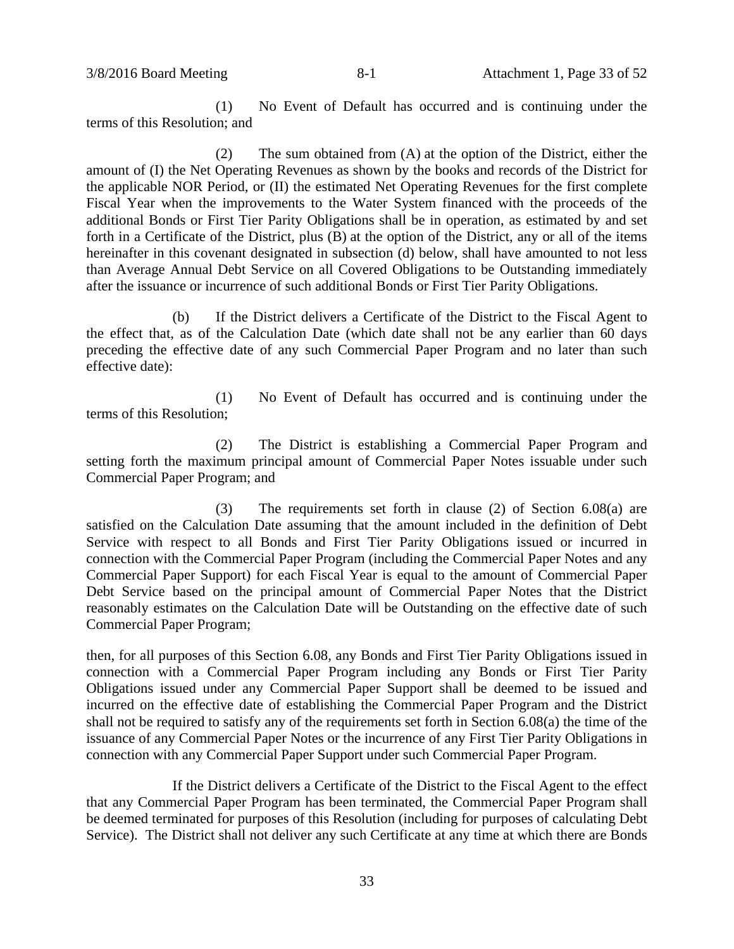(1) No Event of Default has occurred and is continuing under the terms of this Resolution; and

(2) The sum obtained from (A) at the option of the District, either the amount of (I) the Net Operating Revenues as shown by the books and records of the District for the applicable NOR Period, or (II) the estimated Net Operating Revenues for the first complete Fiscal Year when the improvements to the Water System financed with the proceeds of the additional Bonds or First Tier Parity Obligations shall be in operation, as estimated by and set forth in a Certificate of the District, plus (B) at the option of the District, any or all of the items hereinafter in this covenant designated in subsection (d) below, shall have amounted to not less than Average Annual Debt Service on all Covered Obligations to be Outstanding immediately after the issuance or incurrence of such additional Bonds or First Tier Parity Obligations.

(b) If the District delivers a Certificate of the District to the Fiscal Agent to the effect that, as of the Calculation Date (which date shall not be any earlier than 60 days preceding the effective date of any such Commercial Paper Program and no later than such effective date):

(1) No Event of Default has occurred and is continuing under the terms of this Resolution;

(2) The District is establishing a Commercial Paper Program and setting forth the maximum principal amount of Commercial Paper Notes issuable under such Commercial Paper Program; and

(3) The requirements set forth in clause (2) of Section 6.08(a) are satisfied on the Calculation Date assuming that the amount included in the definition of Debt Service with respect to all Bonds and First Tier Parity Obligations issued or incurred in connection with the Commercial Paper Program (including the Commercial Paper Notes and any Commercial Paper Support) for each Fiscal Year is equal to the amount of Commercial Paper Debt Service based on the principal amount of Commercial Paper Notes that the District reasonably estimates on the Calculation Date will be Outstanding on the effective date of such Commercial Paper Program;

then, for all purposes of this Section 6.08, any Bonds and First Tier Parity Obligations issued in connection with a Commercial Paper Program including any Bonds or First Tier Parity Obligations issued under any Commercial Paper Support shall be deemed to be issued and incurred on the effective date of establishing the Commercial Paper Program and the District shall not be required to satisfy any of the requirements set forth in Section 6.08(a) the time of the issuance of any Commercial Paper Notes or the incurrence of any First Tier Parity Obligations in connection with any Commercial Paper Support under such Commercial Paper Program.

If the District delivers a Certificate of the District to the Fiscal Agent to the effect that any Commercial Paper Program has been terminated, the Commercial Paper Program shall be deemed terminated for purposes of this Resolution (including for purposes of calculating Debt Service). The District shall not deliver any such Certificate at any time at which there are Bonds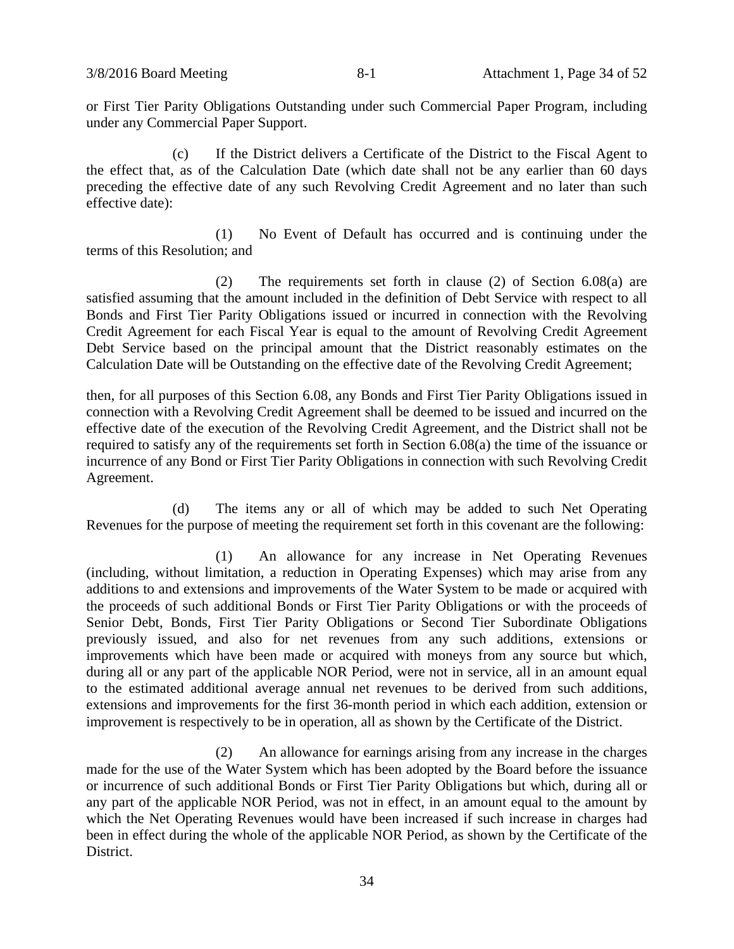or First Tier Parity Obligations Outstanding under such Commercial Paper Program, including under any Commercial Paper Support.

(c) If the District delivers a Certificate of the District to the Fiscal Agent to the effect that, as of the Calculation Date (which date shall not be any earlier than 60 days preceding the effective date of any such Revolving Credit Agreement and no later than such effective date):

(1) No Event of Default has occurred and is continuing under the terms of this Resolution; and

(2) The requirements set forth in clause (2) of Section 6.08(a) are satisfied assuming that the amount included in the definition of Debt Service with respect to all Bonds and First Tier Parity Obligations issued or incurred in connection with the Revolving Credit Agreement for each Fiscal Year is equal to the amount of Revolving Credit Agreement Debt Service based on the principal amount that the District reasonably estimates on the Calculation Date will be Outstanding on the effective date of the Revolving Credit Agreement;

then, for all purposes of this Section 6.08, any Bonds and First Tier Parity Obligations issued in connection with a Revolving Credit Agreement shall be deemed to be issued and incurred on the effective date of the execution of the Revolving Credit Agreement, and the District shall not be required to satisfy any of the requirements set forth in Section 6.08(a) the time of the issuance or incurrence of any Bond or First Tier Parity Obligations in connection with such Revolving Credit Agreement.

(d) The items any or all of which may be added to such Net Operating Revenues for the purpose of meeting the requirement set forth in this covenant are the following:

(1) An allowance for any increase in Net Operating Revenues (including, without limitation, a reduction in Operating Expenses) which may arise from any additions to and extensions and improvements of the Water System to be made or acquired with the proceeds of such additional Bonds or First Tier Parity Obligations or with the proceeds of Senior Debt, Bonds, First Tier Parity Obligations or Second Tier Subordinate Obligations previously issued, and also for net revenues from any such additions, extensions or improvements which have been made or acquired with moneys from any source but which, during all or any part of the applicable NOR Period, were not in service, all in an amount equal to the estimated additional average annual net revenues to be derived from such additions, extensions and improvements for the first 36-month period in which each addition, extension or improvement is respectively to be in operation, all as shown by the Certificate of the District.

(2) An allowance for earnings arising from any increase in the charges made for the use of the Water System which has been adopted by the Board before the issuance or incurrence of such additional Bonds or First Tier Parity Obligations but which, during all or any part of the applicable NOR Period, was not in effect, in an amount equal to the amount by which the Net Operating Revenues would have been increased if such increase in charges had been in effect during the whole of the applicable NOR Period, as shown by the Certificate of the District.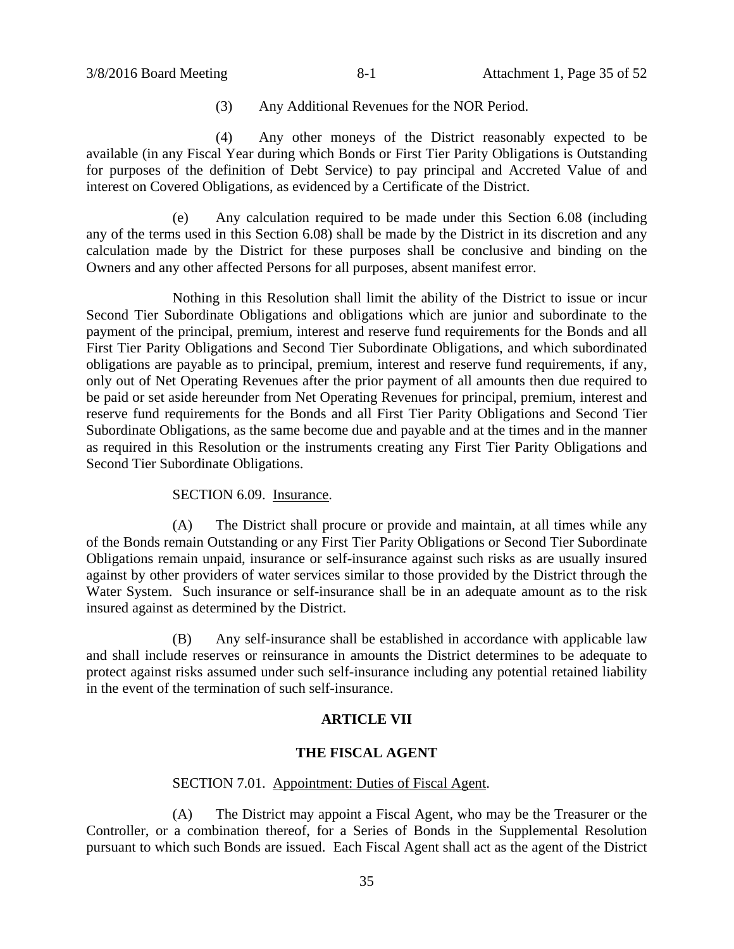(3) Any Additional Revenues for the NOR Period.

(4) Any other moneys of the District reasonably expected to be available (in any Fiscal Year during which Bonds or First Tier Parity Obligations is Outstanding for purposes of the definition of Debt Service) to pay principal and Accreted Value of and interest on Covered Obligations, as evidenced by a Certificate of the District.

(e) Any calculation required to be made under this Section 6.08 (including any of the terms used in this Section 6.08) shall be made by the District in its discretion and any calculation made by the District for these purposes shall be conclusive and binding on the Owners and any other affected Persons for all purposes, absent manifest error.

Nothing in this Resolution shall limit the ability of the District to issue or incur Second Tier Subordinate Obligations and obligations which are junior and subordinate to the payment of the principal, premium, interest and reserve fund requirements for the Bonds and all First Tier Parity Obligations and Second Tier Subordinate Obligations, and which subordinated obligations are payable as to principal, premium, interest and reserve fund requirements, if any, only out of Net Operating Revenues after the prior payment of all amounts then due required to be paid or set aside hereunder from Net Operating Revenues for principal, premium, interest and reserve fund requirements for the Bonds and all First Tier Parity Obligations and Second Tier Subordinate Obligations, as the same become due and payable and at the times and in the manner as required in this Resolution or the instruments creating any First Tier Parity Obligations and Second Tier Subordinate Obligations.

SECTION 6.09. Insurance.

(A) The District shall procure or provide and maintain, at all times while any of the Bonds remain Outstanding or any First Tier Parity Obligations or Second Tier Subordinate Obligations remain unpaid, insurance or self-insurance against such risks as are usually insured against by other providers of water services similar to those provided by the District through the Water System. Such insurance or self-insurance shall be in an adequate amount as to the risk insured against as determined by the District.

(B) Any self-insurance shall be established in accordance with applicable law and shall include reserves or reinsurance in amounts the District determines to be adequate to protect against risks assumed under such self-insurance including any potential retained liability in the event of the termination of such self-insurance.

# **ARTICLE VII**

# **THE FISCAL AGENT**

#### SECTION 7.01. Appointment: Duties of Fiscal Agent.

(A) The District may appoint a Fiscal Agent, who may be the Treasurer or the Controller, or a combination thereof, for a Series of Bonds in the Supplemental Resolution pursuant to which such Bonds are issued. Each Fiscal Agent shall act as the agent of the District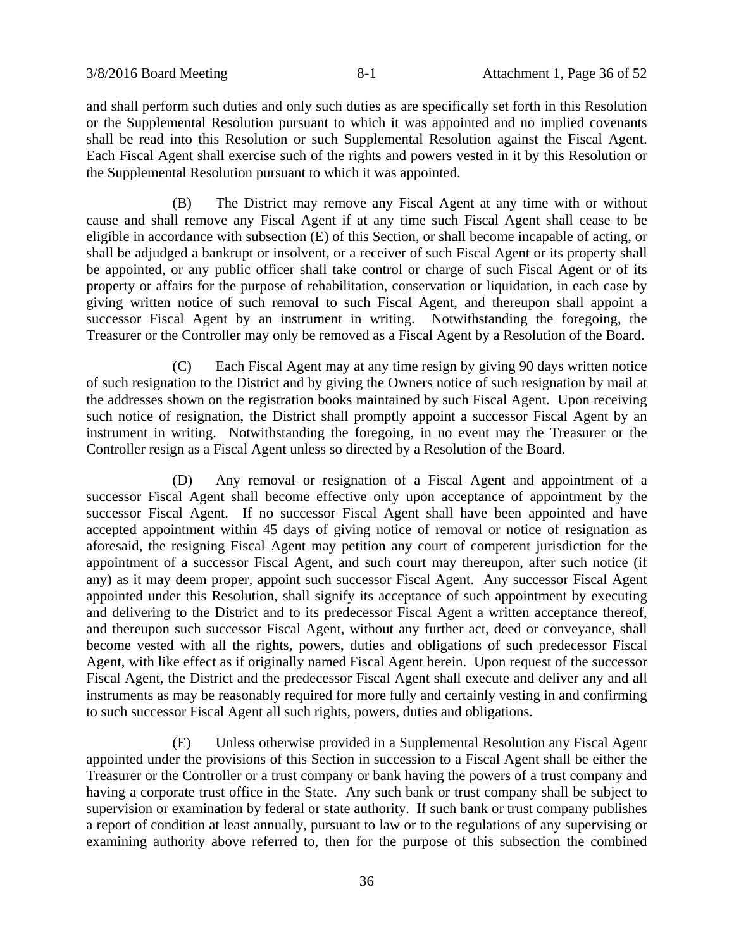and shall perform such duties and only such duties as are specifically set forth in this Resolution or the Supplemental Resolution pursuant to which it was appointed and no implied covenants shall be read into this Resolution or such Supplemental Resolution against the Fiscal Agent. Each Fiscal Agent shall exercise such of the rights and powers vested in it by this Resolution or the Supplemental Resolution pursuant to which it was appointed.

(B) The District may remove any Fiscal Agent at any time with or without cause and shall remove any Fiscal Agent if at any time such Fiscal Agent shall cease to be eligible in accordance with subsection (E) of this Section, or shall become incapable of acting, or shall be adjudged a bankrupt or insolvent, or a receiver of such Fiscal Agent or its property shall be appointed, or any public officer shall take control or charge of such Fiscal Agent or of its property or affairs for the purpose of rehabilitation, conservation or liquidation, in each case by giving written notice of such removal to such Fiscal Agent, and thereupon shall appoint a successor Fiscal Agent by an instrument in writing. Notwithstanding the foregoing, the Treasurer or the Controller may only be removed as a Fiscal Agent by a Resolution of the Board.

(C) Each Fiscal Agent may at any time resign by giving 90 days written notice of such resignation to the District and by giving the Owners notice of such resignation by mail at the addresses shown on the registration books maintained by such Fiscal Agent. Upon receiving such notice of resignation, the District shall promptly appoint a successor Fiscal Agent by an instrument in writing. Notwithstanding the foregoing, in no event may the Treasurer or the Controller resign as a Fiscal Agent unless so directed by a Resolution of the Board.

(D) Any removal or resignation of a Fiscal Agent and appointment of a successor Fiscal Agent shall become effective only upon acceptance of appointment by the successor Fiscal Agent. If no successor Fiscal Agent shall have been appointed and have accepted appointment within 45 days of giving notice of removal or notice of resignation as aforesaid, the resigning Fiscal Agent may petition any court of competent jurisdiction for the appointment of a successor Fiscal Agent, and such court may thereupon, after such notice (if any) as it may deem proper, appoint such successor Fiscal Agent. Any successor Fiscal Agent appointed under this Resolution, shall signify its acceptance of such appointment by executing and delivering to the District and to its predecessor Fiscal Agent a written acceptance thereof, and thereupon such successor Fiscal Agent, without any further act, deed or conveyance, shall become vested with all the rights, powers, duties and obligations of such predecessor Fiscal Agent, with like effect as if originally named Fiscal Agent herein. Upon request of the successor Fiscal Agent, the District and the predecessor Fiscal Agent shall execute and deliver any and all instruments as may be reasonably required for more fully and certainly vesting in and confirming to such successor Fiscal Agent all such rights, powers, duties and obligations.

(E) Unless otherwise provided in a Supplemental Resolution any Fiscal Agent appointed under the provisions of this Section in succession to a Fiscal Agent shall be either the Treasurer or the Controller or a trust company or bank having the powers of a trust company and having a corporate trust office in the State. Any such bank or trust company shall be subject to supervision or examination by federal or state authority. If such bank or trust company publishes a report of condition at least annually, pursuant to law or to the regulations of any supervising or examining authority above referred to, then for the purpose of this subsection the combined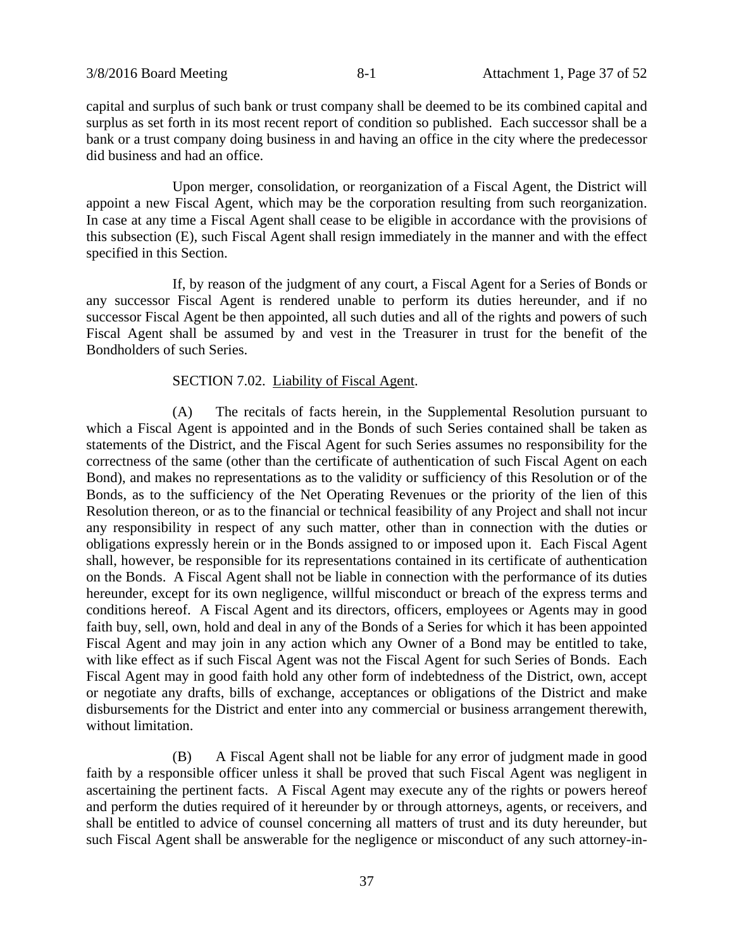capital and surplus of such bank or trust company shall be deemed to be its combined capital and surplus as set forth in its most recent report of condition so published. Each successor shall be a bank or a trust company doing business in and having an office in the city where the predecessor did business and had an office.

Upon merger, consolidation, or reorganization of a Fiscal Agent, the District will appoint a new Fiscal Agent, which may be the corporation resulting from such reorganization. In case at any time a Fiscal Agent shall cease to be eligible in accordance with the provisions of this subsection (E), such Fiscal Agent shall resign immediately in the manner and with the effect specified in this Section.

If, by reason of the judgment of any court, a Fiscal Agent for a Series of Bonds or any successor Fiscal Agent is rendered unable to perform its duties hereunder, and if no successor Fiscal Agent be then appointed, all such duties and all of the rights and powers of such Fiscal Agent shall be assumed by and vest in the Treasurer in trust for the benefit of the Bondholders of such Series.

#### SECTION 7.02. Liability of Fiscal Agent.

(A) The recitals of facts herein, in the Supplemental Resolution pursuant to which a Fiscal Agent is appointed and in the Bonds of such Series contained shall be taken as statements of the District, and the Fiscal Agent for such Series assumes no responsibility for the correctness of the same (other than the certificate of authentication of such Fiscal Agent on each Bond), and makes no representations as to the validity or sufficiency of this Resolution or of the Bonds, as to the sufficiency of the Net Operating Revenues or the priority of the lien of this Resolution thereon, or as to the financial or technical feasibility of any Project and shall not incur any responsibility in respect of any such matter, other than in connection with the duties or obligations expressly herein or in the Bonds assigned to or imposed upon it. Each Fiscal Agent shall, however, be responsible for its representations contained in its certificate of authentication on the Bonds. A Fiscal Agent shall not be liable in connection with the performance of its duties hereunder, except for its own negligence, willful misconduct or breach of the express terms and conditions hereof. A Fiscal Agent and its directors, officers, employees or Agents may in good faith buy, sell, own, hold and deal in any of the Bonds of a Series for which it has been appointed Fiscal Agent and may join in any action which any Owner of a Bond may be entitled to take, with like effect as if such Fiscal Agent was not the Fiscal Agent for such Series of Bonds. Each Fiscal Agent may in good faith hold any other form of indebtedness of the District, own, accept or negotiate any drafts, bills of exchange, acceptances or obligations of the District and make disbursements for the District and enter into any commercial or business arrangement therewith, without limitation.

(B) A Fiscal Agent shall not be liable for any error of judgment made in good faith by a responsible officer unless it shall be proved that such Fiscal Agent was negligent in ascertaining the pertinent facts. A Fiscal Agent may execute any of the rights or powers hereof and perform the duties required of it hereunder by or through attorneys, agents, or receivers, and shall be entitled to advice of counsel concerning all matters of trust and its duty hereunder, but such Fiscal Agent shall be answerable for the negligence or misconduct of any such attorney-in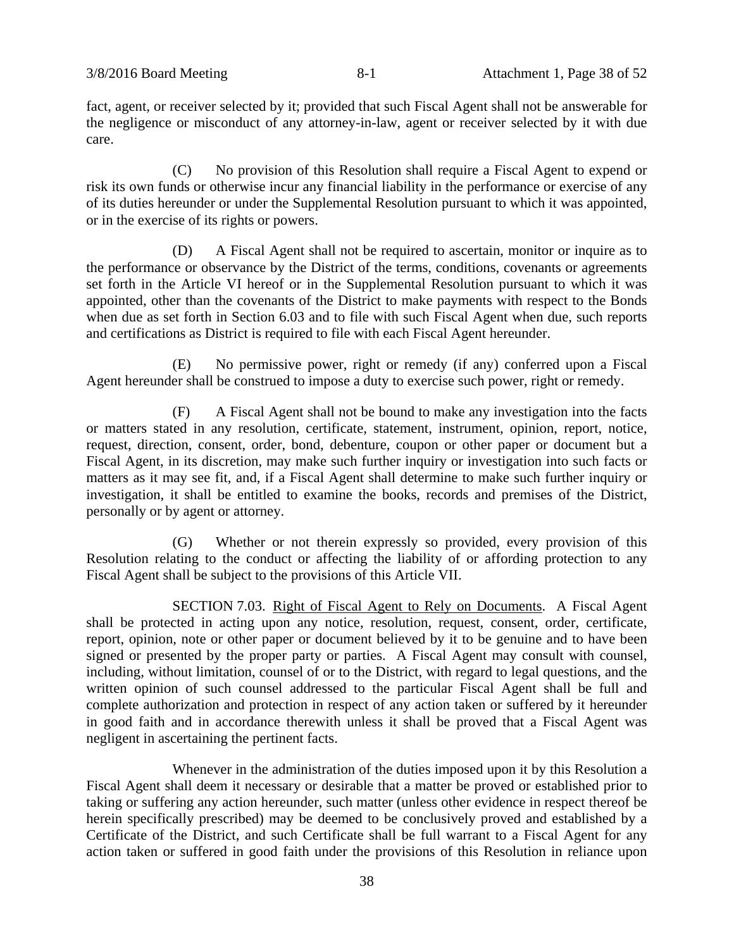fact, agent, or receiver selected by it; provided that such Fiscal Agent shall not be answerable for the negligence or misconduct of any attorney-in-law, agent or receiver selected by it with due care.

(C) No provision of this Resolution shall require a Fiscal Agent to expend or risk its own funds or otherwise incur any financial liability in the performance or exercise of any of its duties hereunder or under the Supplemental Resolution pursuant to which it was appointed, or in the exercise of its rights or powers.

(D) A Fiscal Agent shall not be required to ascertain, monitor or inquire as to the performance or observance by the District of the terms, conditions, covenants or agreements set forth in the Article VI hereof or in the Supplemental Resolution pursuant to which it was appointed, other than the covenants of the District to make payments with respect to the Bonds when due as set forth in Section 6.03 and to file with such Fiscal Agent when due, such reports and certifications as District is required to file with each Fiscal Agent hereunder.

(E) No permissive power, right or remedy (if any) conferred upon a Fiscal Agent hereunder shall be construed to impose a duty to exercise such power, right or remedy.

(F) A Fiscal Agent shall not be bound to make any investigation into the facts or matters stated in any resolution, certificate, statement, instrument, opinion, report, notice, request, direction, consent, order, bond, debenture, coupon or other paper or document but a Fiscal Agent, in its discretion, may make such further inquiry or investigation into such facts or matters as it may see fit, and, if a Fiscal Agent shall determine to make such further inquiry or investigation, it shall be entitled to examine the books, records and premises of the District, personally or by agent or attorney.

(G) Whether or not therein expressly so provided, every provision of this Resolution relating to the conduct or affecting the liability of or affording protection to any Fiscal Agent shall be subject to the provisions of this Article VII.

SECTION 7.03. Right of Fiscal Agent to Rely on Documents. A Fiscal Agent shall be protected in acting upon any notice, resolution, request, consent, order, certificate, report, opinion, note or other paper or document believed by it to be genuine and to have been signed or presented by the proper party or parties. A Fiscal Agent may consult with counsel, including, without limitation, counsel of or to the District, with regard to legal questions, and the written opinion of such counsel addressed to the particular Fiscal Agent shall be full and complete authorization and protection in respect of any action taken or suffered by it hereunder in good faith and in accordance therewith unless it shall be proved that a Fiscal Agent was negligent in ascertaining the pertinent facts.

Whenever in the administration of the duties imposed upon it by this Resolution a Fiscal Agent shall deem it necessary or desirable that a matter be proved or established prior to taking or suffering any action hereunder, such matter (unless other evidence in respect thereof be herein specifically prescribed) may be deemed to be conclusively proved and established by a Certificate of the District, and such Certificate shall be full warrant to a Fiscal Agent for any action taken or suffered in good faith under the provisions of this Resolution in reliance upon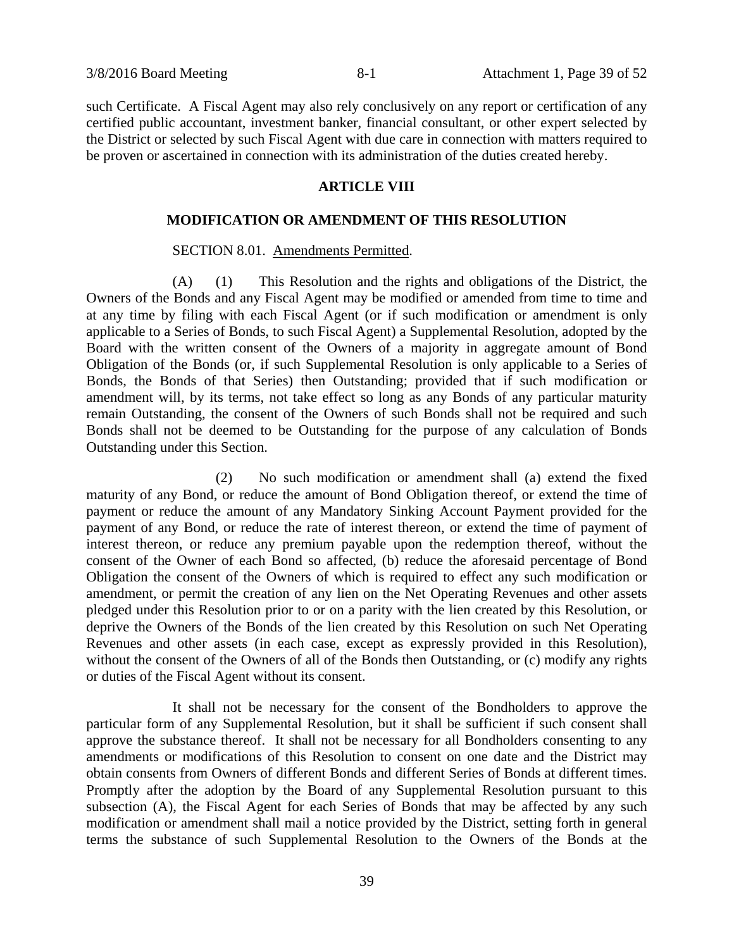such Certificate. A Fiscal Agent may also rely conclusively on any report or certification of any certified public accountant, investment banker, financial consultant, or other expert selected by the District or selected by such Fiscal Agent with due care in connection with matters required to be proven or ascertained in connection with its administration of the duties created hereby.

# **ARTICLE VIII**

# **MODIFICATION OR AMENDMENT OF THIS RESOLUTION**

#### SECTION 8.01. Amendments Permitted.

(A) (1) This Resolution and the rights and obligations of the District, the Owners of the Bonds and any Fiscal Agent may be modified or amended from time to time and at any time by filing with each Fiscal Agent (or if such modification or amendment is only applicable to a Series of Bonds, to such Fiscal Agent) a Supplemental Resolution, adopted by the Board with the written consent of the Owners of a majority in aggregate amount of Bond Obligation of the Bonds (or, if such Supplemental Resolution is only applicable to a Series of Bonds, the Bonds of that Series) then Outstanding; provided that if such modification or amendment will, by its terms, not take effect so long as any Bonds of any particular maturity remain Outstanding, the consent of the Owners of such Bonds shall not be required and such Bonds shall not be deemed to be Outstanding for the purpose of any calculation of Bonds Outstanding under this Section.

(2) No such modification or amendment shall (a) extend the fixed maturity of any Bond, or reduce the amount of Bond Obligation thereof, or extend the time of payment or reduce the amount of any Mandatory Sinking Account Payment provided for the payment of any Bond, or reduce the rate of interest thereon, or extend the time of payment of interest thereon, or reduce any premium payable upon the redemption thereof, without the consent of the Owner of each Bond so affected, (b) reduce the aforesaid percentage of Bond Obligation the consent of the Owners of which is required to effect any such modification or amendment, or permit the creation of any lien on the Net Operating Revenues and other assets pledged under this Resolution prior to or on a parity with the lien created by this Resolution, or deprive the Owners of the Bonds of the lien created by this Resolution on such Net Operating Revenues and other assets (in each case, except as expressly provided in this Resolution), without the consent of the Owners of all of the Bonds then Outstanding, or (c) modify any rights or duties of the Fiscal Agent without its consent.

It shall not be necessary for the consent of the Bondholders to approve the particular form of any Supplemental Resolution, but it shall be sufficient if such consent shall approve the substance thereof. It shall not be necessary for all Bondholders consenting to any amendments or modifications of this Resolution to consent on one date and the District may obtain consents from Owners of different Bonds and different Series of Bonds at different times. Promptly after the adoption by the Board of any Supplemental Resolution pursuant to this subsection (A), the Fiscal Agent for each Series of Bonds that may be affected by any such modification or amendment shall mail a notice provided by the District, setting forth in general terms the substance of such Supplemental Resolution to the Owners of the Bonds at the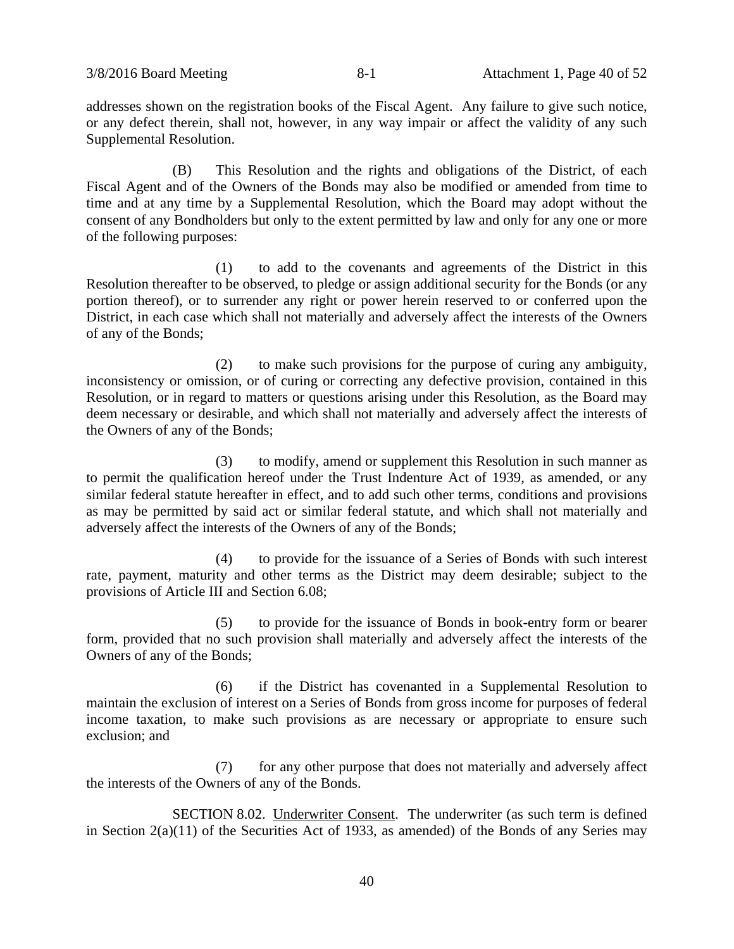addresses shown on the registration books of the Fiscal Agent. Any failure to give such notice, or any defect therein, shall not, however, in any way impair or affect the validity of any such Supplemental Resolution.

(B) This Resolution and the rights and obligations of the District, of each Fiscal Agent and of the Owners of the Bonds may also be modified or amended from time to time and at any time by a Supplemental Resolution, which the Board may adopt without the consent of any Bondholders but only to the extent permitted by law and only for any one or more of the following purposes:

(1) to add to the covenants and agreements of the District in this Resolution thereafter to be observed, to pledge or assign additional security for the Bonds (or any portion thereof), or to surrender any right or power herein reserved to or conferred upon the District, in each case which shall not materially and adversely affect the interests of the Owners of any of the Bonds;

(2) to make such provisions for the purpose of curing any ambiguity, inconsistency or omission, or of curing or correcting any defective provision, contained in this Resolution, or in regard to matters or questions arising under this Resolution, as the Board may deem necessary or desirable, and which shall not materially and adversely affect the interests of the Owners of any of the Bonds;

(3) to modify, amend or supplement this Resolution in such manner as to permit the qualification hereof under the Trust Indenture Act of 1939, as amended, or any similar federal statute hereafter in effect, and to add such other terms, conditions and provisions as may be permitted by said act or similar federal statute, and which shall not materially and adversely affect the interests of the Owners of any of the Bonds;

(4) to provide for the issuance of a Series of Bonds with such interest rate, payment, maturity and other terms as the District may deem desirable; subject to the provisions of Article III and Section 6.08;

(5) to provide for the issuance of Bonds in book-entry form or bearer form, provided that no such provision shall materially and adversely affect the interests of the Owners of any of the Bonds;

(6) if the District has covenanted in a Supplemental Resolution to maintain the exclusion of interest on a Series of Bonds from gross income for purposes of federal income taxation, to make such provisions as are necessary or appropriate to ensure such exclusion; and

(7) for any other purpose that does not materially and adversely affect the interests of the Owners of any of the Bonds.

SECTION 8.02. Underwriter Consent. The underwriter (as such term is defined in Section 2(a)(11) of the Securities Act of 1933, as amended) of the Bonds of any Series may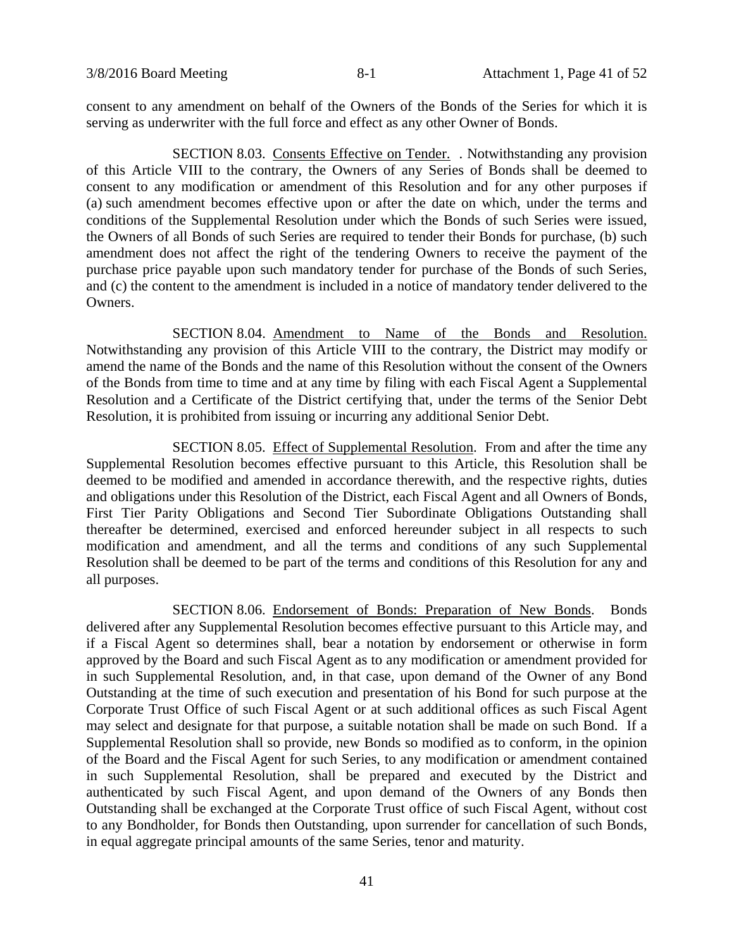consent to any amendment on behalf of the Owners of the Bonds of the Series for which it is serving as underwriter with the full force and effect as any other Owner of Bonds.

SECTION 8.03. Consents Effective on Tender. . Notwithstanding any provision of this Article VIII to the contrary, the Owners of any Series of Bonds shall be deemed to consent to any modification or amendment of this Resolution and for any other purposes if (a) such amendment becomes effective upon or after the date on which, under the terms and conditions of the Supplemental Resolution under which the Bonds of such Series were issued, the Owners of all Bonds of such Series are required to tender their Bonds for purchase, (b) such amendment does not affect the right of the tendering Owners to receive the payment of the purchase price payable upon such mandatory tender for purchase of the Bonds of such Series, and (c) the content to the amendment is included in a notice of mandatory tender delivered to the Owners.

SECTION 8.04. Amendment to Name of the Bonds and Resolution. Notwithstanding any provision of this Article VIII to the contrary, the District may modify or amend the name of the Bonds and the name of this Resolution without the consent of the Owners of the Bonds from time to time and at any time by filing with each Fiscal Agent a Supplemental Resolution and a Certificate of the District certifying that, under the terms of the Senior Debt Resolution, it is prohibited from issuing or incurring any additional Senior Debt.

SECTION 8.05. Effect of Supplemental Resolution. From and after the time any Supplemental Resolution becomes effective pursuant to this Article, this Resolution shall be deemed to be modified and amended in accordance therewith, and the respective rights, duties and obligations under this Resolution of the District, each Fiscal Agent and all Owners of Bonds, First Tier Parity Obligations and Second Tier Subordinate Obligations Outstanding shall thereafter be determined, exercised and enforced hereunder subject in all respects to such modification and amendment, and all the terms and conditions of any such Supplemental Resolution shall be deemed to be part of the terms and conditions of this Resolution for any and all purposes.

SECTION 8.06. Endorsement of Bonds: Preparation of New Bonds. Bonds delivered after any Supplemental Resolution becomes effective pursuant to this Article may, and if a Fiscal Agent so determines shall, bear a notation by endorsement or otherwise in form approved by the Board and such Fiscal Agent as to any modification or amendment provided for in such Supplemental Resolution, and, in that case, upon demand of the Owner of any Bond Outstanding at the time of such execution and presentation of his Bond for such purpose at the Corporate Trust Office of such Fiscal Agent or at such additional offices as such Fiscal Agent may select and designate for that purpose, a suitable notation shall be made on such Bond. If a Supplemental Resolution shall so provide, new Bonds so modified as to conform, in the opinion of the Board and the Fiscal Agent for such Series, to any modification or amendment contained in such Supplemental Resolution, shall be prepared and executed by the District and authenticated by such Fiscal Agent, and upon demand of the Owners of any Bonds then Outstanding shall be exchanged at the Corporate Trust office of such Fiscal Agent, without cost to any Bondholder, for Bonds then Outstanding, upon surrender for cancellation of such Bonds, in equal aggregate principal amounts of the same Series, tenor and maturity.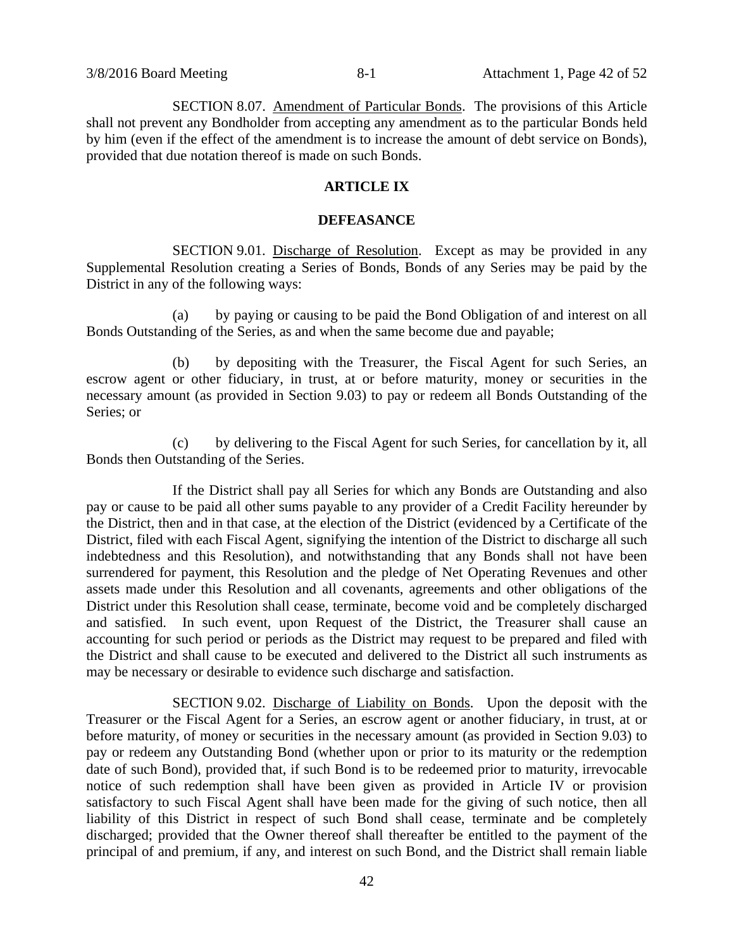SECTION 8.07. Amendment of Particular Bonds. The provisions of this Article shall not prevent any Bondholder from accepting any amendment as to the particular Bonds held by him (even if the effect of the amendment is to increase the amount of debt service on Bonds), provided that due notation thereof is made on such Bonds.

# **ARTICLE IX**

#### **DEFEASANCE**

SECTION 9.01. Discharge of Resolution. Except as may be provided in any Supplemental Resolution creating a Series of Bonds, Bonds of any Series may be paid by the District in any of the following ways:

(a) by paying or causing to be paid the Bond Obligation of and interest on all Bonds Outstanding of the Series, as and when the same become due and payable;

(b) by depositing with the Treasurer, the Fiscal Agent for such Series, an escrow agent or other fiduciary, in trust, at or before maturity, money or securities in the necessary amount (as provided in Section 9.03) to pay or redeem all Bonds Outstanding of the Series; or

(c) by delivering to the Fiscal Agent for such Series, for cancellation by it, all Bonds then Outstanding of the Series.

If the District shall pay all Series for which any Bonds are Outstanding and also pay or cause to be paid all other sums payable to any provider of a Credit Facility hereunder by the District, then and in that case, at the election of the District (evidenced by a Certificate of the District, filed with each Fiscal Agent, signifying the intention of the District to discharge all such indebtedness and this Resolution), and notwithstanding that any Bonds shall not have been surrendered for payment, this Resolution and the pledge of Net Operating Revenues and other assets made under this Resolution and all covenants, agreements and other obligations of the District under this Resolution shall cease, terminate, become void and be completely discharged and satisfied. In such event, upon Request of the District, the Treasurer shall cause an accounting for such period or periods as the District may request to be prepared and filed with the District and shall cause to be executed and delivered to the District all such instruments as may be necessary or desirable to evidence such discharge and satisfaction.

SECTION 9.02. Discharge of Liability on Bonds. Upon the deposit with the Treasurer or the Fiscal Agent for a Series, an escrow agent or another fiduciary, in trust, at or before maturity, of money or securities in the necessary amount (as provided in Section 9.03) to pay or redeem any Outstanding Bond (whether upon or prior to its maturity or the redemption date of such Bond), provided that, if such Bond is to be redeemed prior to maturity, irrevocable notice of such redemption shall have been given as provided in Article IV or provision satisfactory to such Fiscal Agent shall have been made for the giving of such notice, then all liability of this District in respect of such Bond shall cease, terminate and be completely discharged; provided that the Owner thereof shall thereafter be entitled to the payment of the principal of and premium, if any, and interest on such Bond, and the District shall remain liable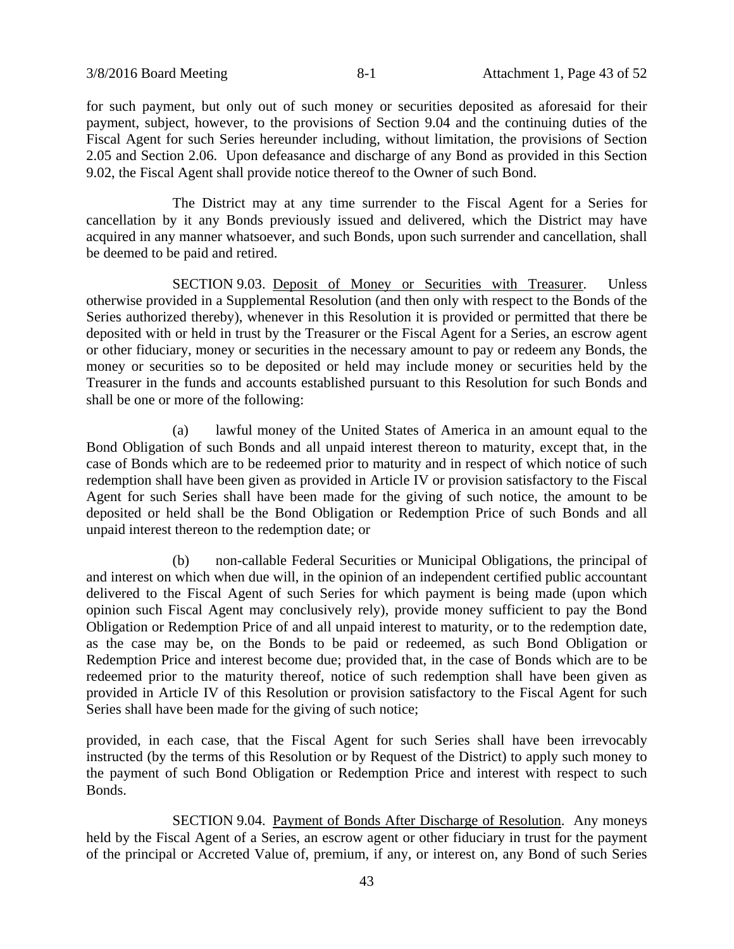for such payment, but only out of such money or securities deposited as aforesaid for their payment, subject, however, to the provisions of Section 9.04 and the continuing duties of the Fiscal Agent for such Series hereunder including, without limitation, the provisions of Section 2.05 and Section 2.06. Upon defeasance and discharge of any Bond as provided in this Section 9.02, the Fiscal Agent shall provide notice thereof to the Owner of such Bond.

The District may at any time surrender to the Fiscal Agent for a Series for cancellation by it any Bonds previously issued and delivered, which the District may have acquired in any manner whatsoever, and such Bonds, upon such surrender and cancellation, shall be deemed to be paid and retired.

SECTION 9.03. Deposit of Money or Securities with Treasurer. Unless otherwise provided in a Supplemental Resolution (and then only with respect to the Bonds of the Series authorized thereby), whenever in this Resolution it is provided or permitted that there be deposited with or held in trust by the Treasurer or the Fiscal Agent for a Series, an escrow agent or other fiduciary, money or securities in the necessary amount to pay or redeem any Bonds, the money or securities so to be deposited or held may include money or securities held by the Treasurer in the funds and accounts established pursuant to this Resolution for such Bonds and shall be one or more of the following:

(a) lawful money of the United States of America in an amount equal to the Bond Obligation of such Bonds and all unpaid interest thereon to maturity, except that, in the case of Bonds which are to be redeemed prior to maturity and in respect of which notice of such redemption shall have been given as provided in Article IV or provision satisfactory to the Fiscal Agent for such Series shall have been made for the giving of such notice, the amount to be deposited or held shall be the Bond Obligation or Redemption Price of such Bonds and all unpaid interest thereon to the redemption date; or

(b) non-callable Federal Securities or Municipal Obligations, the principal of and interest on which when due will, in the opinion of an independent certified public accountant delivered to the Fiscal Agent of such Series for which payment is being made (upon which opinion such Fiscal Agent may conclusively rely), provide money sufficient to pay the Bond Obligation or Redemption Price of and all unpaid interest to maturity, or to the redemption date, as the case may be, on the Bonds to be paid or redeemed, as such Bond Obligation or Redemption Price and interest become due; provided that, in the case of Bonds which are to be redeemed prior to the maturity thereof, notice of such redemption shall have been given as provided in Article IV of this Resolution or provision satisfactory to the Fiscal Agent for such Series shall have been made for the giving of such notice;

provided, in each case, that the Fiscal Agent for such Series shall have been irrevocably instructed (by the terms of this Resolution or by Request of the District) to apply such money to the payment of such Bond Obligation or Redemption Price and interest with respect to such Bonds.

SECTION 9.04. Payment of Bonds After Discharge of Resolution. Any moneys held by the Fiscal Agent of a Series, an escrow agent or other fiduciary in trust for the payment of the principal or Accreted Value of, premium, if any, or interest on, any Bond of such Series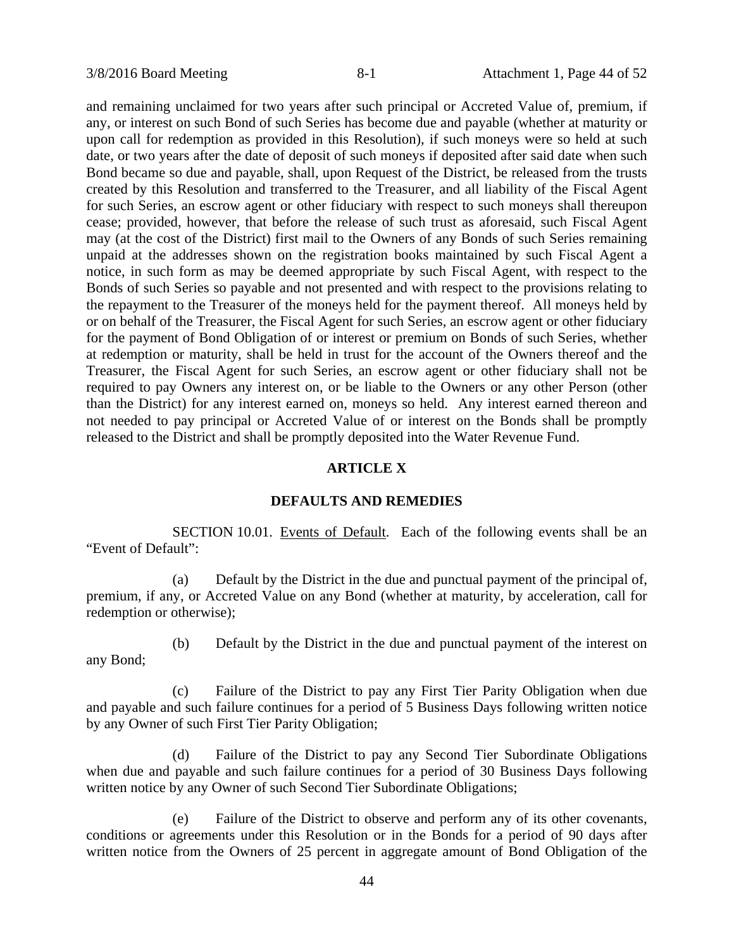and remaining unclaimed for two years after such principal or Accreted Value of, premium, if any, or interest on such Bond of such Series has become due and payable (whether at maturity or upon call for redemption as provided in this Resolution), if such moneys were so held at such date, or two years after the date of deposit of such moneys if deposited after said date when such Bond became so due and payable, shall, upon Request of the District, be released from the trusts created by this Resolution and transferred to the Treasurer, and all liability of the Fiscal Agent for such Series, an escrow agent or other fiduciary with respect to such moneys shall thereupon cease; provided, however, that before the release of such trust as aforesaid, such Fiscal Agent may (at the cost of the District) first mail to the Owners of any Bonds of such Series remaining unpaid at the addresses shown on the registration books maintained by such Fiscal Agent a notice, in such form as may be deemed appropriate by such Fiscal Agent, with respect to the Bonds of such Series so payable and not presented and with respect to the provisions relating to the repayment to the Treasurer of the moneys held for the payment thereof. All moneys held by or on behalf of the Treasurer, the Fiscal Agent for such Series, an escrow agent or other fiduciary for the payment of Bond Obligation of or interest or premium on Bonds of such Series, whether at redemption or maturity, shall be held in trust for the account of the Owners thereof and the Treasurer, the Fiscal Agent for such Series, an escrow agent or other fiduciary shall not be required to pay Owners any interest on, or be liable to the Owners or any other Person (other than the District) for any interest earned on, moneys so held. Any interest earned thereon and not needed to pay principal or Accreted Value of or interest on the Bonds shall be promptly released to the District and shall be promptly deposited into the Water Revenue Fund.

# **ARTICLE X**

#### **DEFAULTS AND REMEDIES**

SECTION 10.01. Events of Default. Each of the following events shall be an "Event of Default":

(a) Default by the District in the due and punctual payment of the principal of, premium, if any, or Accreted Value on any Bond (whether at maturity, by acceleration, call for redemption or otherwise);

(b) Default by the District in the due and punctual payment of the interest on any Bond;

(c) Failure of the District to pay any First Tier Parity Obligation when due and payable and such failure continues for a period of 5 Business Days following written notice by any Owner of such First Tier Parity Obligation;

(d) Failure of the District to pay any Second Tier Subordinate Obligations when due and payable and such failure continues for a period of 30 Business Days following written notice by any Owner of such Second Tier Subordinate Obligations;

(e) Failure of the District to observe and perform any of its other covenants, conditions or agreements under this Resolution or in the Bonds for a period of 90 days after written notice from the Owners of 25 percent in aggregate amount of Bond Obligation of the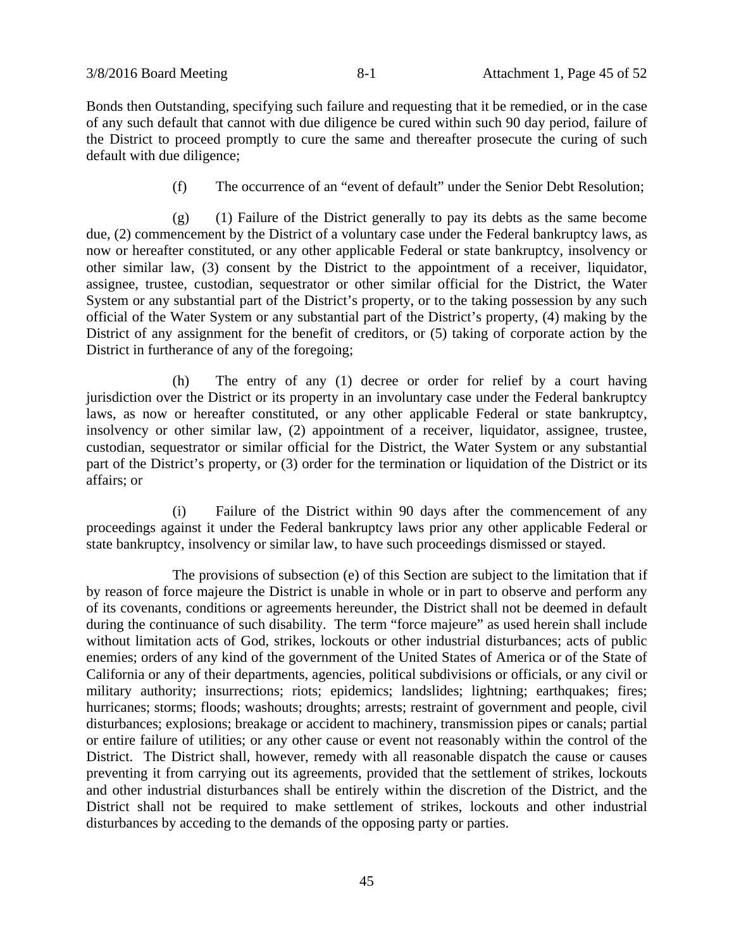Bonds then Outstanding, specifying such failure and requesting that it be remedied, or in the case of any such default that cannot with due diligence be cured within such 90 day period, failure of the District to proceed promptly to cure the same and thereafter prosecute the curing of such default with due diligence;

(f) The occurrence of an "event of default" under the Senior Debt Resolution;

(g) (1) Failure of the District generally to pay its debts as the same become due, (2) commencement by the District of a voluntary case under the Federal bankruptcy laws, as now or hereafter constituted, or any other applicable Federal or state bankruptcy, insolvency or other similar law, (3) consent by the District to the appointment of a receiver, liquidator, assignee, trustee, custodian, sequestrator or other similar official for the District, the Water System or any substantial part of the District's property, or to the taking possession by any such official of the Water System or any substantial part of the District's property, (4) making by the District of any assignment for the benefit of creditors, or (5) taking of corporate action by the District in furtherance of any of the foregoing;

(h) The entry of any (1) decree or order for relief by a court having jurisdiction over the District or its property in an involuntary case under the Federal bankruptcy laws, as now or hereafter constituted, or any other applicable Federal or state bankruptcy, insolvency or other similar law, (2) appointment of a receiver, liquidator, assignee, trustee, custodian, sequestrator or similar official for the District, the Water System or any substantial part of the District's property, or (3) order for the termination or liquidation of the District or its affairs; or

(i) Failure of the District within 90 days after the commencement of any proceedings against it under the Federal bankruptcy laws prior any other applicable Federal or state bankruptcy, insolvency or similar law, to have such proceedings dismissed or stayed.

The provisions of subsection (e) of this Section are subject to the limitation that if by reason of force majeure the District is unable in whole or in part to observe and perform any of its covenants, conditions or agreements hereunder, the District shall not be deemed in default during the continuance of such disability. The term "force majeure" as used herein shall include without limitation acts of God, strikes, lockouts or other industrial disturbances; acts of public enemies; orders of any kind of the government of the United States of America or of the State of California or any of their departments, agencies, political subdivisions or officials, or any civil or military authority; insurrections; riots; epidemics; landslides; lightning; earthquakes; fires; hurricanes; storms; floods; washouts; droughts; arrests; restraint of government and people, civil disturbances; explosions; breakage or accident to machinery, transmission pipes or canals; partial or entire failure of utilities; or any other cause or event not reasonably within the control of the District. The District shall, however, remedy with all reasonable dispatch the cause or causes preventing it from carrying out its agreements, provided that the settlement of strikes, lockouts and other industrial disturbances shall be entirely within the discretion of the District, and the District shall not be required to make settlement of strikes, lockouts and other industrial disturbances by acceding to the demands of the opposing party or parties.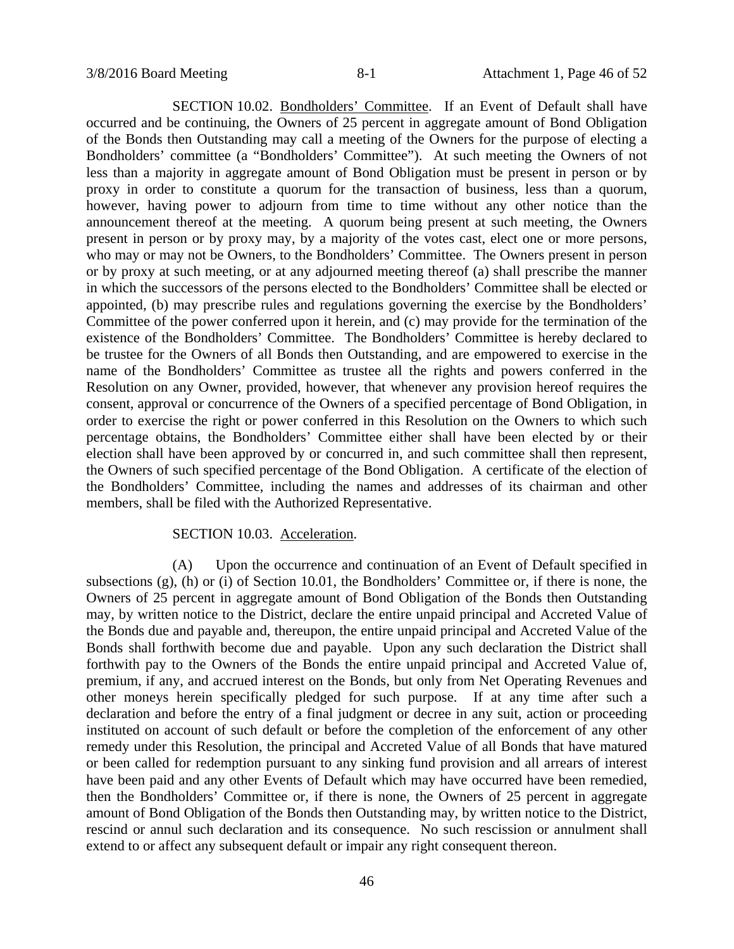SECTION 10.02. Bondholders' Committee. If an Event of Default shall have occurred and be continuing, the Owners of 25 percent in aggregate amount of Bond Obligation of the Bonds then Outstanding may call a meeting of the Owners for the purpose of electing a Bondholders' committee (a "Bondholders' Committee"). At such meeting the Owners of not less than a majority in aggregate amount of Bond Obligation must be present in person or by proxy in order to constitute a quorum for the transaction of business, less than a quorum, however, having power to adjourn from time to time without any other notice than the announcement thereof at the meeting. A quorum being present at such meeting, the Owners present in person or by proxy may, by a majority of the votes cast, elect one or more persons, who may or may not be Owners, to the Bondholders' Committee. The Owners present in person or by proxy at such meeting, or at any adjourned meeting thereof (a) shall prescribe the manner in which the successors of the persons elected to the Bondholders' Committee shall be elected or appointed, (b) may prescribe rules and regulations governing the exercise by the Bondholders' Committee of the power conferred upon it herein, and (c) may provide for the termination of the existence of the Bondholders' Committee. The Bondholders' Committee is hereby declared to be trustee for the Owners of all Bonds then Outstanding, and are empowered to exercise in the name of the Bondholders' Committee as trustee all the rights and powers conferred in the Resolution on any Owner, provided, however, that whenever any provision hereof requires the consent, approval or concurrence of the Owners of a specified percentage of Bond Obligation, in order to exercise the right or power conferred in this Resolution on the Owners to which such percentage obtains, the Bondholders' Committee either shall have been elected by or their election shall have been approved by or concurred in, and such committee shall then represent, the Owners of such specified percentage of the Bond Obligation. A certificate of the election of the Bondholders' Committee, including the names and addresses of its chairman and other members, shall be filed with the Authorized Representative.

# SECTION 10.03. Acceleration.

(A) Upon the occurrence and continuation of an Event of Default specified in subsections (g), (h) or (i) of Section 10.01, the Bondholders' Committee or, if there is none, the Owners of 25 percent in aggregate amount of Bond Obligation of the Bonds then Outstanding may, by written notice to the District, declare the entire unpaid principal and Accreted Value of the Bonds due and payable and, thereupon, the entire unpaid principal and Accreted Value of the Bonds shall forthwith become due and payable. Upon any such declaration the District shall forthwith pay to the Owners of the Bonds the entire unpaid principal and Accreted Value of, premium, if any, and accrued interest on the Bonds, but only from Net Operating Revenues and other moneys herein specifically pledged for such purpose. If at any time after such a declaration and before the entry of a final judgment or decree in any suit, action or proceeding instituted on account of such default or before the completion of the enforcement of any other remedy under this Resolution, the principal and Accreted Value of all Bonds that have matured or been called for redemption pursuant to any sinking fund provision and all arrears of interest have been paid and any other Events of Default which may have occurred have been remedied, then the Bondholders' Committee or, if there is none, the Owners of 25 percent in aggregate amount of Bond Obligation of the Bonds then Outstanding may, by written notice to the District, rescind or annul such declaration and its consequence. No such rescission or annulment shall extend to or affect any subsequent default or impair any right consequent thereon.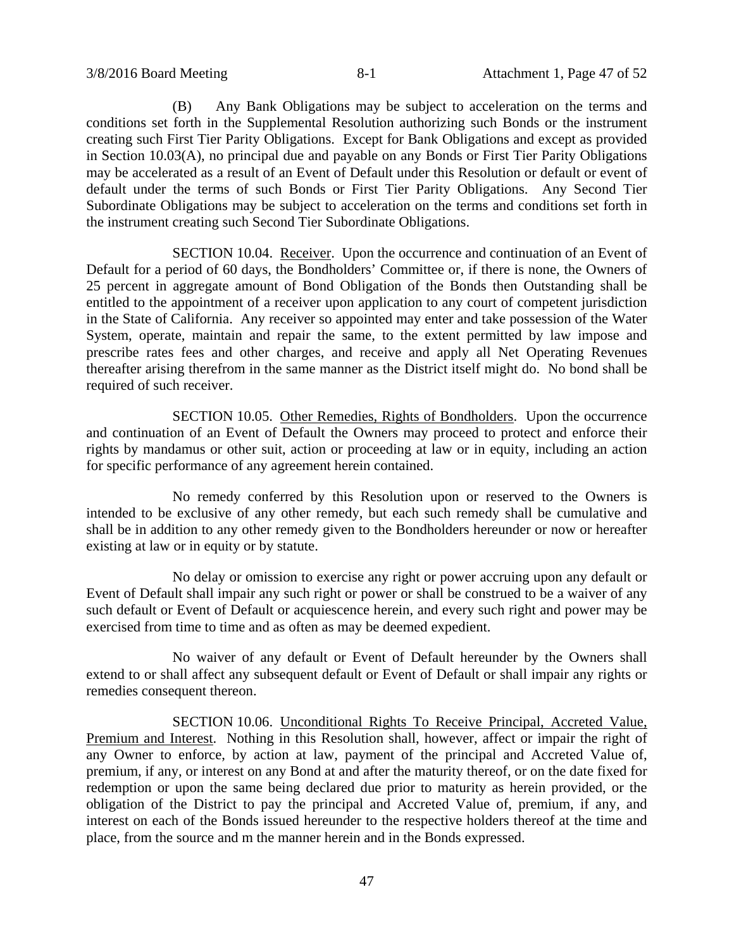(B) Any Bank Obligations may be subject to acceleration on the terms and conditions set forth in the Supplemental Resolution authorizing such Bonds or the instrument creating such First Tier Parity Obligations. Except for Bank Obligations and except as provided in Section 10.03(A), no principal due and payable on any Bonds or First Tier Parity Obligations may be accelerated as a result of an Event of Default under this Resolution or default or event of default under the terms of such Bonds or First Tier Parity Obligations. Any Second Tier Subordinate Obligations may be subject to acceleration on the terms and conditions set forth in the instrument creating such Second Tier Subordinate Obligations.

SECTION 10.04. Receiver. Upon the occurrence and continuation of an Event of Default for a period of 60 days, the Bondholders' Committee or, if there is none, the Owners of 25 percent in aggregate amount of Bond Obligation of the Bonds then Outstanding shall be entitled to the appointment of a receiver upon application to any court of competent jurisdiction in the State of California. Any receiver so appointed may enter and take possession of the Water System, operate, maintain and repair the same, to the extent permitted by law impose and prescribe rates fees and other charges, and receive and apply all Net Operating Revenues thereafter arising therefrom in the same manner as the District itself might do. No bond shall be required of such receiver.

SECTION 10.05. Other Remedies, Rights of Bondholders. Upon the occurrence and continuation of an Event of Default the Owners may proceed to protect and enforce their rights by mandamus or other suit, action or proceeding at law or in equity, including an action for specific performance of any agreement herein contained.

No remedy conferred by this Resolution upon or reserved to the Owners is intended to be exclusive of any other remedy, but each such remedy shall be cumulative and shall be in addition to any other remedy given to the Bondholders hereunder or now or hereafter existing at law or in equity or by statute.

No delay or omission to exercise any right or power accruing upon any default or Event of Default shall impair any such right or power or shall be construed to be a waiver of any such default or Event of Default or acquiescence herein, and every such right and power may be exercised from time to time and as often as may be deemed expedient.

No waiver of any default or Event of Default hereunder by the Owners shall extend to or shall affect any subsequent default or Event of Default or shall impair any rights or remedies consequent thereon.

SECTION 10.06. Unconditional Rights To Receive Principal, Accreted Value, Premium and Interest. Nothing in this Resolution shall, however, affect or impair the right of any Owner to enforce, by action at law, payment of the principal and Accreted Value of, premium, if any, or interest on any Bond at and after the maturity thereof, or on the date fixed for redemption or upon the same being declared due prior to maturity as herein provided, or the obligation of the District to pay the principal and Accreted Value of, premium, if any, and interest on each of the Bonds issued hereunder to the respective holders thereof at the time and place, from the source and m the manner herein and in the Bonds expressed.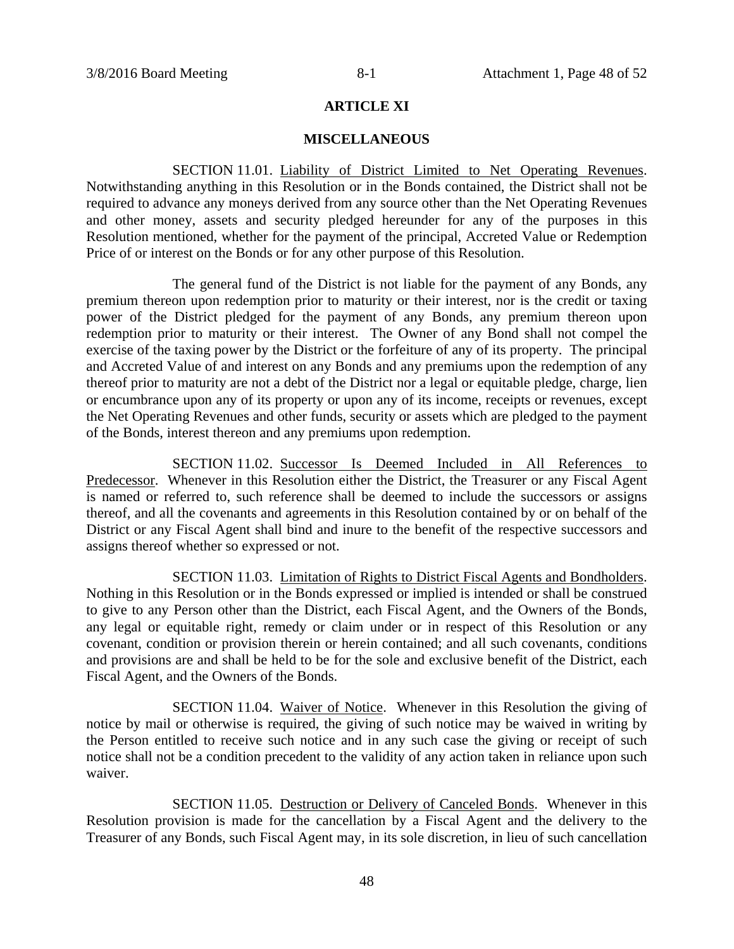# **ARTICLE XI**

#### **MISCELLANEOUS**

SECTION 11.01. Liability of District Limited to Net Operating Revenues. Notwithstanding anything in this Resolution or in the Bonds contained, the District shall not be required to advance any moneys derived from any source other than the Net Operating Revenues and other money, assets and security pledged hereunder for any of the purposes in this Resolution mentioned, whether for the payment of the principal, Accreted Value or Redemption Price of or interest on the Bonds or for any other purpose of this Resolution.

The general fund of the District is not liable for the payment of any Bonds, any premium thereon upon redemption prior to maturity or their interest, nor is the credit or taxing power of the District pledged for the payment of any Bonds, any premium thereon upon redemption prior to maturity or their interest. The Owner of any Bond shall not compel the exercise of the taxing power by the District or the forfeiture of any of its property. The principal and Accreted Value of and interest on any Bonds and any premiums upon the redemption of any thereof prior to maturity are not a debt of the District nor a legal or equitable pledge, charge, lien or encumbrance upon any of its property or upon any of its income, receipts or revenues, except the Net Operating Revenues and other funds, security or assets which are pledged to the payment of the Bonds, interest thereon and any premiums upon redemption.

SECTION 11.02. Successor Is Deemed Included in All References to Predecessor. Whenever in this Resolution either the District, the Treasurer or any Fiscal Agent is named or referred to, such reference shall be deemed to include the successors or assigns thereof, and all the covenants and agreements in this Resolution contained by or on behalf of the District or any Fiscal Agent shall bind and inure to the benefit of the respective successors and assigns thereof whether so expressed or not.

SECTION 11.03. Limitation of Rights to District Fiscal Agents and Bondholders. Nothing in this Resolution or in the Bonds expressed or implied is intended or shall be construed to give to any Person other than the District, each Fiscal Agent, and the Owners of the Bonds, any legal or equitable right, remedy or claim under or in respect of this Resolution or any covenant, condition or provision therein or herein contained; and all such covenants, conditions and provisions are and shall be held to be for the sole and exclusive benefit of the District, each Fiscal Agent, and the Owners of the Bonds.

SECTION 11.04. Waiver of Notice. Whenever in this Resolution the giving of notice by mail or otherwise is required, the giving of such notice may be waived in writing by the Person entitled to receive such notice and in any such case the giving or receipt of such notice shall not be a condition precedent to the validity of any action taken in reliance upon such waiver.

SECTION 11.05. Destruction or Delivery of Canceled Bonds. Whenever in this Resolution provision is made for the cancellation by a Fiscal Agent and the delivery to the Treasurer of any Bonds, such Fiscal Agent may, in its sole discretion, in lieu of such cancellation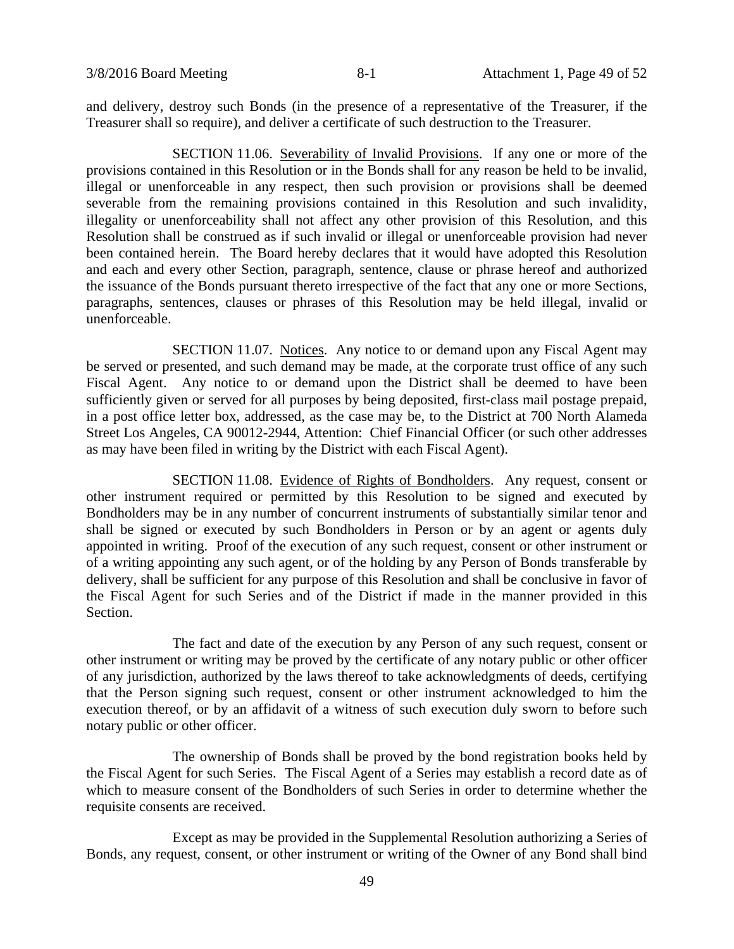and delivery, destroy such Bonds (in the presence of a representative of the Treasurer, if the Treasurer shall so require), and deliver a certificate of such destruction to the Treasurer.

SECTION 11.06. Severability of Invalid Provisions. If any one or more of the provisions contained in this Resolution or in the Bonds shall for any reason be held to be invalid, illegal or unenforceable in any respect, then such provision or provisions shall be deemed severable from the remaining provisions contained in this Resolution and such invalidity, illegality or unenforceability shall not affect any other provision of this Resolution, and this Resolution shall be construed as if such invalid or illegal or unenforceable provision had never been contained herein. The Board hereby declares that it would have adopted this Resolution and each and every other Section, paragraph, sentence, clause or phrase hereof and authorized the issuance of the Bonds pursuant thereto irrespective of the fact that any one or more Sections, paragraphs, sentences, clauses or phrases of this Resolution may be held illegal, invalid or unenforceable.

SECTION 11.07. Notices. Any notice to or demand upon any Fiscal Agent may be served or presented, and such demand may be made, at the corporate trust office of any such Fiscal Agent. Any notice to or demand upon the District shall be deemed to have been sufficiently given or served for all purposes by being deposited, first-class mail postage prepaid, in a post office letter box, addressed, as the case may be, to the District at 700 North Alameda Street Los Angeles, CA 90012-2944, Attention: Chief Financial Officer (or such other addresses as may have been filed in writing by the District with each Fiscal Agent).

SECTION 11.08. Evidence of Rights of Bondholders. Any request, consent or other instrument required or permitted by this Resolution to be signed and executed by Bondholders may be in any number of concurrent instruments of substantially similar tenor and shall be signed or executed by such Bondholders in Person or by an agent or agents duly appointed in writing. Proof of the execution of any such request, consent or other instrument or of a writing appointing any such agent, or of the holding by any Person of Bonds transferable by delivery, shall be sufficient for any purpose of this Resolution and shall be conclusive in favor of the Fiscal Agent for such Series and of the District if made in the manner provided in this Section.

The fact and date of the execution by any Person of any such request, consent or other instrument or writing may be proved by the certificate of any notary public or other officer of any jurisdiction, authorized by the laws thereof to take acknowledgments of deeds, certifying that the Person signing such request, consent or other instrument acknowledged to him the execution thereof, or by an affidavit of a witness of such execution duly sworn to before such notary public or other officer.

The ownership of Bonds shall be proved by the bond registration books held by the Fiscal Agent for such Series. The Fiscal Agent of a Series may establish a record date as of which to measure consent of the Bondholders of such Series in order to determine whether the requisite consents are received.

Except as may be provided in the Supplemental Resolution authorizing a Series of Bonds, any request, consent, or other instrument or writing of the Owner of any Bond shall bind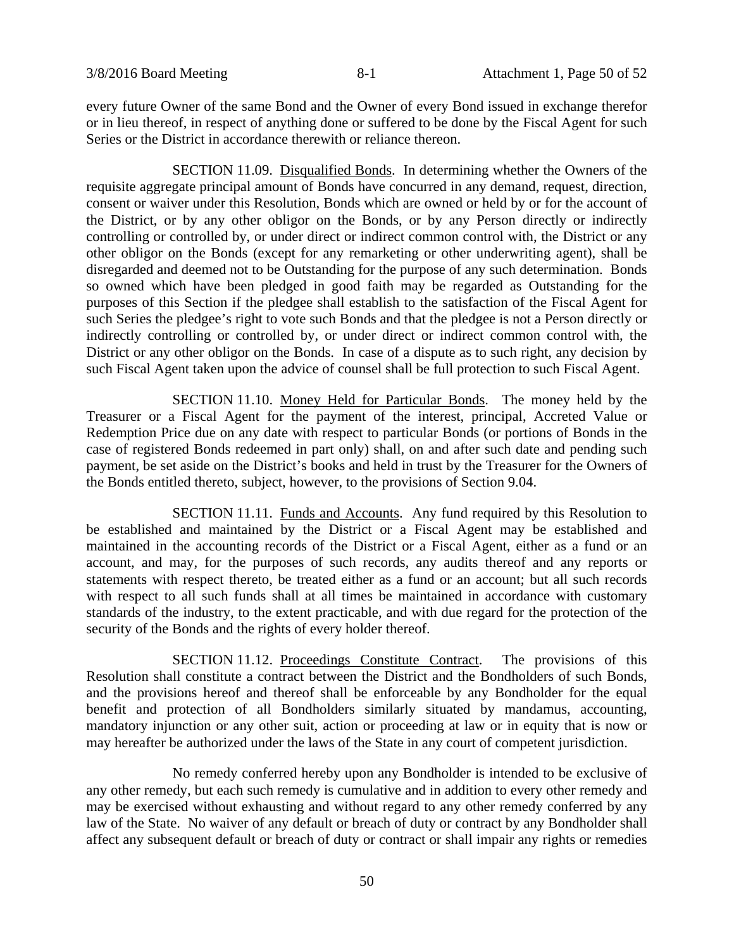every future Owner of the same Bond and the Owner of every Bond issued in exchange therefor or in lieu thereof, in respect of anything done or suffered to be done by the Fiscal Agent for such Series or the District in accordance therewith or reliance thereon.

SECTION 11.09. Disqualified Bonds. In determining whether the Owners of the requisite aggregate principal amount of Bonds have concurred in any demand, request, direction, consent or waiver under this Resolution, Bonds which are owned or held by or for the account of the District, or by any other obligor on the Bonds, or by any Person directly or indirectly controlling or controlled by, or under direct or indirect common control with, the District or any other obligor on the Bonds (except for any remarketing or other underwriting agent), shall be disregarded and deemed not to be Outstanding for the purpose of any such determination. Bonds so owned which have been pledged in good faith may be regarded as Outstanding for the purposes of this Section if the pledgee shall establish to the satisfaction of the Fiscal Agent for such Series the pledgee's right to vote such Bonds and that the pledgee is not a Person directly or indirectly controlling or controlled by, or under direct or indirect common control with, the District or any other obligor on the Bonds. In case of a dispute as to such right, any decision by such Fiscal Agent taken upon the advice of counsel shall be full protection to such Fiscal Agent.

SECTION 11.10. Money Held for Particular Bonds. The money held by the Treasurer or a Fiscal Agent for the payment of the interest, principal, Accreted Value or Redemption Price due on any date with respect to particular Bonds (or portions of Bonds in the case of registered Bonds redeemed in part only) shall, on and after such date and pending such payment, be set aside on the District's books and held in trust by the Treasurer for the Owners of the Bonds entitled thereto, subject, however, to the provisions of Section 9.04.

SECTION 11.11. Funds and Accounts. Any fund required by this Resolution to be established and maintained by the District or a Fiscal Agent may be established and maintained in the accounting records of the District or a Fiscal Agent, either as a fund or an account, and may, for the purposes of such records, any audits thereof and any reports or statements with respect thereto, be treated either as a fund or an account; but all such records with respect to all such funds shall at all times be maintained in accordance with customary standards of the industry, to the extent practicable, and with due regard for the protection of the security of the Bonds and the rights of every holder thereof.

SECTION 11.12. Proceedings Constitute Contract. The provisions of this Resolution shall constitute a contract between the District and the Bondholders of such Bonds, and the provisions hereof and thereof shall be enforceable by any Bondholder for the equal benefit and protection of all Bondholders similarly situated by mandamus, accounting, mandatory injunction or any other suit, action or proceeding at law or in equity that is now or may hereafter be authorized under the laws of the State in any court of competent jurisdiction.

No remedy conferred hereby upon any Bondholder is intended to be exclusive of any other remedy, but each such remedy is cumulative and in addition to every other remedy and may be exercised without exhausting and without regard to any other remedy conferred by any law of the State. No waiver of any default or breach of duty or contract by any Bondholder shall affect any subsequent default or breach of duty or contract or shall impair any rights or remedies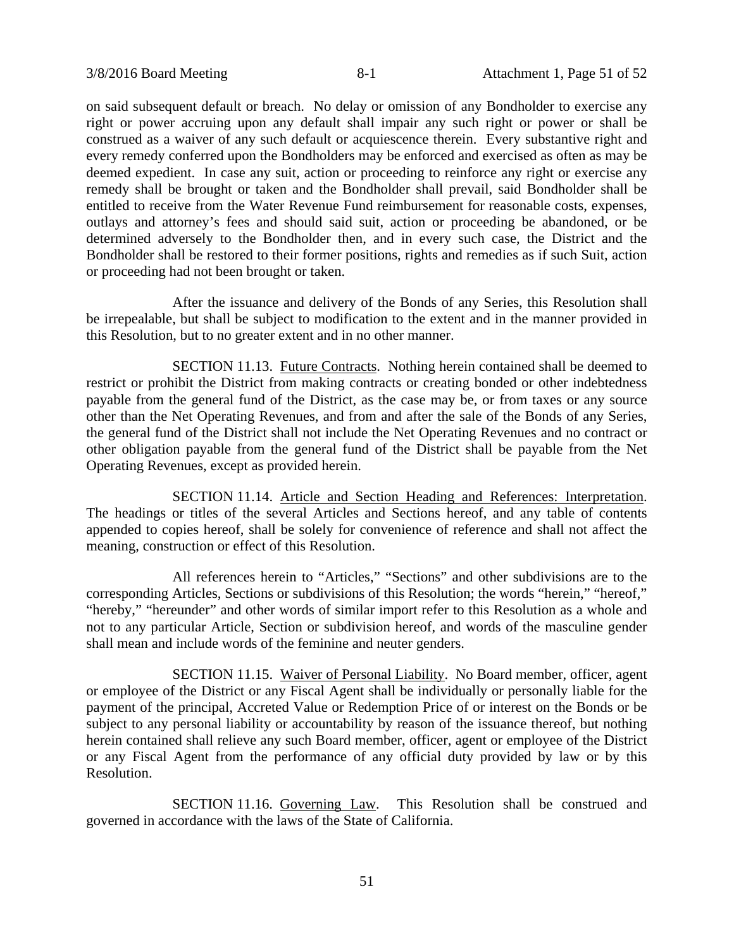on said subsequent default or breach. No delay or omission of any Bondholder to exercise any right or power accruing upon any default shall impair any such right or power or shall be construed as a waiver of any such default or acquiescence therein. Every substantive right and every remedy conferred upon the Bondholders may be enforced and exercised as often as may be deemed expedient. In case any suit, action or proceeding to reinforce any right or exercise any remedy shall be brought or taken and the Bondholder shall prevail, said Bondholder shall be entitled to receive from the Water Revenue Fund reimbursement for reasonable costs, expenses, outlays and attorney's fees and should said suit, action or proceeding be abandoned, or be determined adversely to the Bondholder then, and in every such case, the District and the Bondholder shall be restored to their former positions, rights and remedies as if such Suit, action or proceeding had not been brought or taken.

After the issuance and delivery of the Bonds of any Series, this Resolution shall be irrepealable, but shall be subject to modification to the extent and in the manner provided in this Resolution, but to no greater extent and in no other manner.

SECTION 11.13. Future Contracts. Nothing herein contained shall be deemed to restrict or prohibit the District from making contracts or creating bonded or other indebtedness payable from the general fund of the District, as the case may be, or from taxes or any source other than the Net Operating Revenues, and from and after the sale of the Bonds of any Series, the general fund of the District shall not include the Net Operating Revenues and no contract or other obligation payable from the general fund of the District shall be payable from the Net Operating Revenues, except as provided herein.

SECTION 11.14. Article and Section Heading and References: Interpretation. The headings or titles of the several Articles and Sections hereof, and any table of contents appended to copies hereof, shall be solely for convenience of reference and shall not affect the meaning, construction or effect of this Resolution.

All references herein to "Articles," "Sections" and other subdivisions are to the corresponding Articles, Sections or subdivisions of this Resolution; the words "herein," "hereof," "hereby," "hereunder" and other words of similar import refer to this Resolution as a whole and not to any particular Article, Section or subdivision hereof, and words of the masculine gender shall mean and include words of the feminine and neuter genders.

SECTION 11.15. Waiver of Personal Liability. No Board member, officer, agent or employee of the District or any Fiscal Agent shall be individually or personally liable for the payment of the principal, Accreted Value or Redemption Price of or interest on the Bonds or be subject to any personal liability or accountability by reason of the issuance thereof, but nothing herein contained shall relieve any such Board member, officer, agent or employee of the District or any Fiscal Agent from the performance of any official duty provided by law or by this Resolution.

SECTION 11.16. Governing Law. This Resolution shall be construed and governed in accordance with the laws of the State of California.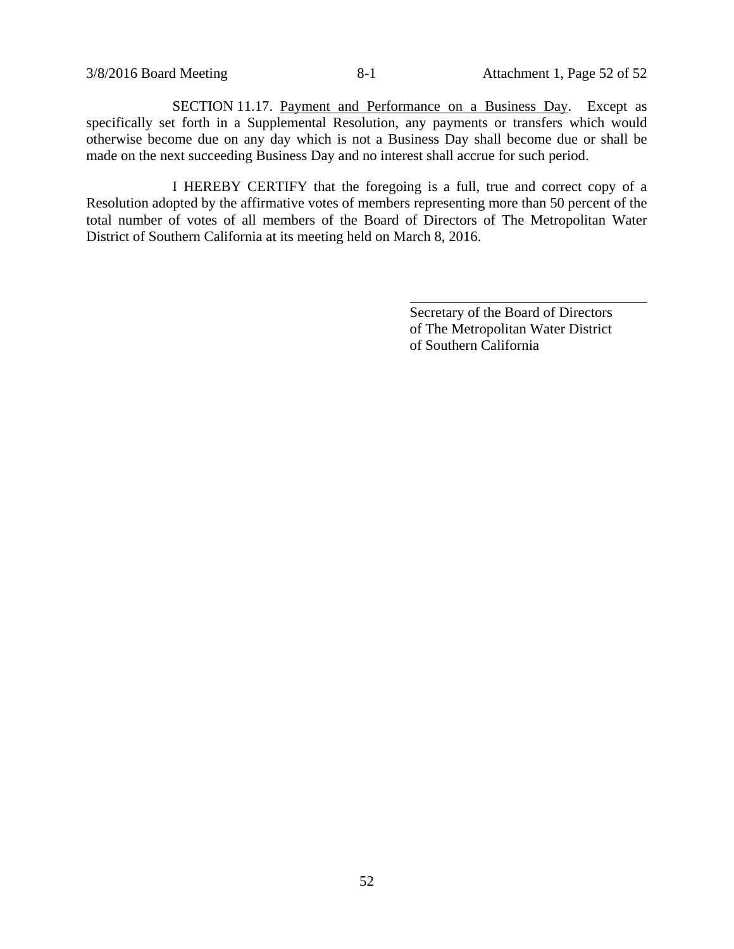SECTION 11.17. Payment and Performance on a Business Day. Except as specifically set forth in a Supplemental Resolution, any payments or transfers which would otherwise become due on any day which is not a Business Day shall become due or shall be made on the next succeeding Business Day and no interest shall accrue for such period.

I HEREBY CERTIFY that the foregoing is a full, true and correct copy of a Resolution adopted by the affirmative votes of members representing more than 50 percent of the total number of votes of all members of the Board of Directors of The Metropolitan Water District of Southern California at its meeting held on March 8, 2016.

l

Secretary of the Board of Directors of The Metropolitan Water District of Southern California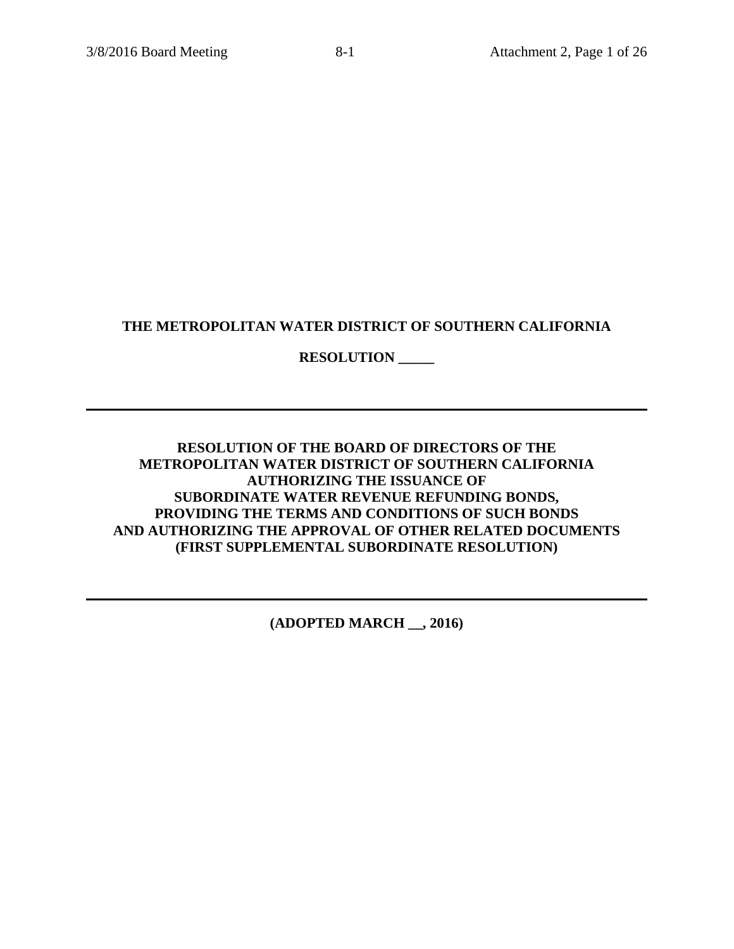# **THE METROPOLITAN WATER DISTRICT OF SOUTHERN CALIFORNIA**

# **RESOLUTION \_\_\_\_\_**

# **RESOLUTION OF THE BOARD OF DIRECTORS OF THE METROPOLITAN WATER DISTRICT OF SOUTHERN CALIFORNIA AUTHORIZING THE ISSUANCE OF SUBORDINATE WATER REVENUE REFUNDING BONDS, PROVIDING THE TERMS AND CONDITIONS OF SUCH BONDS AND AUTHORIZING THE APPROVAL OF OTHER RELATED DOCUMENTS (FIRST SUPPLEMENTAL SUBORDINATE RESOLUTION)**

**(ADOPTED MARCH \_\_, 2016)**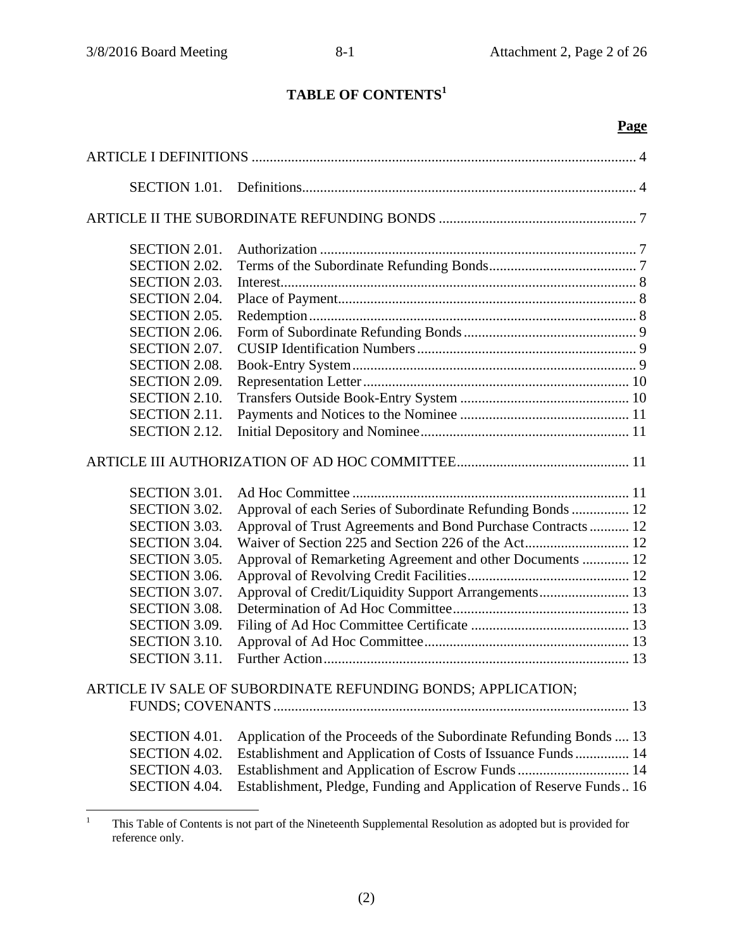# **TABLE OF CONTENTS<sup>1</sup>**

# **Page**

| <b>SECTION 1.01.</b>                                         |                                                                    |  |
|--------------------------------------------------------------|--------------------------------------------------------------------|--|
|                                                              |                                                                    |  |
| <b>SECTION 2.01.</b>                                         |                                                                    |  |
| <b>SECTION 2.02.</b>                                         |                                                                    |  |
| <b>SECTION 2.03.</b>                                         |                                                                    |  |
| <b>SECTION 2.04.</b>                                         |                                                                    |  |
| <b>SECTION 2.05.</b>                                         |                                                                    |  |
| <b>SECTION 2.06.</b>                                         |                                                                    |  |
| SECTION 2.07.                                                |                                                                    |  |
| <b>SECTION 2.08.</b>                                         |                                                                    |  |
| <b>SECTION 2.09.</b>                                         |                                                                    |  |
| <b>SECTION 2.10.</b>                                         |                                                                    |  |
| <b>SECTION 2.11.</b>                                         |                                                                    |  |
| <b>SECTION 2.12.</b>                                         |                                                                    |  |
|                                                              |                                                                    |  |
| <b>SECTION 3.01.</b>                                         |                                                                    |  |
| <b>SECTION 3.02.</b>                                         | Approval of each Series of Subordinate Refunding Bonds  12         |  |
| <b>SECTION 3.03.</b>                                         | Approval of Trust Agreements and Bond Purchase Contracts 12        |  |
| <b>SECTION 3.04.</b>                                         |                                                                    |  |
| <b>SECTION 3.05.</b>                                         | Approval of Remarketing Agreement and other Documents  12          |  |
| <b>SECTION 3.06.</b>                                         |                                                                    |  |
| SECTION 3.07.                                                | Approval of Credit/Liquidity Support Arrangements 13               |  |
| <b>SECTION 3.08.</b>                                         |                                                                    |  |
| <b>SECTION 3.09.</b>                                         |                                                                    |  |
| <b>SECTION 3.10.</b>                                         |                                                                    |  |
| <b>SECTION 3.11.</b>                                         |                                                                    |  |
| ARTICLE IV SALE OF SUBORDINATE REFUNDING BONDS; APPLICATION; |                                                                    |  |
|                                                              |                                                                    |  |
| <b>SECTION 4.01.</b>                                         | Application of the Proceeds of the Subordinate Refunding Bonds  13 |  |
| SECTION 4.02.                                                | Establishment and Application of Costs of Issuance Funds 14        |  |
| SECTION 4.03.                                                | Establishment and Application of Escrow Funds  14                  |  |
| SECTION 4.04.                                                | Establishment, Pledge, Funding and Application of Reserve Funds 16 |  |
|                                                              |                                                                    |  |

 $\frac{1}{1}$  This Table of Contents is not part of the Nineteenth Supplemental Resolution as adopted but is provided for reference only.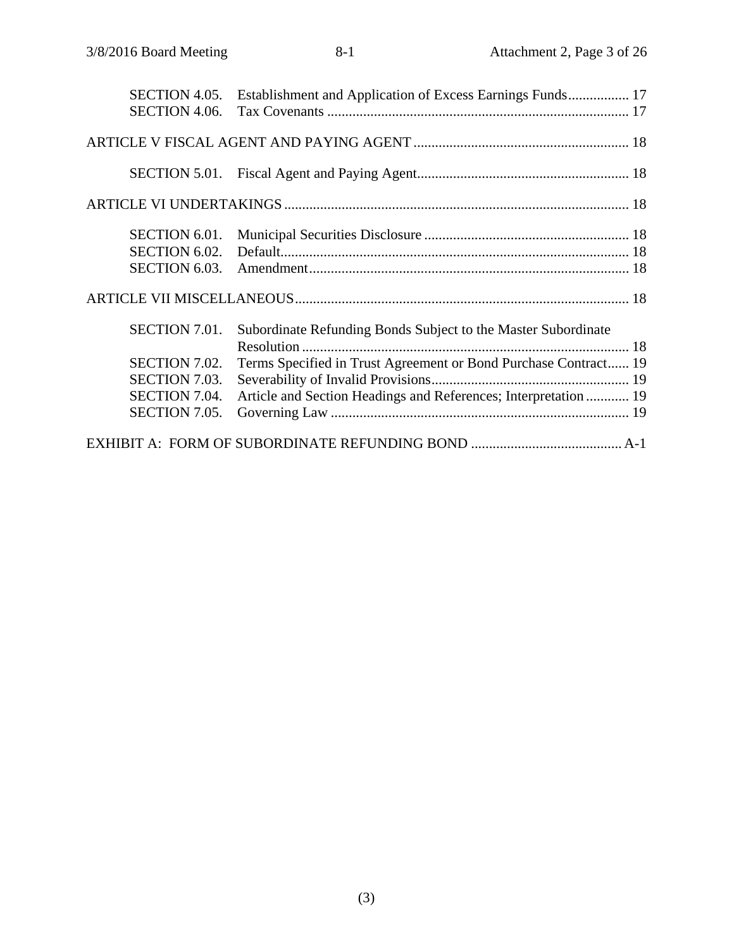| SECTION 4.05.        | Establishment and Application of Excess Earnings Funds 17       |  |
|----------------------|-----------------------------------------------------------------|--|
| SECTION 4.06.        |                                                                 |  |
|                      |                                                                 |  |
|                      |                                                                 |  |
|                      |                                                                 |  |
| <b>SECTION 6.01.</b> |                                                                 |  |
| <b>SECTION 6.02.</b> |                                                                 |  |
| SECTION 6.03.        |                                                                 |  |
|                      |                                                                 |  |
| <b>SECTION 7.01.</b> | Subordinate Refunding Bonds Subject to the Master Subordinate   |  |
|                      |                                                                 |  |
| <b>SECTION 7.02.</b> | Terms Specified in Trust Agreement or Bond Purchase Contract 19 |  |
| SECTION 7.03.        |                                                                 |  |
| SECTION 7.04.        | Article and Section Headings and References; Interpretation  19 |  |
| SECTION 7.05.        |                                                                 |  |
|                      |                                                                 |  |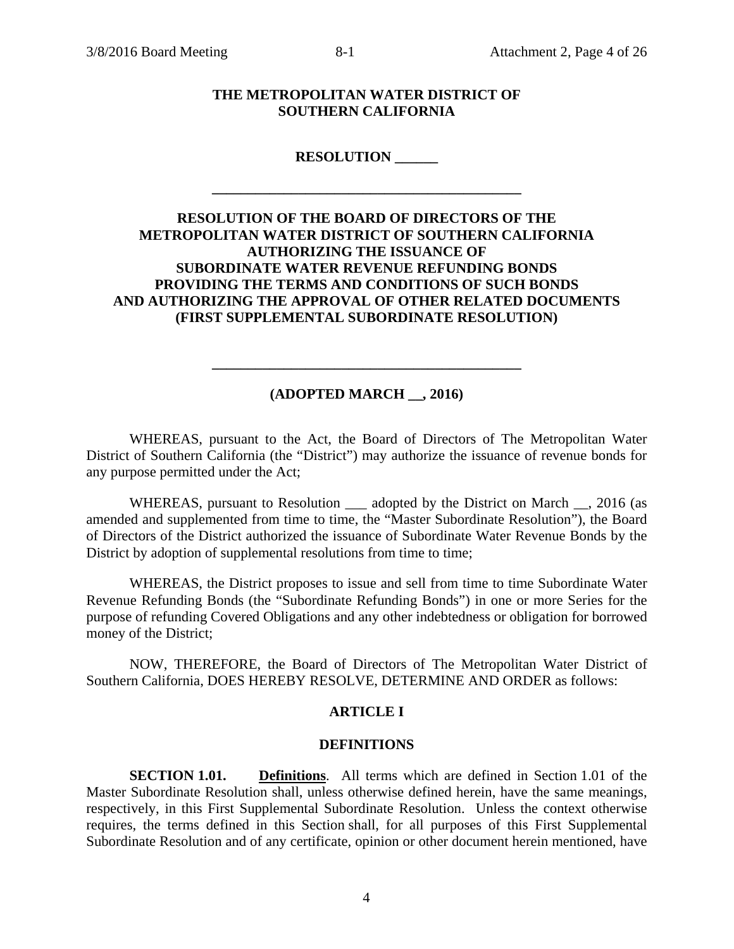# **THE METROPOLITAN WATER DISTRICT OF SOUTHERN CALIFORNIA**

#### **RESOLUTION \_\_\_\_\_\_**

**\_\_\_\_\_\_\_\_\_\_\_\_\_\_\_\_\_\_\_\_\_\_\_\_\_\_\_\_\_\_\_\_\_\_\_\_\_\_\_\_\_\_\_** 

# **RESOLUTION OF THE BOARD OF DIRECTORS OF THE METROPOLITAN WATER DISTRICT OF SOUTHERN CALIFORNIA AUTHORIZING THE ISSUANCE OF SUBORDINATE WATER REVENUE REFUNDING BONDS PROVIDING THE TERMS AND CONDITIONS OF SUCH BONDS AND AUTHORIZING THE APPROVAL OF OTHER RELATED DOCUMENTS (FIRST SUPPLEMENTAL SUBORDINATE RESOLUTION)**

#### **(ADOPTED MARCH \_\_, 2016)**

**\_\_\_\_\_\_\_\_\_\_\_\_\_\_\_\_\_\_\_\_\_\_\_\_\_\_\_\_\_\_\_\_\_\_\_\_\_\_\_\_\_\_\_** 

WHEREAS, pursuant to the Act, the Board of Directors of The Metropolitan Water District of Southern California (the "District") may authorize the issuance of revenue bonds for any purpose permitted under the Act;

WHEREAS, pursuant to Resolution \_\_\_\_ adopted by the District on March \_\_, 2016 (as amended and supplemented from time to time, the "Master Subordinate Resolution"), the Board of Directors of the District authorized the issuance of Subordinate Water Revenue Bonds by the District by adoption of supplemental resolutions from time to time;

WHEREAS, the District proposes to issue and sell from time to time Subordinate Water Revenue Refunding Bonds (the "Subordinate Refunding Bonds") in one or more Series for the purpose of refunding Covered Obligations and any other indebtedness or obligation for borrowed money of the District;

NOW, THEREFORE, the Board of Directors of The Metropolitan Water District of Southern California, DOES HEREBY RESOLVE, DETERMINE AND ORDER as follows:

#### **ARTICLE I**

#### **DEFINITIONS**

**SECTION 1.01. Definitions**. All terms which are defined in Section 1.01 of the Master Subordinate Resolution shall, unless otherwise defined herein, have the same meanings, respectively, in this First Supplemental Subordinate Resolution. Unless the context otherwise requires, the terms defined in this Section shall, for all purposes of this First Supplemental Subordinate Resolution and of any certificate, opinion or other document herein mentioned, have

4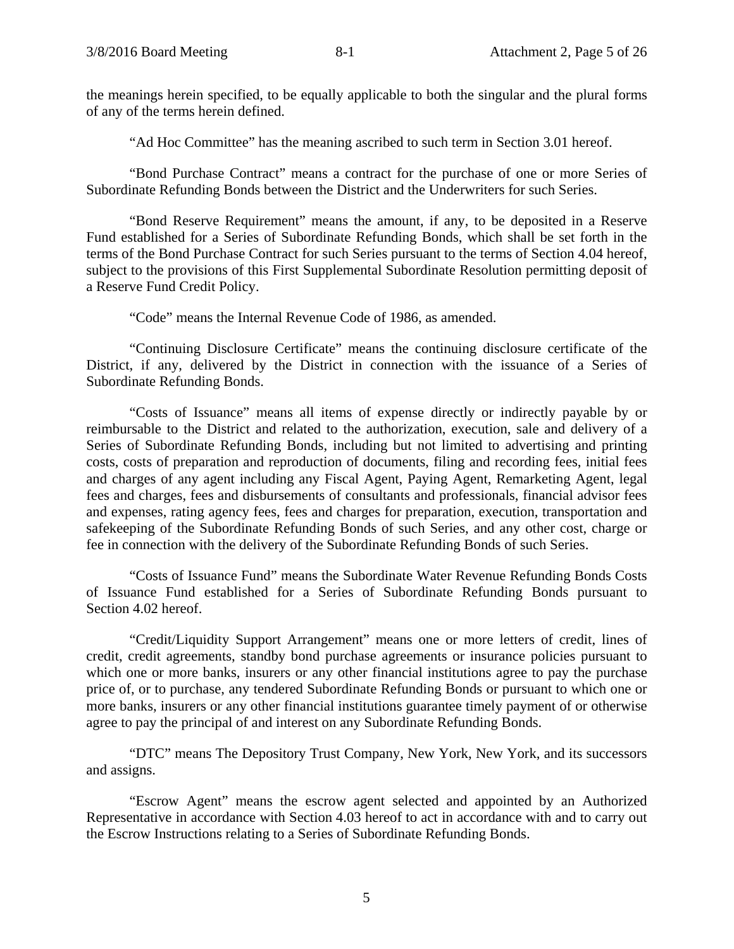the meanings herein specified, to be equally applicable to both the singular and the plural forms of any of the terms herein defined.

"Ad Hoc Committee" has the meaning ascribed to such term in Section 3.01 hereof.

"Bond Purchase Contract" means a contract for the purchase of one or more Series of Subordinate Refunding Bonds between the District and the Underwriters for such Series.

"Bond Reserve Requirement" means the amount, if any, to be deposited in a Reserve Fund established for a Series of Subordinate Refunding Bonds, which shall be set forth in the terms of the Bond Purchase Contract for such Series pursuant to the terms of Section 4.04 hereof, subject to the provisions of this First Supplemental Subordinate Resolution permitting deposit of a Reserve Fund Credit Policy.

"Code" means the Internal Revenue Code of 1986, as amended.

"Continuing Disclosure Certificate" means the continuing disclosure certificate of the District, if any, delivered by the District in connection with the issuance of a Series of Subordinate Refunding Bonds.

"Costs of Issuance" means all items of expense directly or indirectly payable by or reimbursable to the District and related to the authorization, execution, sale and delivery of a Series of Subordinate Refunding Bonds, including but not limited to advertising and printing costs, costs of preparation and reproduction of documents, filing and recording fees, initial fees and charges of any agent including any Fiscal Agent, Paying Agent, Remarketing Agent, legal fees and charges, fees and disbursements of consultants and professionals, financial advisor fees and expenses, rating agency fees, fees and charges for preparation, execution, transportation and safekeeping of the Subordinate Refunding Bonds of such Series, and any other cost, charge or fee in connection with the delivery of the Subordinate Refunding Bonds of such Series.

"Costs of Issuance Fund" means the Subordinate Water Revenue Refunding Bonds Costs of Issuance Fund established for a Series of Subordinate Refunding Bonds pursuant to Section 4.02 hereof.

"Credit/Liquidity Support Arrangement" means one or more letters of credit, lines of credit, credit agreements, standby bond purchase agreements or insurance policies pursuant to which one or more banks, insurers or any other financial institutions agree to pay the purchase price of, or to purchase, any tendered Subordinate Refunding Bonds or pursuant to which one or more banks, insurers or any other financial institutions guarantee timely payment of or otherwise agree to pay the principal of and interest on any Subordinate Refunding Bonds.

"DTC" means The Depository Trust Company, New York, New York, and its successors and assigns.

"Escrow Agent" means the escrow agent selected and appointed by an Authorized Representative in accordance with Section 4.03 hereof to act in accordance with and to carry out the Escrow Instructions relating to a Series of Subordinate Refunding Bonds.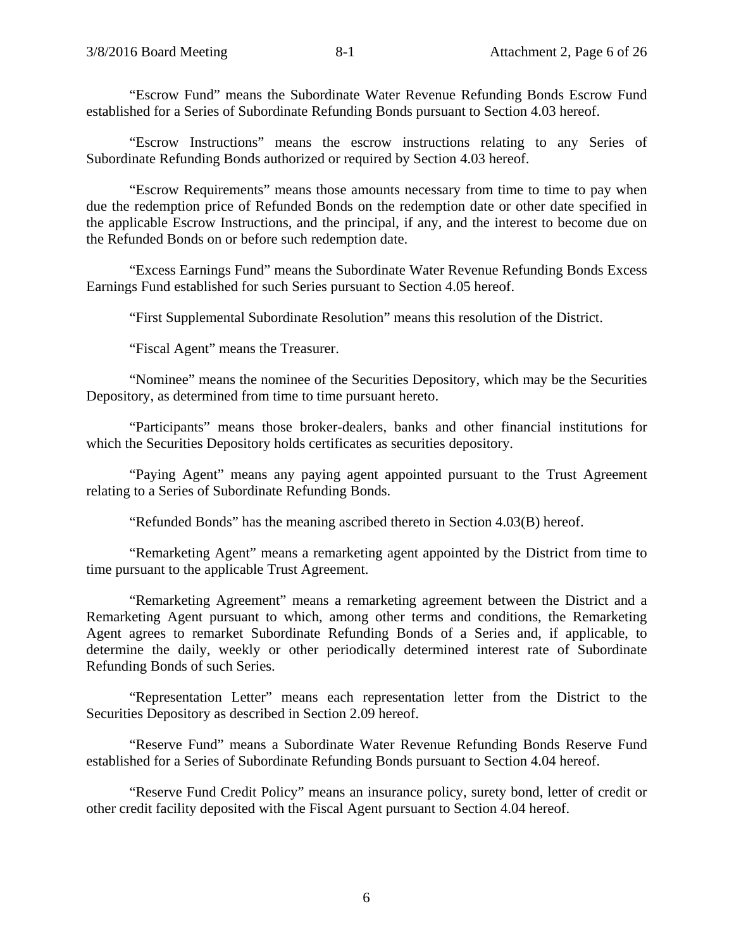"Escrow Fund" means the Subordinate Water Revenue Refunding Bonds Escrow Fund established for a Series of Subordinate Refunding Bonds pursuant to Section 4.03 hereof.

"Escrow Instructions" means the escrow instructions relating to any Series of Subordinate Refunding Bonds authorized or required by Section 4.03 hereof.

"Escrow Requirements" means those amounts necessary from time to time to pay when due the redemption price of Refunded Bonds on the redemption date or other date specified in the applicable Escrow Instructions, and the principal, if any, and the interest to become due on the Refunded Bonds on or before such redemption date.

"Excess Earnings Fund" means the Subordinate Water Revenue Refunding Bonds Excess Earnings Fund established for such Series pursuant to Section 4.05 hereof.

"First Supplemental Subordinate Resolution" means this resolution of the District.

"Fiscal Agent" means the Treasurer.

"Nominee" means the nominee of the Securities Depository, which may be the Securities Depository, as determined from time to time pursuant hereto.

"Participants" means those broker-dealers, banks and other financial institutions for which the Securities Depository holds certificates as securities depository.

"Paying Agent" means any paying agent appointed pursuant to the Trust Agreement relating to a Series of Subordinate Refunding Bonds.

"Refunded Bonds" has the meaning ascribed thereto in Section 4.03(B) hereof.

"Remarketing Agent" means a remarketing agent appointed by the District from time to time pursuant to the applicable Trust Agreement.

"Remarketing Agreement" means a remarketing agreement between the District and a Remarketing Agent pursuant to which, among other terms and conditions, the Remarketing Agent agrees to remarket Subordinate Refunding Bonds of a Series and, if applicable, to determine the daily, weekly or other periodically determined interest rate of Subordinate Refunding Bonds of such Series.

"Representation Letter" means each representation letter from the District to the Securities Depository as described in Section 2.09 hereof.

"Reserve Fund" means a Subordinate Water Revenue Refunding Bonds Reserve Fund established for a Series of Subordinate Refunding Bonds pursuant to Section 4.04 hereof.

"Reserve Fund Credit Policy" means an insurance policy, surety bond, letter of credit or other credit facility deposited with the Fiscal Agent pursuant to Section 4.04 hereof.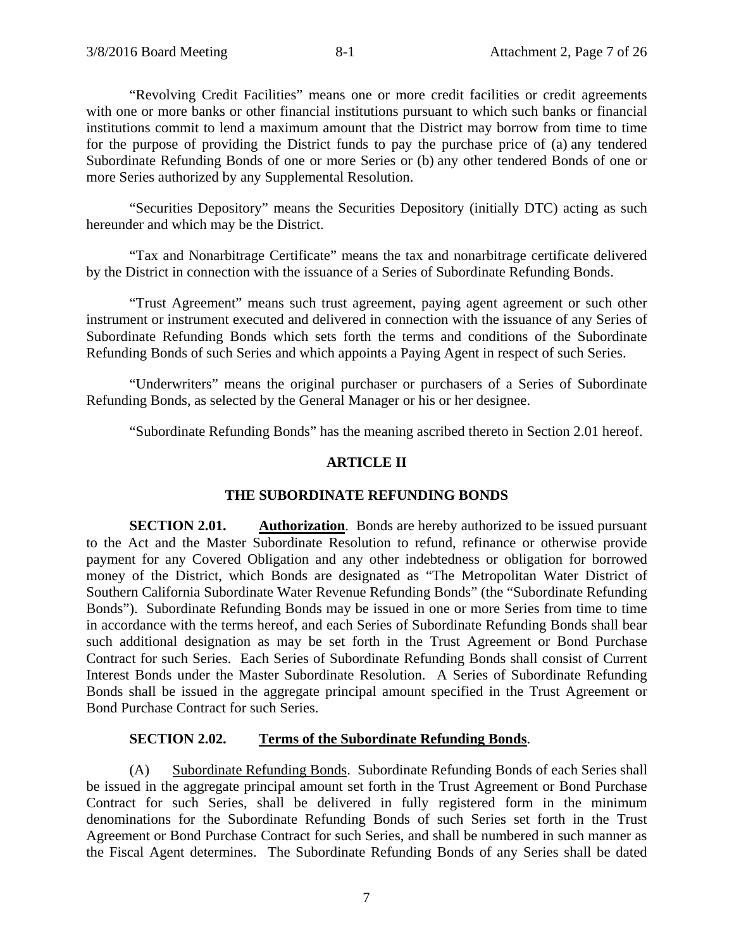"Revolving Credit Facilities" means one or more credit facilities or credit agreements with one or more banks or other financial institutions pursuant to which such banks or financial institutions commit to lend a maximum amount that the District may borrow from time to time for the purpose of providing the District funds to pay the purchase price of (a) any tendered Subordinate Refunding Bonds of one or more Series or (b) any other tendered Bonds of one or more Series authorized by any Supplemental Resolution.

"Securities Depository" means the Securities Depository (initially DTC) acting as such hereunder and which may be the District.

"Tax and Nonarbitrage Certificate" means the tax and nonarbitrage certificate delivered by the District in connection with the issuance of a Series of Subordinate Refunding Bonds.

"Trust Agreement" means such trust agreement, paying agent agreement or such other instrument or instrument executed and delivered in connection with the issuance of any Series of Subordinate Refunding Bonds which sets forth the terms and conditions of the Subordinate Refunding Bonds of such Series and which appoints a Paying Agent in respect of such Series.

"Underwriters" means the original purchaser or purchasers of a Series of Subordinate Refunding Bonds, as selected by the General Manager or his or her designee.

"Subordinate Refunding Bonds" has the meaning ascribed thereto in Section 2.01 hereof.

# **ARTICLE II**

# **THE SUBORDINATE REFUNDING BONDS**

**SECTION 2.01. Authorization**. Bonds are hereby authorized to be issued pursuant to the Act and the Master Subordinate Resolution to refund, refinance or otherwise provide payment for any Covered Obligation and any other indebtedness or obligation for borrowed money of the District, which Bonds are designated as "The Metropolitan Water District of Southern California Subordinate Water Revenue Refunding Bonds" (the "Subordinate Refunding Bonds"). Subordinate Refunding Bonds may be issued in one or more Series from time to time in accordance with the terms hereof, and each Series of Subordinate Refunding Bonds shall bear such additional designation as may be set forth in the Trust Agreement or Bond Purchase Contract for such Series. Each Series of Subordinate Refunding Bonds shall consist of Current Interest Bonds under the Master Subordinate Resolution. A Series of Subordinate Refunding Bonds shall be issued in the aggregate principal amount specified in the Trust Agreement or Bond Purchase Contract for such Series.

# **SECTION 2.02. Terms of the Subordinate Refunding Bonds**.

(A) Subordinate Refunding Bonds. Subordinate Refunding Bonds of each Series shall be issued in the aggregate principal amount set forth in the Trust Agreement or Bond Purchase Contract for such Series, shall be delivered in fully registered form in the minimum denominations for the Subordinate Refunding Bonds of such Series set forth in the Trust Agreement or Bond Purchase Contract for such Series, and shall be numbered in such manner as the Fiscal Agent determines. The Subordinate Refunding Bonds of any Series shall be dated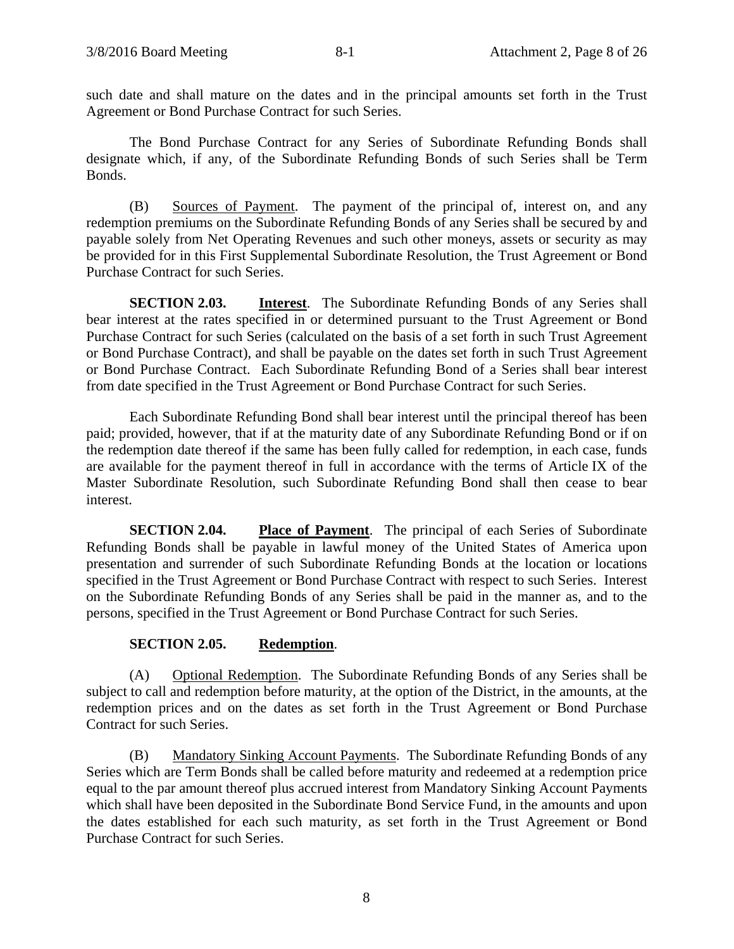such date and shall mature on the dates and in the principal amounts set forth in the Trust Agreement or Bond Purchase Contract for such Series.

The Bond Purchase Contract for any Series of Subordinate Refunding Bonds shall designate which, if any, of the Subordinate Refunding Bonds of such Series shall be Term Bonds.

(B) Sources of Payment. The payment of the principal of, interest on, and any redemption premiums on the Subordinate Refunding Bonds of any Series shall be secured by and payable solely from Net Operating Revenues and such other moneys, assets or security as may be provided for in this First Supplemental Subordinate Resolution, the Trust Agreement or Bond Purchase Contract for such Series.

**SECTION 2.03. Interest**. The Subordinate Refunding Bonds of any Series shall bear interest at the rates specified in or determined pursuant to the Trust Agreement or Bond Purchase Contract for such Series (calculated on the basis of a set forth in such Trust Agreement or Bond Purchase Contract), and shall be payable on the dates set forth in such Trust Agreement or Bond Purchase Contract. Each Subordinate Refunding Bond of a Series shall bear interest from date specified in the Trust Agreement or Bond Purchase Contract for such Series.

Each Subordinate Refunding Bond shall bear interest until the principal thereof has been paid; provided, however, that if at the maturity date of any Subordinate Refunding Bond or if on the redemption date thereof if the same has been fully called for redemption, in each case, funds are available for the payment thereof in full in accordance with the terms of Article IX of the Master Subordinate Resolution, such Subordinate Refunding Bond shall then cease to bear interest.

**SECTION 2.04.** Place of Payment. The principal of each Series of Subordinate Refunding Bonds shall be payable in lawful money of the United States of America upon presentation and surrender of such Subordinate Refunding Bonds at the location or locations specified in the Trust Agreement or Bond Purchase Contract with respect to such Series. Interest on the Subordinate Refunding Bonds of any Series shall be paid in the manner as, and to the persons, specified in the Trust Agreement or Bond Purchase Contract for such Series.

# **SECTION 2.05. Redemption**.

(A) Optional Redemption. The Subordinate Refunding Bonds of any Series shall be subject to call and redemption before maturity, at the option of the District, in the amounts, at the redemption prices and on the dates as set forth in the Trust Agreement or Bond Purchase Contract for such Series.

(B) Mandatory Sinking Account Payments. The Subordinate Refunding Bonds of any Series which are Term Bonds shall be called before maturity and redeemed at a redemption price equal to the par amount thereof plus accrued interest from Mandatory Sinking Account Payments which shall have been deposited in the Subordinate Bond Service Fund, in the amounts and upon the dates established for each such maturity, as set forth in the Trust Agreement or Bond Purchase Contract for such Series.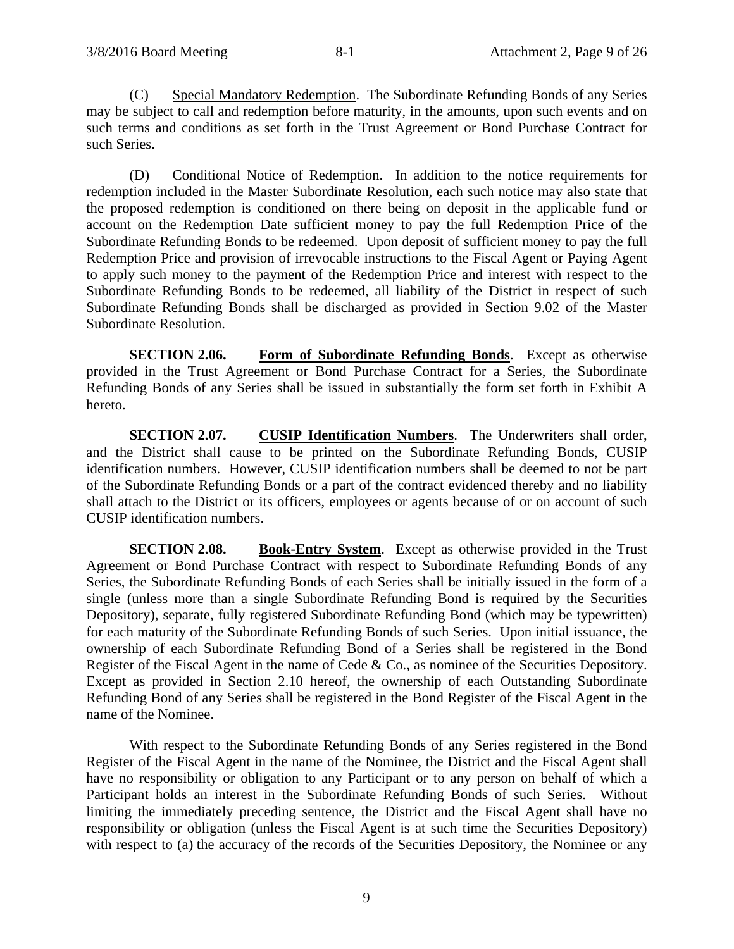(C) Special Mandatory Redemption. The Subordinate Refunding Bonds of any Series may be subject to call and redemption before maturity, in the amounts, upon such events and on such terms and conditions as set forth in the Trust Agreement or Bond Purchase Contract for such Series.

(D) Conditional Notice of Redemption. In addition to the notice requirements for redemption included in the Master Subordinate Resolution, each such notice may also state that the proposed redemption is conditioned on there being on deposit in the applicable fund or account on the Redemption Date sufficient money to pay the full Redemption Price of the Subordinate Refunding Bonds to be redeemed. Upon deposit of sufficient money to pay the full Redemption Price and provision of irrevocable instructions to the Fiscal Agent or Paying Agent to apply such money to the payment of the Redemption Price and interest with respect to the Subordinate Refunding Bonds to be redeemed, all liability of the District in respect of such Subordinate Refunding Bonds shall be discharged as provided in Section 9.02 of the Master Subordinate Resolution.

**SECTION 2.06. Form of Subordinate Refunding Bonds**. Except as otherwise provided in the Trust Agreement or Bond Purchase Contract for a Series, the Subordinate Refunding Bonds of any Series shall be issued in substantially the form set forth in Exhibit A hereto.

**SECTION 2.07. CUSIP Identification Numbers**. The Underwriters shall order, and the District shall cause to be printed on the Subordinate Refunding Bonds, CUSIP identification numbers. However, CUSIP identification numbers shall be deemed to not be part of the Subordinate Refunding Bonds or a part of the contract evidenced thereby and no liability shall attach to the District or its officers, employees or agents because of or on account of such CUSIP identification numbers.

**SECTION 2.08. Book-Entry System**. Except as otherwise provided in the Trust Agreement or Bond Purchase Contract with respect to Subordinate Refunding Bonds of any Series, the Subordinate Refunding Bonds of each Series shall be initially issued in the form of a single (unless more than a single Subordinate Refunding Bond is required by the Securities Depository), separate, fully registered Subordinate Refunding Bond (which may be typewritten) for each maturity of the Subordinate Refunding Bonds of such Series. Upon initial issuance, the ownership of each Subordinate Refunding Bond of a Series shall be registered in the Bond Register of the Fiscal Agent in the name of Cede & Co., as nominee of the Securities Depository. Except as provided in Section 2.10 hereof, the ownership of each Outstanding Subordinate Refunding Bond of any Series shall be registered in the Bond Register of the Fiscal Agent in the name of the Nominee.

With respect to the Subordinate Refunding Bonds of any Series registered in the Bond Register of the Fiscal Agent in the name of the Nominee, the District and the Fiscal Agent shall have no responsibility or obligation to any Participant or to any person on behalf of which a Participant holds an interest in the Subordinate Refunding Bonds of such Series. Without limiting the immediately preceding sentence, the District and the Fiscal Agent shall have no responsibility or obligation (unless the Fiscal Agent is at such time the Securities Depository) with respect to (a) the accuracy of the records of the Securities Depository, the Nominee or any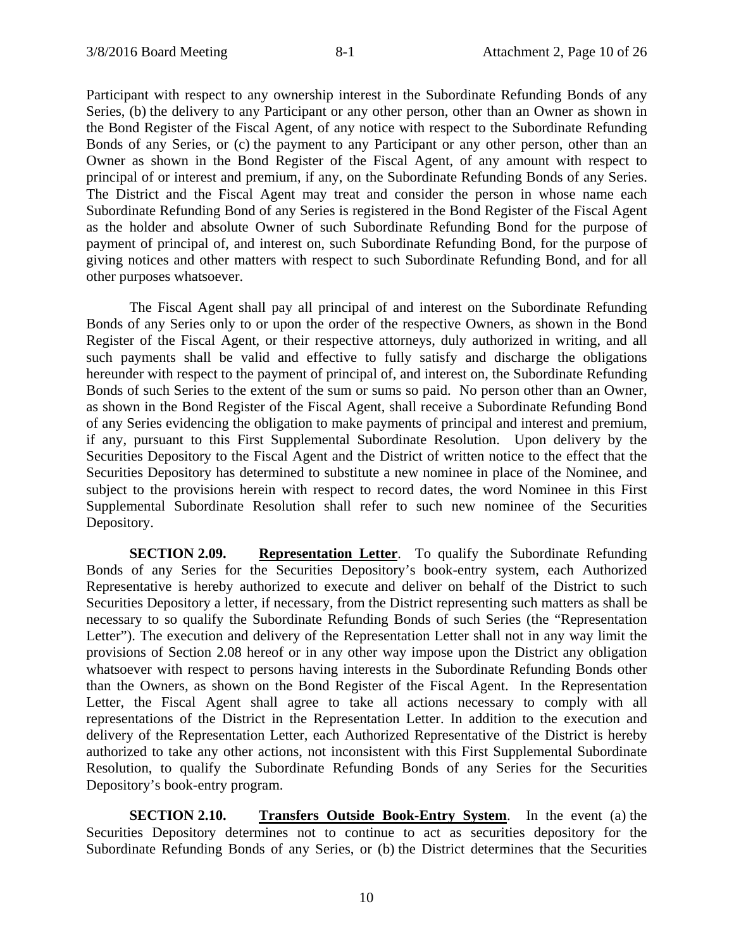Participant with respect to any ownership interest in the Subordinate Refunding Bonds of any Series, (b) the delivery to any Participant or any other person, other than an Owner as shown in the Bond Register of the Fiscal Agent, of any notice with respect to the Subordinate Refunding Bonds of any Series, or (c) the payment to any Participant or any other person, other than an Owner as shown in the Bond Register of the Fiscal Agent, of any amount with respect to principal of or interest and premium, if any, on the Subordinate Refunding Bonds of any Series. The District and the Fiscal Agent may treat and consider the person in whose name each Subordinate Refunding Bond of any Series is registered in the Bond Register of the Fiscal Agent as the holder and absolute Owner of such Subordinate Refunding Bond for the purpose of payment of principal of, and interest on, such Subordinate Refunding Bond, for the purpose of giving notices and other matters with respect to such Subordinate Refunding Bond, and for all other purposes whatsoever.

The Fiscal Agent shall pay all principal of and interest on the Subordinate Refunding Bonds of any Series only to or upon the order of the respective Owners, as shown in the Bond Register of the Fiscal Agent, or their respective attorneys, duly authorized in writing, and all such payments shall be valid and effective to fully satisfy and discharge the obligations hereunder with respect to the payment of principal of, and interest on, the Subordinate Refunding Bonds of such Series to the extent of the sum or sums so paid. No person other than an Owner, as shown in the Bond Register of the Fiscal Agent, shall receive a Subordinate Refunding Bond of any Series evidencing the obligation to make payments of principal and interest and premium, if any, pursuant to this First Supplemental Subordinate Resolution. Upon delivery by the Securities Depository to the Fiscal Agent and the District of written notice to the effect that the Securities Depository has determined to substitute a new nominee in place of the Nominee, and subject to the provisions herein with respect to record dates, the word Nominee in this First Supplemental Subordinate Resolution shall refer to such new nominee of the Securities Depository.

**SECTION 2.09. Representation Letter**. To qualify the Subordinate Refunding Bonds of any Series for the Securities Depository's book-entry system, each Authorized Representative is hereby authorized to execute and deliver on behalf of the District to such Securities Depository a letter, if necessary, from the District representing such matters as shall be necessary to so qualify the Subordinate Refunding Bonds of such Series (the "Representation Letter"). The execution and delivery of the Representation Letter shall not in any way limit the provisions of Section 2.08 hereof or in any other way impose upon the District any obligation whatsoever with respect to persons having interests in the Subordinate Refunding Bonds other than the Owners, as shown on the Bond Register of the Fiscal Agent. In the Representation Letter, the Fiscal Agent shall agree to take all actions necessary to comply with all representations of the District in the Representation Letter. In addition to the execution and delivery of the Representation Letter, each Authorized Representative of the District is hereby authorized to take any other actions, not inconsistent with this First Supplemental Subordinate Resolution, to qualify the Subordinate Refunding Bonds of any Series for the Securities Depository's book-entry program.

**SECTION 2.10. Transfers Outside Book-Entry System**. In the event (a) the Securities Depository determines not to continue to act as securities depository for the Subordinate Refunding Bonds of any Series, or (b) the District determines that the Securities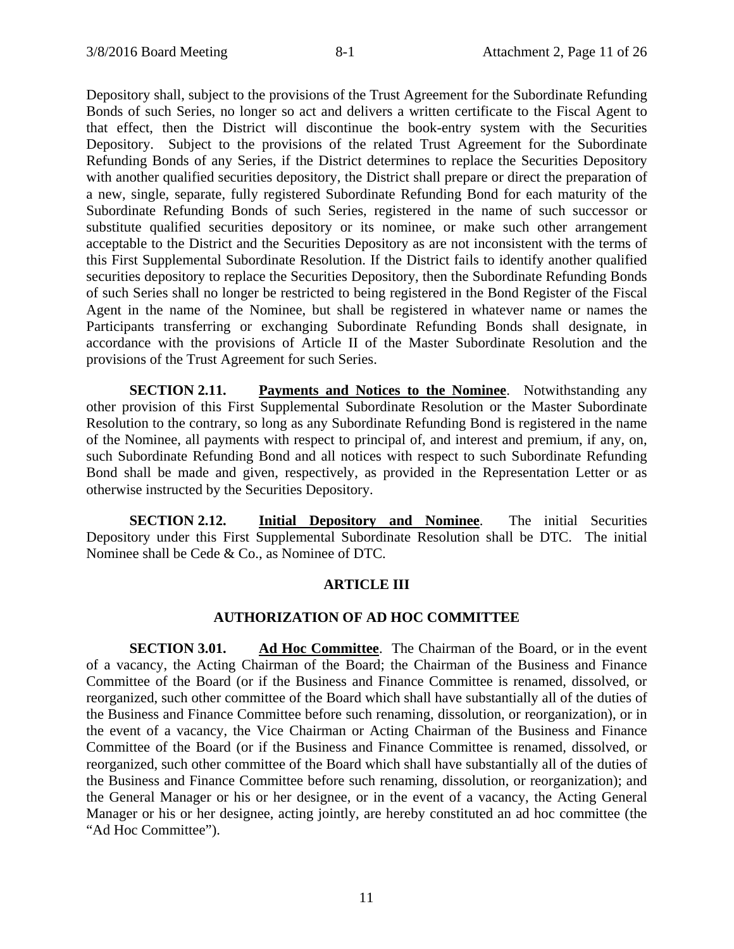Depository shall, subject to the provisions of the Trust Agreement for the Subordinate Refunding Bonds of such Series, no longer so act and delivers a written certificate to the Fiscal Agent to that effect, then the District will discontinue the book-entry system with the Securities Depository. Subject to the provisions of the related Trust Agreement for the Subordinate Refunding Bonds of any Series, if the District determines to replace the Securities Depository with another qualified securities depository, the District shall prepare or direct the preparation of a new, single, separate, fully registered Subordinate Refunding Bond for each maturity of the Subordinate Refunding Bonds of such Series, registered in the name of such successor or substitute qualified securities depository or its nominee, or make such other arrangement acceptable to the District and the Securities Depository as are not inconsistent with the terms of this First Supplemental Subordinate Resolution. If the District fails to identify another qualified securities depository to replace the Securities Depository, then the Subordinate Refunding Bonds of such Series shall no longer be restricted to being registered in the Bond Register of the Fiscal Agent in the name of the Nominee, but shall be registered in whatever name or names the Participants transferring or exchanging Subordinate Refunding Bonds shall designate, in accordance with the provisions of Article II of the Master Subordinate Resolution and the provisions of the Trust Agreement for such Series.

**SECTION 2.11. Payments and Notices to the Nominee**. Notwithstanding any other provision of this First Supplemental Subordinate Resolution or the Master Subordinate Resolution to the contrary, so long as any Subordinate Refunding Bond is registered in the name of the Nominee, all payments with respect to principal of, and interest and premium, if any, on, such Subordinate Refunding Bond and all notices with respect to such Subordinate Refunding Bond shall be made and given, respectively, as provided in the Representation Letter or as otherwise instructed by the Securities Depository.

**SECTION 2.12. Initial Depository and Nominee**. The initial Securities Depository under this First Supplemental Subordinate Resolution shall be DTC. The initial Nominee shall be Cede & Co., as Nominee of DTC.

# **ARTICLE III**

#### **AUTHORIZATION OF AD HOC COMMITTEE**

**SECTION 3.01. Ad Hoc Committee**. The Chairman of the Board, or in the event of a vacancy, the Acting Chairman of the Board; the Chairman of the Business and Finance Committee of the Board (or if the Business and Finance Committee is renamed, dissolved, or reorganized, such other committee of the Board which shall have substantially all of the duties of the Business and Finance Committee before such renaming, dissolution, or reorganization), or in the event of a vacancy, the Vice Chairman or Acting Chairman of the Business and Finance Committee of the Board (or if the Business and Finance Committee is renamed, dissolved, or reorganized, such other committee of the Board which shall have substantially all of the duties of the Business and Finance Committee before such renaming, dissolution, or reorganization); and the General Manager or his or her designee, or in the event of a vacancy, the Acting General Manager or his or her designee, acting jointly, are hereby constituted an ad hoc committee (the "Ad Hoc Committee").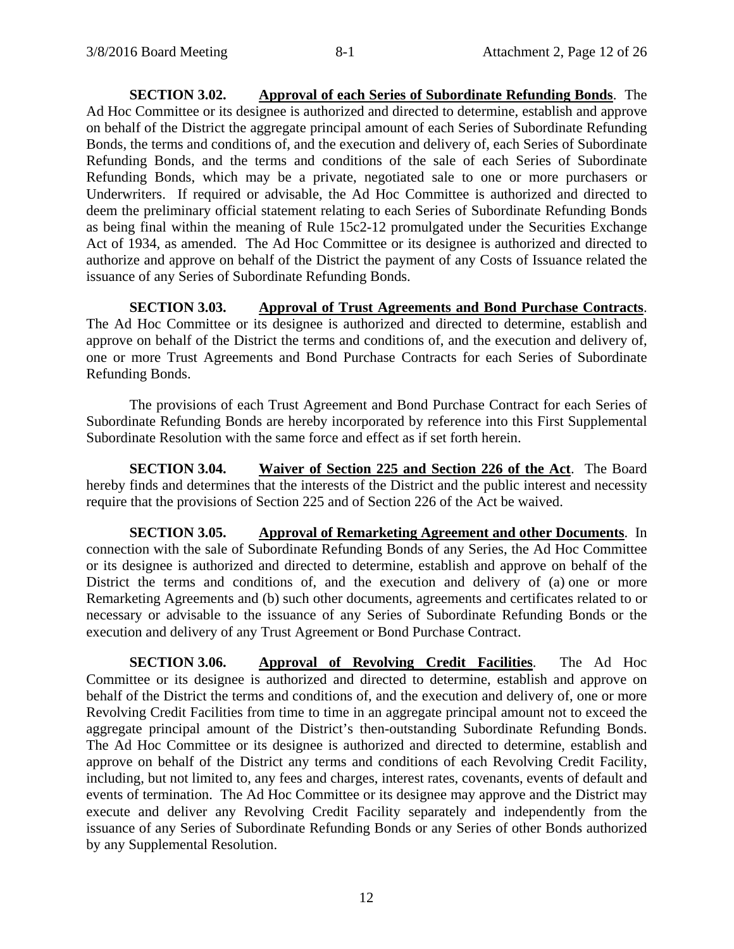**SECTION 3.02. Approval of each Series of Subordinate Refunding Bonds**. The Ad Hoc Committee or its designee is authorized and directed to determine, establish and approve on behalf of the District the aggregate principal amount of each Series of Subordinate Refunding Bonds, the terms and conditions of, and the execution and delivery of, each Series of Subordinate Refunding Bonds, and the terms and conditions of the sale of each Series of Subordinate Refunding Bonds, which may be a private, negotiated sale to one or more purchasers or Underwriters. If required or advisable, the Ad Hoc Committee is authorized and directed to deem the preliminary official statement relating to each Series of Subordinate Refunding Bonds as being final within the meaning of Rule 15c2-12 promulgated under the Securities Exchange Act of 1934, as amended. The Ad Hoc Committee or its designee is authorized and directed to authorize and approve on behalf of the District the payment of any Costs of Issuance related the issuance of any Series of Subordinate Refunding Bonds.

**SECTION 3.03. Approval of Trust Agreements and Bond Purchase Contracts**. The Ad Hoc Committee or its designee is authorized and directed to determine, establish and approve on behalf of the District the terms and conditions of, and the execution and delivery of, one or more Trust Agreements and Bond Purchase Contracts for each Series of Subordinate Refunding Bonds.

The provisions of each Trust Agreement and Bond Purchase Contract for each Series of Subordinate Refunding Bonds are hereby incorporated by reference into this First Supplemental Subordinate Resolution with the same force and effect as if set forth herein.

**SECTION 3.04. Waiver of Section 225 and Section 226 of the Act**. The Board hereby finds and determines that the interests of the District and the public interest and necessity require that the provisions of Section 225 and of Section 226 of the Act be waived.

**SECTION 3.05. Approval of Remarketing Agreement and other Documents**. In connection with the sale of Subordinate Refunding Bonds of any Series, the Ad Hoc Committee or its designee is authorized and directed to determine, establish and approve on behalf of the District the terms and conditions of, and the execution and delivery of (a) one or more Remarketing Agreements and (b) such other documents, agreements and certificates related to or necessary or advisable to the issuance of any Series of Subordinate Refunding Bonds or the execution and delivery of any Trust Agreement or Bond Purchase Contract.

**SECTION 3.06. Approval of Revolving Credit Facilities**. The Ad Hoc Committee or its designee is authorized and directed to determine, establish and approve on behalf of the District the terms and conditions of, and the execution and delivery of, one or more Revolving Credit Facilities from time to time in an aggregate principal amount not to exceed the aggregate principal amount of the District's then-outstanding Subordinate Refunding Bonds. The Ad Hoc Committee or its designee is authorized and directed to determine, establish and approve on behalf of the District any terms and conditions of each Revolving Credit Facility, including, but not limited to, any fees and charges, interest rates, covenants, events of default and events of termination. The Ad Hoc Committee or its designee may approve and the District may execute and deliver any Revolving Credit Facility separately and independently from the issuance of any Series of Subordinate Refunding Bonds or any Series of other Bonds authorized by any Supplemental Resolution.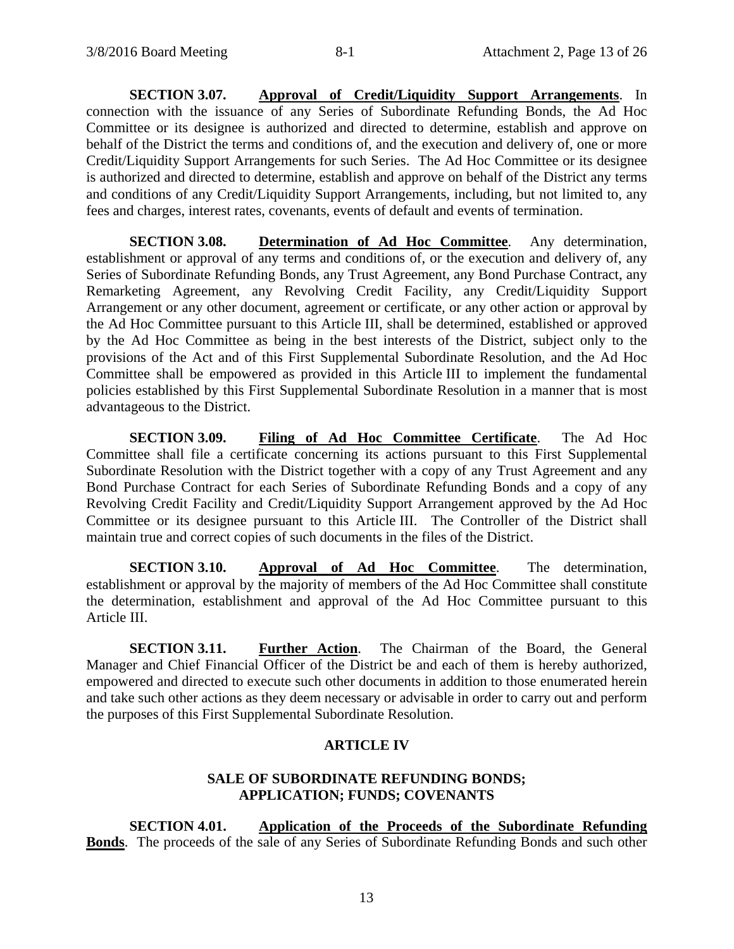**SECTION 3.07. Approval of Credit/Liquidity Support Arrangements**. In connection with the issuance of any Series of Subordinate Refunding Bonds, the Ad Hoc Committee or its designee is authorized and directed to determine, establish and approve on behalf of the District the terms and conditions of, and the execution and delivery of, one or more Credit/Liquidity Support Arrangements for such Series. The Ad Hoc Committee or its designee is authorized and directed to determine, establish and approve on behalf of the District any terms and conditions of any Credit/Liquidity Support Arrangements, including, but not limited to, any fees and charges, interest rates, covenants, events of default and events of termination.

**SECTION 3.08. Determination of Ad Hoc Committee**. Any determination, establishment or approval of any terms and conditions of, or the execution and delivery of, any Series of Subordinate Refunding Bonds, any Trust Agreement, any Bond Purchase Contract, any Remarketing Agreement, any Revolving Credit Facility, any Credit/Liquidity Support Arrangement or any other document, agreement or certificate, or any other action or approval by the Ad Hoc Committee pursuant to this Article III, shall be determined, established or approved by the Ad Hoc Committee as being in the best interests of the District, subject only to the provisions of the Act and of this First Supplemental Subordinate Resolution, and the Ad Hoc Committee shall be empowered as provided in this Article III to implement the fundamental policies established by this First Supplemental Subordinate Resolution in a manner that is most advantageous to the District.

**SECTION 3.09. Filing of Ad Hoc Committee Certificate**. The Ad Hoc Committee shall file a certificate concerning its actions pursuant to this First Supplemental Subordinate Resolution with the District together with a copy of any Trust Agreement and any Bond Purchase Contract for each Series of Subordinate Refunding Bonds and a copy of any Revolving Credit Facility and Credit/Liquidity Support Arrangement approved by the Ad Hoc Committee or its designee pursuant to this Article III. The Controller of the District shall maintain true and correct copies of such documents in the files of the District.

**SECTION 3.10. Approval of Ad Hoc Committee**. The determination, establishment or approval by the majority of members of the Ad Hoc Committee shall constitute the determination, establishment and approval of the Ad Hoc Committee pursuant to this Article III.

**SECTION 3.11. Further Action**. The Chairman of the Board, the General Manager and Chief Financial Officer of the District be and each of them is hereby authorized, empowered and directed to execute such other documents in addition to those enumerated herein and take such other actions as they deem necessary or advisable in order to carry out and perform the purposes of this First Supplemental Subordinate Resolution.

# **ARTICLE IV**

# **SALE OF SUBORDINATE REFUNDING BONDS; APPLICATION; FUNDS; COVENANTS**

**SECTION 4.01. Application of the Proceeds of the Subordinate Refunding Bonds**. The proceeds of the sale of any Series of Subordinate Refunding Bonds and such other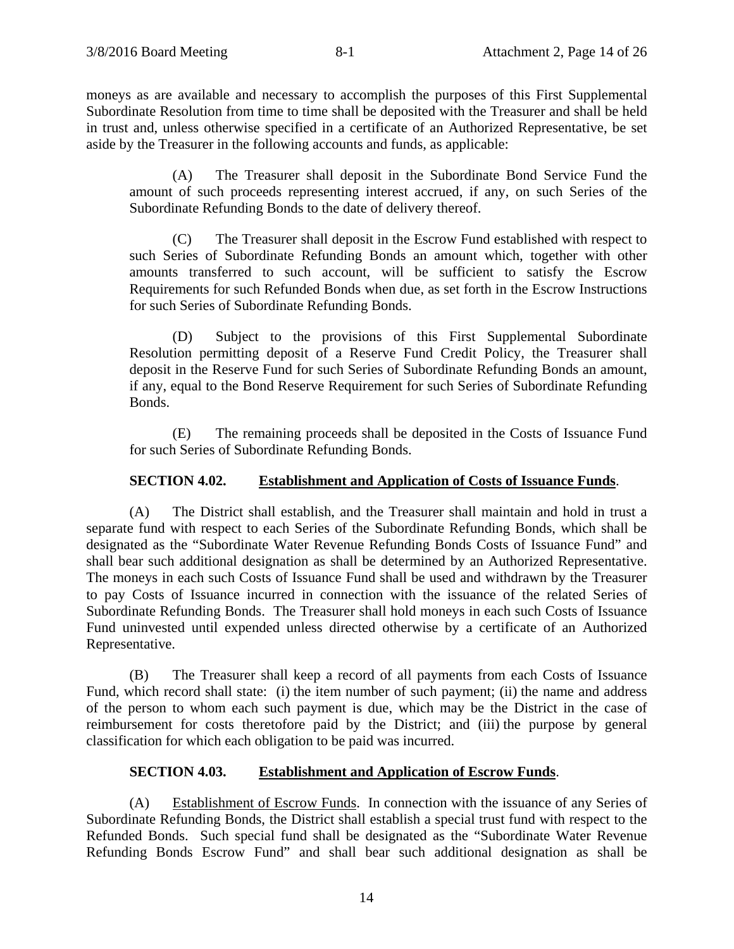moneys as are available and necessary to accomplish the purposes of this First Supplemental Subordinate Resolution from time to time shall be deposited with the Treasurer and shall be held in trust and, unless otherwise specified in a certificate of an Authorized Representative, be set aside by the Treasurer in the following accounts and funds, as applicable:

(A) The Treasurer shall deposit in the Subordinate Bond Service Fund the amount of such proceeds representing interest accrued, if any, on such Series of the Subordinate Refunding Bonds to the date of delivery thereof.

(C) The Treasurer shall deposit in the Escrow Fund established with respect to such Series of Subordinate Refunding Bonds an amount which, together with other amounts transferred to such account, will be sufficient to satisfy the Escrow Requirements for such Refunded Bonds when due, as set forth in the Escrow Instructions for such Series of Subordinate Refunding Bonds.

(D) Subject to the provisions of this First Supplemental Subordinate Resolution permitting deposit of a Reserve Fund Credit Policy, the Treasurer shall deposit in the Reserve Fund for such Series of Subordinate Refunding Bonds an amount, if any, equal to the Bond Reserve Requirement for such Series of Subordinate Refunding Bonds.

(E) The remaining proceeds shall be deposited in the Costs of Issuance Fund for such Series of Subordinate Refunding Bonds.

# **SECTION 4.02. Establishment and Application of Costs of Issuance Funds**.

(A) The District shall establish, and the Treasurer shall maintain and hold in trust a separate fund with respect to each Series of the Subordinate Refunding Bonds, which shall be designated as the "Subordinate Water Revenue Refunding Bonds Costs of Issuance Fund" and shall bear such additional designation as shall be determined by an Authorized Representative. The moneys in each such Costs of Issuance Fund shall be used and withdrawn by the Treasurer to pay Costs of Issuance incurred in connection with the issuance of the related Series of Subordinate Refunding Bonds. The Treasurer shall hold moneys in each such Costs of Issuance Fund uninvested until expended unless directed otherwise by a certificate of an Authorized Representative.

(B) The Treasurer shall keep a record of all payments from each Costs of Issuance Fund, which record shall state: (i) the item number of such payment; (ii) the name and address of the person to whom each such payment is due, which may be the District in the case of reimbursement for costs theretofore paid by the District; and (iii) the purpose by general classification for which each obligation to be paid was incurred.

# **SECTION 4.03. Establishment and Application of Escrow Funds**.

(A) Establishment of Escrow Funds. In connection with the issuance of any Series of Subordinate Refunding Bonds, the District shall establish a special trust fund with respect to the Refunded Bonds. Such special fund shall be designated as the "Subordinate Water Revenue Refunding Bonds Escrow Fund" and shall bear such additional designation as shall be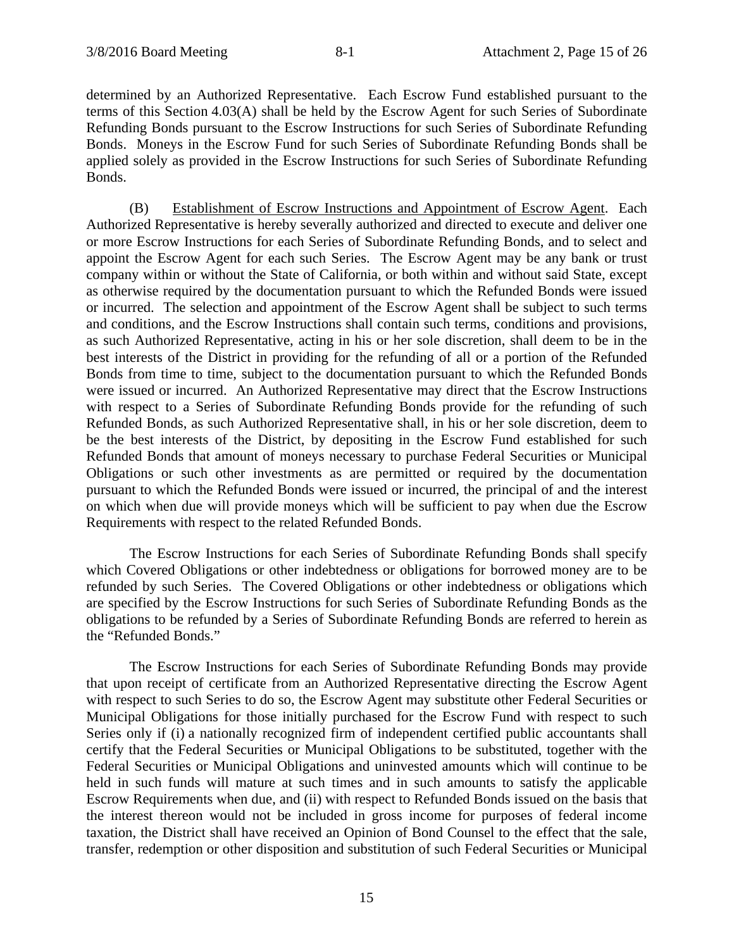determined by an Authorized Representative. Each Escrow Fund established pursuant to the terms of this Section 4.03(A) shall be held by the Escrow Agent for such Series of Subordinate Refunding Bonds pursuant to the Escrow Instructions for such Series of Subordinate Refunding Bonds. Moneys in the Escrow Fund for such Series of Subordinate Refunding Bonds shall be applied solely as provided in the Escrow Instructions for such Series of Subordinate Refunding Bonds.

(B) Establishment of Escrow Instructions and Appointment of Escrow Agent. Each Authorized Representative is hereby severally authorized and directed to execute and deliver one or more Escrow Instructions for each Series of Subordinate Refunding Bonds, and to select and appoint the Escrow Agent for each such Series. The Escrow Agent may be any bank or trust company within or without the State of California, or both within and without said State, except as otherwise required by the documentation pursuant to which the Refunded Bonds were issued or incurred. The selection and appointment of the Escrow Agent shall be subject to such terms and conditions, and the Escrow Instructions shall contain such terms, conditions and provisions, as such Authorized Representative, acting in his or her sole discretion, shall deem to be in the best interests of the District in providing for the refunding of all or a portion of the Refunded Bonds from time to time, subject to the documentation pursuant to which the Refunded Bonds were issued or incurred. An Authorized Representative may direct that the Escrow Instructions with respect to a Series of Subordinate Refunding Bonds provide for the refunding of such Refunded Bonds, as such Authorized Representative shall, in his or her sole discretion, deem to be the best interests of the District, by depositing in the Escrow Fund established for such Refunded Bonds that amount of moneys necessary to purchase Federal Securities or Municipal Obligations or such other investments as are permitted or required by the documentation pursuant to which the Refunded Bonds were issued or incurred, the principal of and the interest on which when due will provide moneys which will be sufficient to pay when due the Escrow Requirements with respect to the related Refunded Bonds.

The Escrow Instructions for each Series of Subordinate Refunding Bonds shall specify which Covered Obligations or other indebtedness or obligations for borrowed money are to be refunded by such Series. The Covered Obligations or other indebtedness or obligations which are specified by the Escrow Instructions for such Series of Subordinate Refunding Bonds as the obligations to be refunded by a Series of Subordinate Refunding Bonds are referred to herein as the "Refunded Bonds."

The Escrow Instructions for each Series of Subordinate Refunding Bonds may provide that upon receipt of certificate from an Authorized Representative directing the Escrow Agent with respect to such Series to do so, the Escrow Agent may substitute other Federal Securities or Municipal Obligations for those initially purchased for the Escrow Fund with respect to such Series only if (i) a nationally recognized firm of independent certified public accountants shall certify that the Federal Securities or Municipal Obligations to be substituted, together with the Federal Securities or Municipal Obligations and uninvested amounts which will continue to be held in such funds will mature at such times and in such amounts to satisfy the applicable Escrow Requirements when due, and (ii) with respect to Refunded Bonds issued on the basis that the interest thereon would not be included in gross income for purposes of federal income taxation, the District shall have received an Opinion of Bond Counsel to the effect that the sale, transfer, redemption or other disposition and substitution of such Federal Securities or Municipal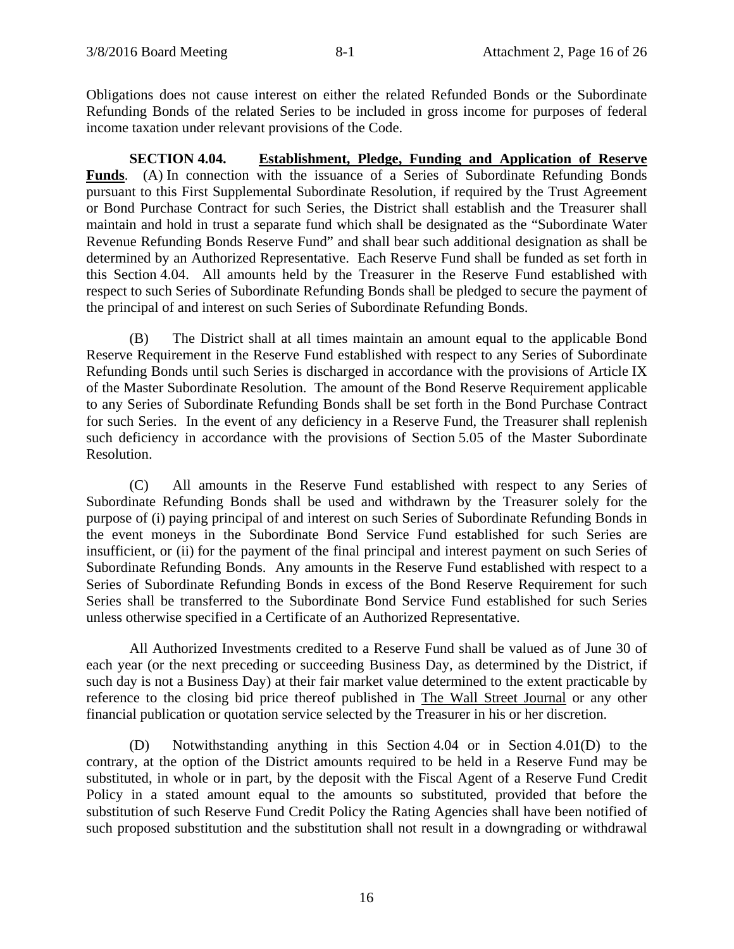Obligations does not cause interest on either the related Refunded Bonds or the Subordinate Refunding Bonds of the related Series to be included in gross income for purposes of federal income taxation under relevant provisions of the Code.

**SECTION 4.04. Establishment, Pledge, Funding and Application of Reserve Funds**. (A) In connection with the issuance of a Series of Subordinate Refunding Bonds pursuant to this First Supplemental Subordinate Resolution, if required by the Trust Agreement or Bond Purchase Contract for such Series, the District shall establish and the Treasurer shall maintain and hold in trust a separate fund which shall be designated as the "Subordinate Water Revenue Refunding Bonds Reserve Fund" and shall bear such additional designation as shall be determined by an Authorized Representative. Each Reserve Fund shall be funded as set forth in this Section 4.04. All amounts held by the Treasurer in the Reserve Fund established with respect to such Series of Subordinate Refunding Bonds shall be pledged to secure the payment of the principal of and interest on such Series of Subordinate Refunding Bonds.

(B) The District shall at all times maintain an amount equal to the applicable Bond Reserve Requirement in the Reserve Fund established with respect to any Series of Subordinate Refunding Bonds until such Series is discharged in accordance with the provisions of Article IX of the Master Subordinate Resolution. The amount of the Bond Reserve Requirement applicable to any Series of Subordinate Refunding Bonds shall be set forth in the Bond Purchase Contract for such Series. In the event of any deficiency in a Reserve Fund, the Treasurer shall replenish such deficiency in accordance with the provisions of Section 5.05 of the Master Subordinate Resolution.

(C) All amounts in the Reserve Fund established with respect to any Series of Subordinate Refunding Bonds shall be used and withdrawn by the Treasurer solely for the purpose of (i) paying principal of and interest on such Series of Subordinate Refunding Bonds in the event moneys in the Subordinate Bond Service Fund established for such Series are insufficient, or (ii) for the payment of the final principal and interest payment on such Series of Subordinate Refunding Bonds. Any amounts in the Reserve Fund established with respect to a Series of Subordinate Refunding Bonds in excess of the Bond Reserve Requirement for such Series shall be transferred to the Subordinate Bond Service Fund established for such Series unless otherwise specified in a Certificate of an Authorized Representative.

All Authorized Investments credited to a Reserve Fund shall be valued as of June 30 of each year (or the next preceding or succeeding Business Day, as determined by the District, if such day is not a Business Day) at their fair market value determined to the extent practicable by reference to the closing bid price thereof published in The Wall Street Journal or any other financial publication or quotation service selected by the Treasurer in his or her discretion.

(D) Notwithstanding anything in this Section 4.04 or in Section 4.01(D) to the contrary, at the option of the District amounts required to be held in a Reserve Fund may be substituted, in whole or in part, by the deposit with the Fiscal Agent of a Reserve Fund Credit Policy in a stated amount equal to the amounts so substituted, provided that before the substitution of such Reserve Fund Credit Policy the Rating Agencies shall have been notified of such proposed substitution and the substitution shall not result in a downgrading or withdrawal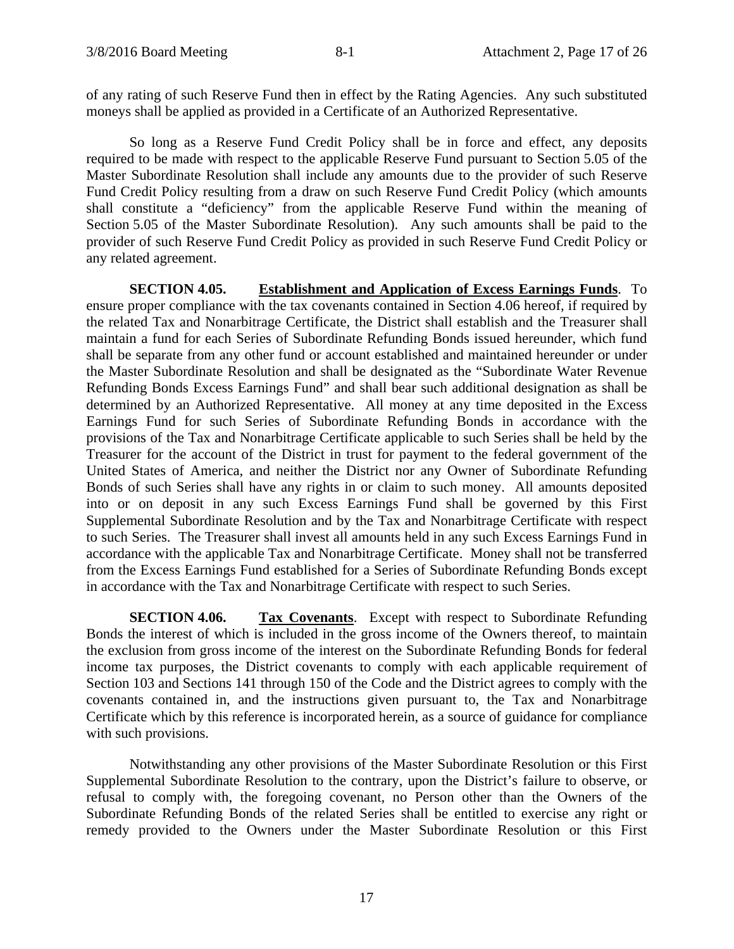of any rating of such Reserve Fund then in effect by the Rating Agencies. Any such substituted moneys shall be applied as provided in a Certificate of an Authorized Representative.

So long as a Reserve Fund Credit Policy shall be in force and effect, any deposits required to be made with respect to the applicable Reserve Fund pursuant to Section 5.05 of the Master Subordinate Resolution shall include any amounts due to the provider of such Reserve Fund Credit Policy resulting from a draw on such Reserve Fund Credit Policy (which amounts shall constitute a "deficiency" from the applicable Reserve Fund within the meaning of Section 5.05 of the Master Subordinate Resolution). Any such amounts shall be paid to the provider of such Reserve Fund Credit Policy as provided in such Reserve Fund Credit Policy or any related agreement.

**SECTION 4.05. Establishment and Application of Excess Earnings Funds**. To ensure proper compliance with the tax covenants contained in Section 4.06 hereof, if required by the related Tax and Nonarbitrage Certificate, the District shall establish and the Treasurer shall maintain a fund for each Series of Subordinate Refunding Bonds issued hereunder, which fund shall be separate from any other fund or account established and maintained hereunder or under the Master Subordinate Resolution and shall be designated as the "Subordinate Water Revenue Refunding Bonds Excess Earnings Fund" and shall bear such additional designation as shall be determined by an Authorized Representative. All money at any time deposited in the Excess Earnings Fund for such Series of Subordinate Refunding Bonds in accordance with the provisions of the Tax and Nonarbitrage Certificate applicable to such Series shall be held by the Treasurer for the account of the District in trust for payment to the federal government of the United States of America, and neither the District nor any Owner of Subordinate Refunding Bonds of such Series shall have any rights in or claim to such money. All amounts deposited into or on deposit in any such Excess Earnings Fund shall be governed by this First Supplemental Subordinate Resolution and by the Tax and Nonarbitrage Certificate with respect to such Series. The Treasurer shall invest all amounts held in any such Excess Earnings Fund in accordance with the applicable Tax and Nonarbitrage Certificate. Money shall not be transferred from the Excess Earnings Fund established for a Series of Subordinate Refunding Bonds except in accordance with the Tax and Nonarbitrage Certificate with respect to such Series.

**SECTION 4.06. Tax Covenants**. Except with respect to Subordinate Refunding Bonds the interest of which is included in the gross income of the Owners thereof, to maintain the exclusion from gross income of the interest on the Subordinate Refunding Bonds for federal income tax purposes, the District covenants to comply with each applicable requirement of Section 103 and Sections 141 through 150 of the Code and the District agrees to comply with the covenants contained in, and the instructions given pursuant to, the Tax and Nonarbitrage Certificate which by this reference is incorporated herein, as a source of guidance for compliance with such provisions.

Notwithstanding any other provisions of the Master Subordinate Resolution or this First Supplemental Subordinate Resolution to the contrary, upon the District's failure to observe, or refusal to comply with, the foregoing covenant, no Person other than the Owners of the Subordinate Refunding Bonds of the related Series shall be entitled to exercise any right or remedy provided to the Owners under the Master Subordinate Resolution or this First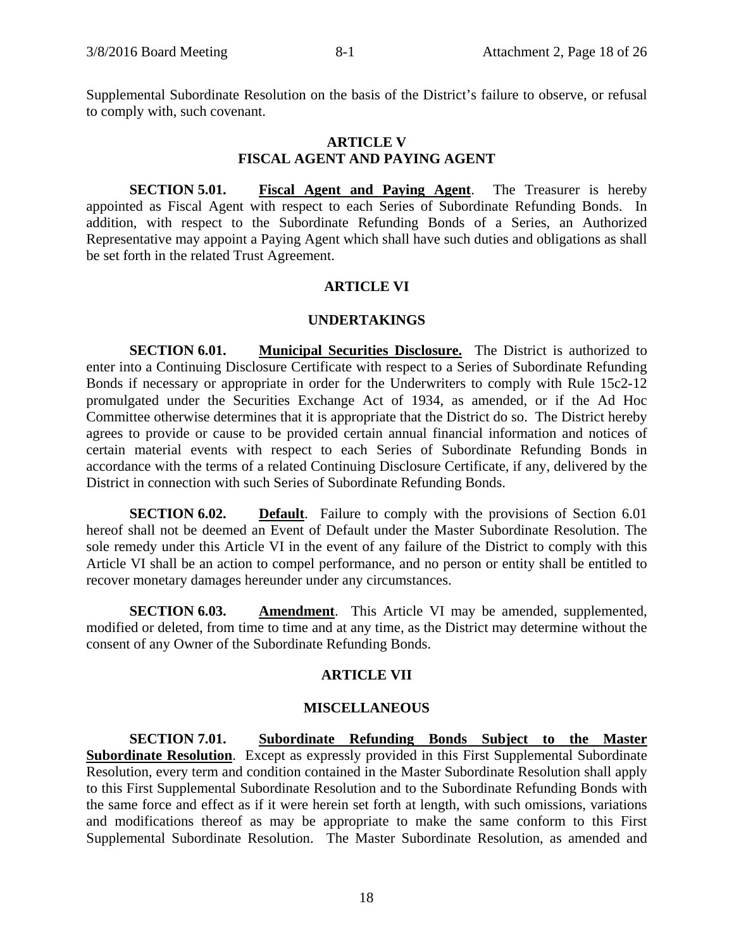Supplemental Subordinate Resolution on the basis of the District's failure to observe, or refusal to comply with, such covenant.

#### **ARTICLE V FISCAL AGENT AND PAYING AGENT**

**SECTION 5.01. Fiscal Agent and Paying Agent**. The Treasurer is hereby appointed as Fiscal Agent with respect to each Series of Subordinate Refunding Bonds. In addition, with respect to the Subordinate Refunding Bonds of a Series, an Authorized Representative may appoint a Paying Agent which shall have such duties and obligations as shall be set forth in the related Trust Agreement.

## **ARTICLE VI**

#### **UNDERTAKINGS**

**SECTION 6.01. Municipal Securities Disclosure.** The District is authorized to enter into a Continuing Disclosure Certificate with respect to a Series of Subordinate Refunding Bonds if necessary or appropriate in order for the Underwriters to comply with Rule 15c2-12 promulgated under the Securities Exchange Act of 1934, as amended, or if the Ad Hoc Committee otherwise determines that it is appropriate that the District do so. The District hereby agrees to provide or cause to be provided certain annual financial information and notices of certain material events with respect to each Series of Subordinate Refunding Bonds in accordance with the terms of a related Continuing Disclosure Certificate, if any, delivered by the District in connection with such Series of Subordinate Refunding Bonds.

**SECTION 6.02. Default**. Failure to comply with the provisions of Section 6.01 hereof shall not be deemed an Event of Default under the Master Subordinate Resolution. The sole remedy under this Article VI in the event of any failure of the District to comply with this Article VI shall be an action to compel performance, and no person or entity shall be entitled to recover monetary damages hereunder under any circumstances.

**SECTION 6.03. Amendment**. This Article VI may be amended, supplemented, modified or deleted, from time to time and at any time, as the District may determine without the consent of any Owner of the Subordinate Refunding Bonds.

### **ARTICLE VII**

## **MISCELLANEOUS**

**SECTION 7.01. Subordinate Refunding Bonds Subject to the Master Subordinate Resolution.** Except as expressly provided in this First Supplemental Subordinate Resolution, every term and condition contained in the Master Subordinate Resolution shall apply to this First Supplemental Subordinate Resolution and to the Subordinate Refunding Bonds with the same force and effect as if it were herein set forth at length, with such omissions, variations and modifications thereof as may be appropriate to make the same conform to this First Supplemental Subordinate Resolution. The Master Subordinate Resolution, as amended and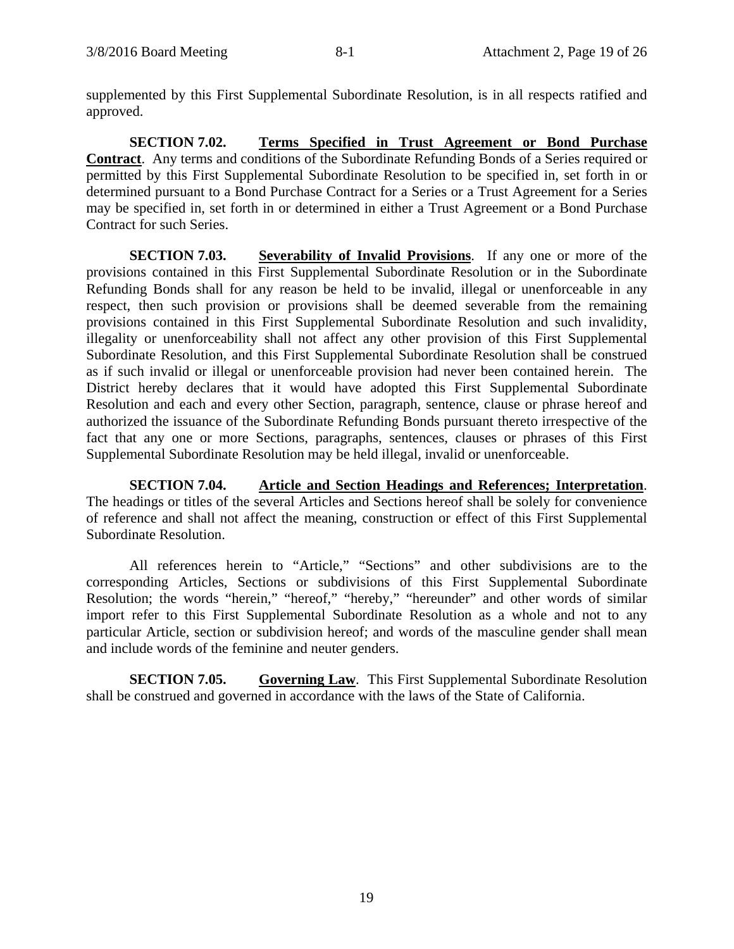supplemented by this First Supplemental Subordinate Resolution, is in all respects ratified and approved.

**SECTION 7.02. Terms Specified in Trust Agreement or Bond Purchase Contract**. Any terms and conditions of the Subordinate Refunding Bonds of a Series required or permitted by this First Supplemental Subordinate Resolution to be specified in, set forth in or determined pursuant to a Bond Purchase Contract for a Series or a Trust Agreement for a Series may be specified in, set forth in or determined in either a Trust Agreement or a Bond Purchase Contract for such Series.

**SECTION 7.03. Severability of Invalid Provisions**. If any one or more of the provisions contained in this First Supplemental Subordinate Resolution or in the Subordinate Refunding Bonds shall for any reason be held to be invalid, illegal or unenforceable in any respect, then such provision or provisions shall be deemed severable from the remaining provisions contained in this First Supplemental Subordinate Resolution and such invalidity, illegality or unenforceability shall not affect any other provision of this First Supplemental Subordinate Resolution, and this First Supplemental Subordinate Resolution shall be construed as if such invalid or illegal or unenforceable provision had never been contained herein. The District hereby declares that it would have adopted this First Supplemental Subordinate Resolution and each and every other Section, paragraph, sentence, clause or phrase hereof and authorized the issuance of the Subordinate Refunding Bonds pursuant thereto irrespective of the fact that any one or more Sections, paragraphs, sentences, clauses or phrases of this First Supplemental Subordinate Resolution may be held illegal, invalid or unenforceable.

**SECTION 7.04. Article and Section Headings and References; Interpretation**. The headings or titles of the several Articles and Sections hereof shall be solely for convenience of reference and shall not affect the meaning, construction or effect of this First Supplemental Subordinate Resolution.

All references herein to "Article," "Sections" and other subdivisions are to the corresponding Articles, Sections or subdivisions of this First Supplemental Subordinate Resolution; the words "herein," "hereof," "hereby," "hereunder" and other words of similar import refer to this First Supplemental Subordinate Resolution as a whole and not to any particular Article, section or subdivision hereof; and words of the masculine gender shall mean and include words of the feminine and neuter genders.

**SECTION 7.05. Governing Law**. This First Supplemental Subordinate Resolution shall be construed and governed in accordance with the laws of the State of California.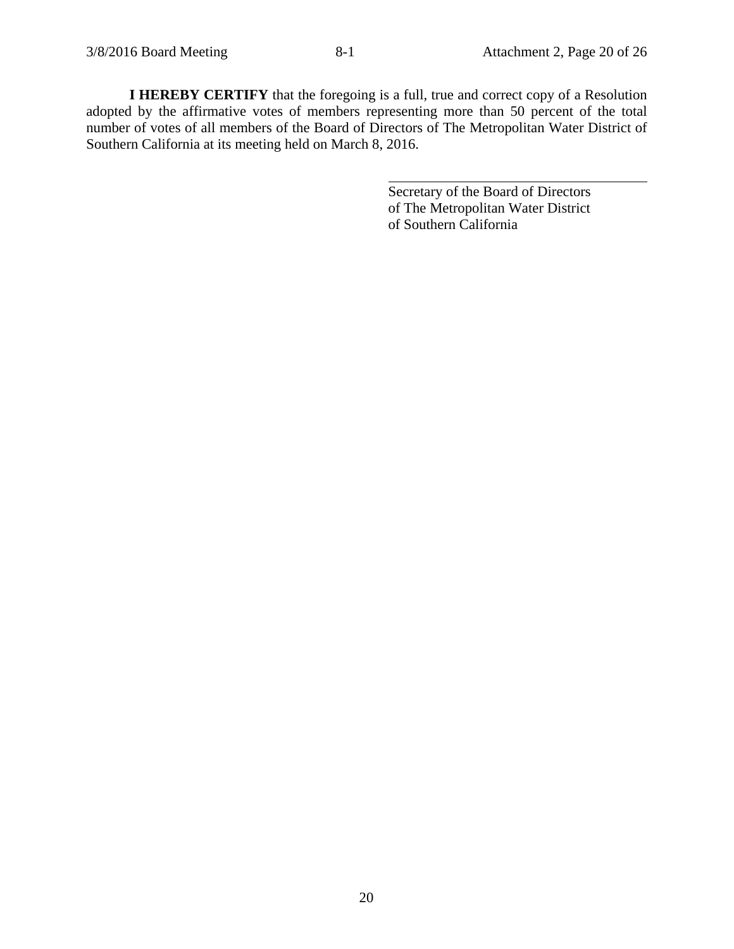**I HEREBY CERTIFY** that the foregoing is a full, true and correct copy of a Resolution adopted by the affirmative votes of members representing more than 50 percent of the total number of votes of all members of the Board of Directors of The Metropolitan Water District of Southern California at its meeting held on March 8, 2016.

 $\overline{a}$ 

Secretary of the Board of Directors of The Metropolitan Water District of Southern California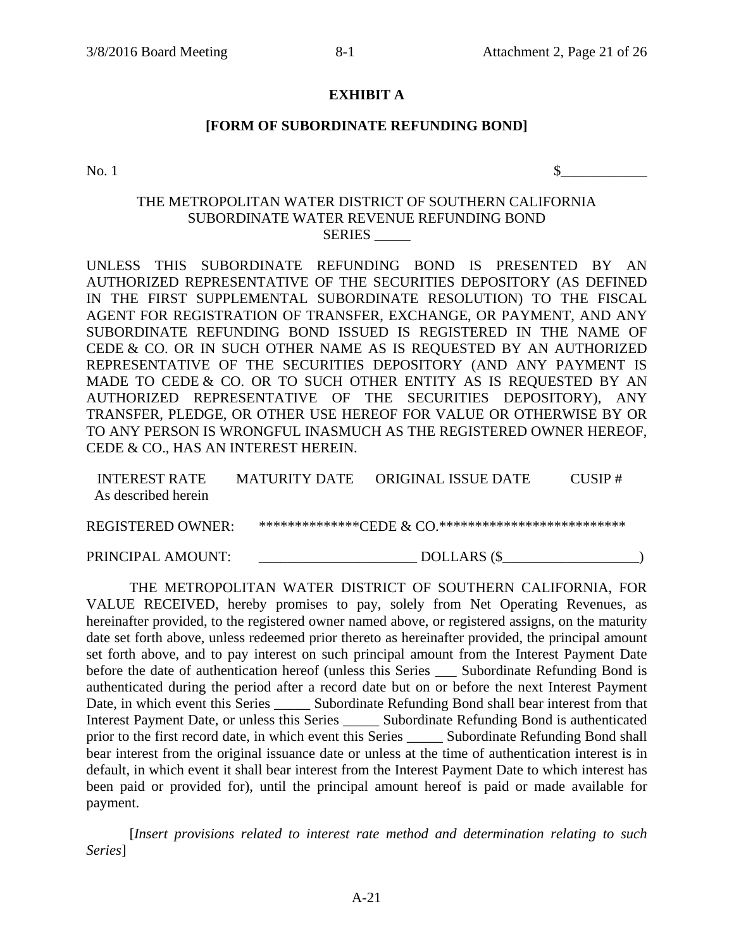### **EXHIBIT A**

### **[FORM OF SUBORDINATE REFUNDING BOND]**

 $\infty$ . 1

# THE METROPOLITAN WATER DISTRICT OF SOUTHERN CALIFORNIA SUBORDINATE WATER REVENUE REFUNDING BOND SERIES \_\_\_\_\_

UNLESS THIS SUBORDINATE REFUNDING BOND IS PRESENTED BY AN AUTHORIZED REPRESENTATIVE OF THE SECURITIES DEPOSITORY (AS DEFINED IN THE FIRST SUPPLEMENTAL SUBORDINATE RESOLUTION) TO THE FISCAL AGENT FOR REGISTRATION OF TRANSFER, EXCHANGE, OR PAYMENT, AND ANY SUBORDINATE REFUNDING BOND ISSUED IS REGISTERED IN THE NAME OF CEDE & CO. OR IN SUCH OTHER NAME AS IS REQUESTED BY AN AUTHORIZED REPRESENTATIVE OF THE SECURITIES DEPOSITORY (AND ANY PAYMENT IS MADE TO CEDE & CO. OR TO SUCH OTHER ENTITY AS IS REQUESTED BY AN AUTHORIZED REPRESENTATIVE OF THE SECURITIES DEPOSITORY), ANY TRANSFER, PLEDGE, OR OTHER USE HEREOF FOR VALUE OR OTHERWISE BY OR TO ANY PERSON IS WRONGFUL INASMUCH AS THE REGISTERED OWNER HEREOF, CEDE & CO., HAS AN INTEREST HEREIN.

| <b>INTEREST RATE</b> | <b>MATURITY DATE</b> | ORIGINAL ISSUE DATE | $CI$ SIP $#$ |
|----------------------|----------------------|---------------------|--------------|
| As described herein  |                      |                     |              |
|                      |                      |                     |              |
| REGISTERED OWNER ·   |                      |                     |              |
|                      |                      |                     |              |

PRINCIPAL AMOUNT: DOLLARS (\$

THE METROPOLITAN WATER DISTRICT OF SOUTHERN CALIFORNIA, FOR VALUE RECEIVED, hereby promises to pay, solely from Net Operating Revenues, as hereinafter provided, to the registered owner named above, or registered assigns, on the maturity date set forth above, unless redeemed prior thereto as hereinafter provided, the principal amount set forth above, and to pay interest on such principal amount from the Interest Payment Date before the date of authentication hereof (unless this Series Subordinate Refunding Bond is authenticated during the period after a record date but on or before the next Interest Payment Date, in which event this Series \_\_\_\_\_\_\_ Subordinate Refunding Bond shall bear interest from that Interest Payment Date, or unless this Series \_\_\_\_\_ Subordinate Refunding Bond is authenticated prior to the first record date, in which event this Series \_\_\_\_\_ Subordinate Refunding Bond shall bear interest from the original issuance date or unless at the time of authentication interest is in default, in which event it shall bear interest from the Interest Payment Date to which interest has been paid or provided for), until the principal amount hereof is paid or made available for payment.

[*Insert provisions related to interest rate method and determination relating to such Series*]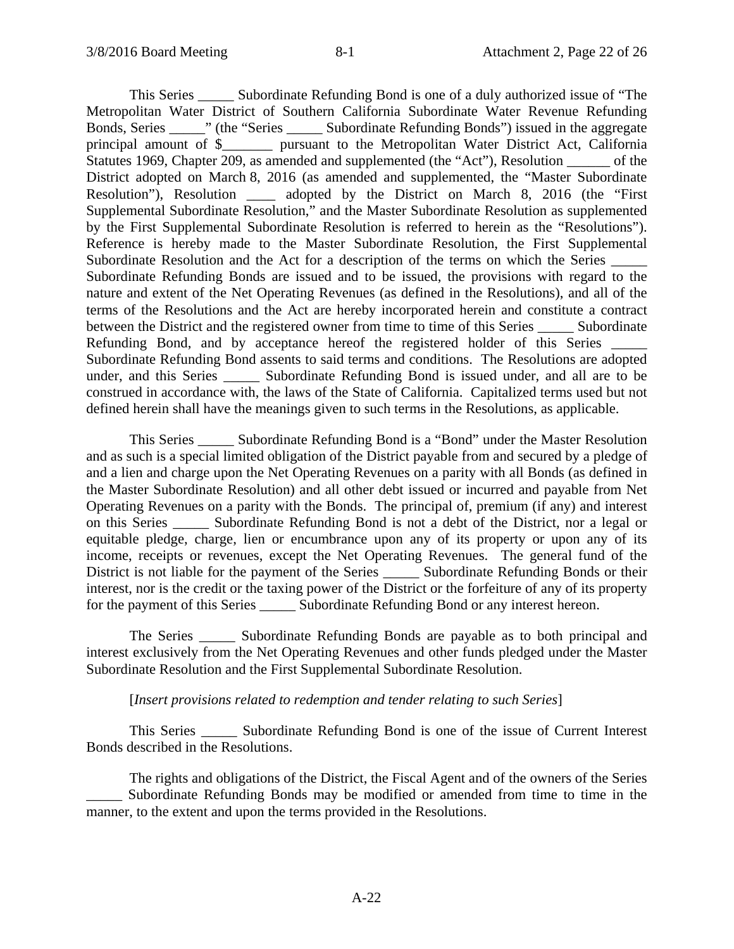This Series \_\_\_\_\_ Subordinate Refunding Bond is one of a duly authorized issue of "The Metropolitan Water District of Southern California Subordinate Water Revenue Refunding Bonds, Series \_\_\_\_\_" (the "Series \_\_\_\_\_ Subordinate Refunding Bonds") issued in the aggregate principal amount of \$\_\_\_\_\_\_\_ pursuant to the Metropolitan Water District Act, California Statutes 1969, Chapter 209, as amended and supplemented (the "Act"), Resolution of the District adopted on March 8, 2016 (as amended and supplemented, the "Master Subordinate Resolution"), Resolution \_\_\_\_ adopted by the District on March 8, 2016 (the "First Supplemental Subordinate Resolution," and the Master Subordinate Resolution as supplemented by the First Supplemental Subordinate Resolution is referred to herein as the "Resolutions"). Reference is hereby made to the Master Subordinate Resolution, the First Supplemental Subordinate Resolution and the Act for a description of the terms on which the Series  $\Box$ Subordinate Refunding Bonds are issued and to be issued, the provisions with regard to the nature and extent of the Net Operating Revenues (as defined in the Resolutions), and all of the terms of the Resolutions and the Act are hereby incorporated herein and constitute a contract between the District and the registered owner from time to time of this Series Subordinate Refunding Bond, and by acceptance hereof the registered holder of this Series Subordinate Refunding Bond assents to said terms and conditions. The Resolutions are adopted under, and this Series \_\_\_\_\_ Subordinate Refunding Bond is issued under, and all are to be construed in accordance with, the laws of the State of California. Capitalized terms used but not defined herein shall have the meanings given to such terms in the Resolutions, as applicable.

This Series \_\_\_\_\_ Subordinate Refunding Bond is a "Bond" under the Master Resolution and as such is a special limited obligation of the District payable from and secured by a pledge of and a lien and charge upon the Net Operating Revenues on a parity with all Bonds (as defined in the Master Subordinate Resolution) and all other debt issued or incurred and payable from Net Operating Revenues on a parity with the Bonds. The principal of, premium (if any) and interest on this Series \_\_\_\_\_ Subordinate Refunding Bond is not a debt of the District, nor a legal or equitable pledge, charge, lien or encumbrance upon any of its property or upon any of its income, receipts or revenues, except the Net Operating Revenues. The general fund of the District is not liable for the payment of the Series \_\_\_\_\_ Subordinate Refunding Bonds or their interest, nor is the credit or the taxing power of the District or the forfeiture of any of its property for the payment of this Series \_\_\_\_\_\_\_ Subordinate Refunding Bond or any interest hereon.

The Series Subordinate Refunding Bonds are payable as to both principal and interest exclusively from the Net Operating Revenues and other funds pledged under the Master Subordinate Resolution and the First Supplemental Subordinate Resolution.

### [*Insert provisions related to redemption and tender relating to such Series*]

This Series \_\_\_\_\_ Subordinate Refunding Bond is one of the issue of Current Interest Bonds described in the Resolutions.

The rights and obligations of the District, the Fiscal Agent and of the owners of the Series Subordinate Refunding Bonds may be modified or amended from time to time in the manner, to the extent and upon the terms provided in the Resolutions.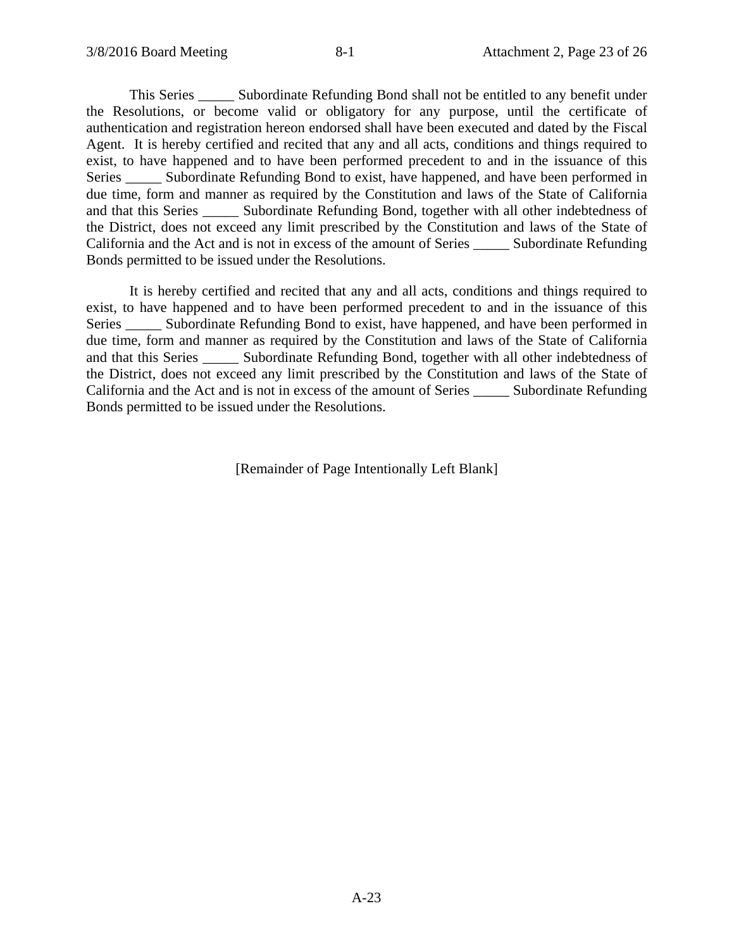This Series \_\_\_\_\_ Subordinate Refunding Bond shall not be entitled to any benefit under the Resolutions, or become valid or obligatory for any purpose, until the certificate of authentication and registration hereon endorsed shall have been executed and dated by the Fiscal Agent. It is hereby certified and recited that any and all acts, conditions and things required to exist, to have happened and to have been performed precedent to and in the issuance of this Series \_\_\_\_\_\_ Subordinate Refunding Bond to exist, have happened, and have been performed in due time, form and manner as required by the Constitution and laws of the State of California and that this Series \_\_\_\_\_ Subordinate Refunding Bond, together with all other indebtedness of the District, does not exceed any limit prescribed by the Constitution and laws of the State of California and the Act and is not in excess of the amount of Series \_\_\_\_\_ Subordinate Refunding Bonds permitted to be issued under the Resolutions.

It is hereby certified and recited that any and all acts, conditions and things required to exist, to have happened and to have been performed precedent to and in the issuance of this Series Subordinate Refunding Bond to exist, have happened, and have been performed in due time, form and manner as required by the Constitution and laws of the State of California and that this Series \_\_\_\_\_ Subordinate Refunding Bond, together with all other indebtedness of the District, does not exceed any limit prescribed by the Constitution and laws of the State of California and the Act and is not in excess of the amount of Series \_\_\_\_\_ Subordinate Refunding Bonds permitted to be issued under the Resolutions.

[Remainder of Page Intentionally Left Blank]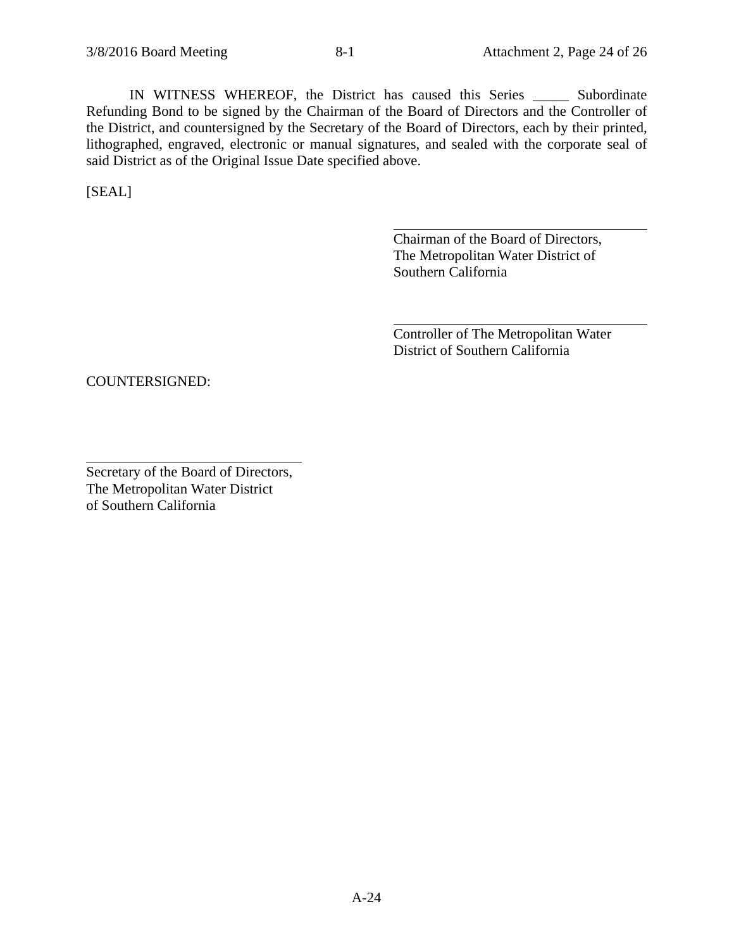IN WITNESS WHEREOF, the District has caused this Series \_\_\_\_\_ Subordinate Refunding Bond to be signed by the Chairman of the Board of Directors and the Controller of the District, and countersigned by the Secretary of the Board of Directors, each by their printed, lithographed, engraved, electronic or manual signatures, and sealed with the corporate seal of said District as of the Original Issue Date specified above.

 $\overline{a}$ 

 $\overline{a}$ 

[SEAL]

 $\overline{a}$ 

Chairman of the Board of Directors, The Metropolitan Water District of Southern California

Controller of The Metropolitan Water District of Southern California

COUNTERSIGNED:

Secretary of the Board of Directors, The Metropolitan Water District of Southern California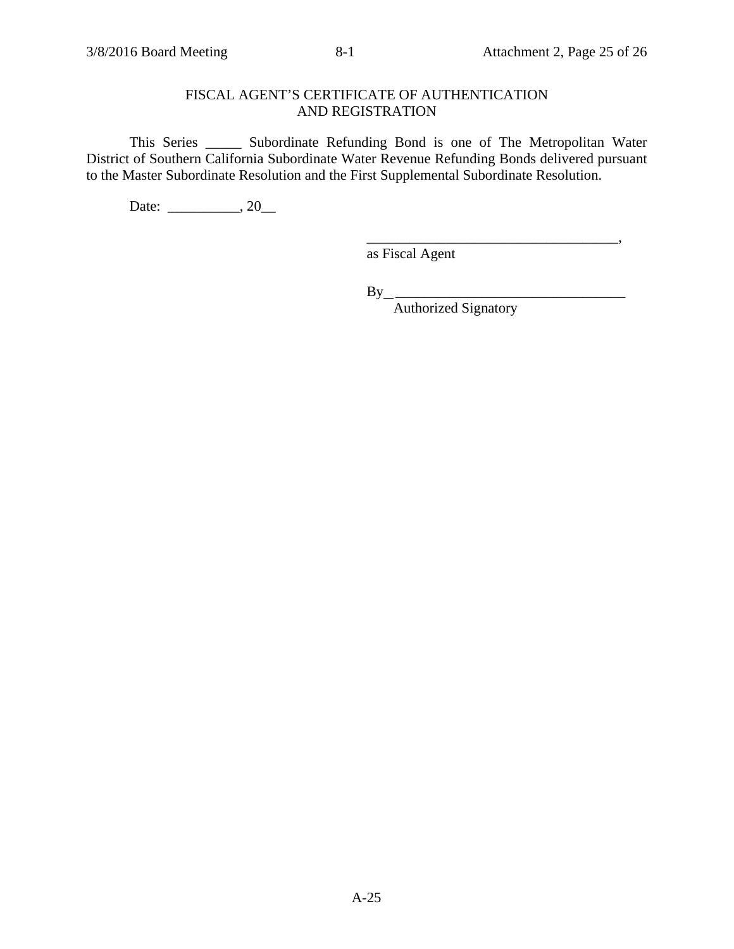\_\_\_\_\_\_\_\_\_\_\_\_\_\_\_\_\_\_\_\_\_\_\_\_\_\_\_\_\_\_\_\_\_\_\_,

# FISCAL AGENT'S CERTIFICATE OF AUTHENTICATION AND REGISTRATION

This Series \_\_\_\_\_ Subordinate Refunding Bond is one of The Metropolitan Water District of Southern California Subordinate Water Revenue Refunding Bonds delivered pursuant to the Master Subordinate Resolution and the First Supplemental Subordinate Resolution.

Date: \_\_\_\_\_\_\_\_\_\_, 20\_\_\_

as Fiscal Agent

By \_\_\_\_\_\_\_\_\_\_\_\_\_\_\_\_\_\_\_\_\_\_\_\_\_\_\_\_\_\_\_\_

Authorized Signatory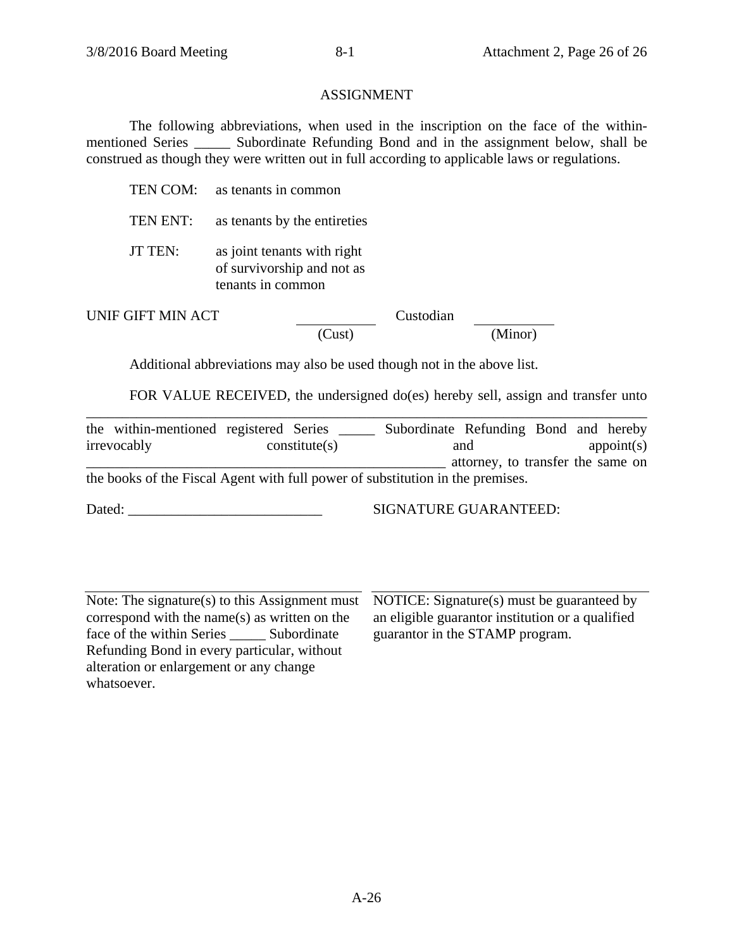## ASSIGNMENT

The following abbreviations, when used in the inscription on the face of the withinmentioned Series \_\_\_\_\_ Subordinate Refunding Bond and in the assignment below, shall be construed as though they were written out in full according to applicable laws or regulations.

|                   | TEN COM: as tenants in common                                                  |           |  |         |
|-------------------|--------------------------------------------------------------------------------|-----------|--|---------|
| TEN ENT:          | as tenants by the entireties                                                   |           |  |         |
| <b>JT TEN:</b>    | as joint tenants with right<br>of survivorship and not as<br>tenants in common |           |  |         |
| UNIF GIFT MIN ACT |                                                                                | Custodian |  |         |
|                   |                                                                                | Cust)     |  | (Minor) |

Additional abbreviations may also be used though not in the above list.

FOR VALUE RECEIVED, the undersigned do(es) hereby sell, assign and transfer unto

| the within-mentioned registered Series                                         |  |               | Subordinate Refunding Bond and hereby |                                   |  |            |
|--------------------------------------------------------------------------------|--|---------------|---------------------------------------|-----------------------------------|--|------------|
| irrevocably                                                                    |  | constitute(s) |                                       | and                               |  | appoint(s) |
|                                                                                |  |               |                                       | attorney, to transfer the same on |  |            |
| the books of the Fiscal Agent with full power of substitution in the premises. |  |               |                                       |                                   |  |            |

Dated: \_\_\_\_\_\_\_\_\_\_\_\_\_\_\_\_\_\_\_\_\_\_\_\_\_\_\_ SIGNATURE GUARANTEED:

Note: The signature(s) to this Assignment must correspond with the name(s) as written on the face of the within Series \_\_\_\_\_\_\_ Subordinate Refunding Bond in every particular, without alteration or enlargement or any change whatsoever.

NOTICE: Signature(s) must be guaranteed by an eligible guarantor institution or a qualified guarantor in the STAMP program.